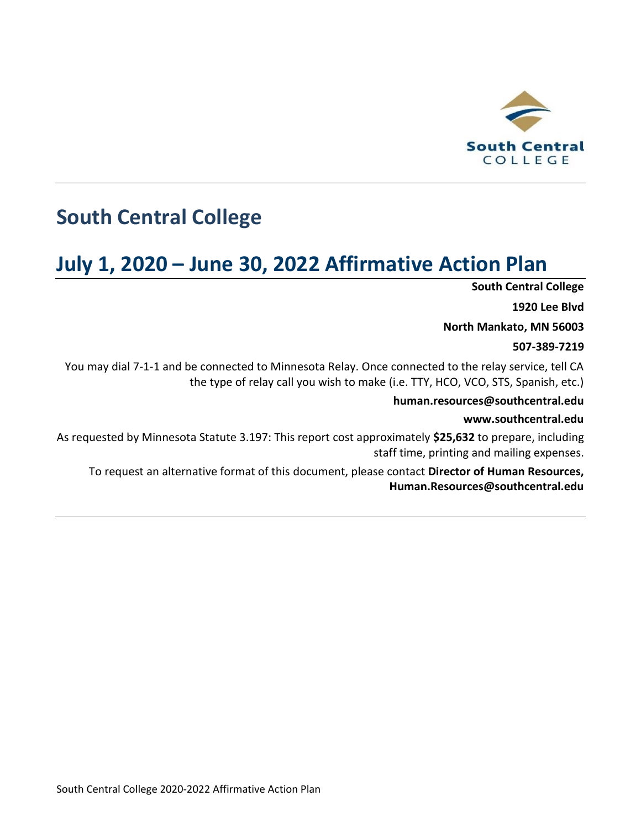

# **South Central College**

# **July 1, 2020 – June 30, 2022 Affirmative Action Plan**

**South Central College**

**1920 Lee Blvd**

**North Mankato, MN 56003**

#### **507-389-7219**

You may dial 7-1-1 and be connected to Minnesota Relay. Once connected to the relay service, tell CA the type of relay call you wish to make (i.e. TTY, HCO, VCO, STS, Spanish, etc.)

#### **human.resources@southcentral.edu**

#### **www.southcentral.edu**

As requested by Minnesota Statute 3.197: This report cost approximately **\$25,632** to prepare, including staff time, printing and mailing expenses.

To request an alternative format of this document, please contact **Director of Human Resources, Human.Resources@southcentral.edu**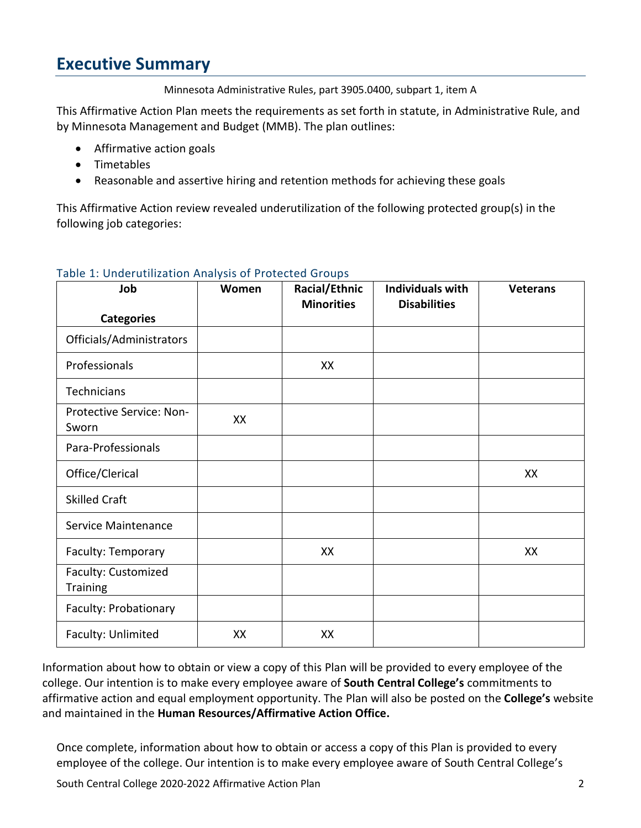## **Executive Summary**

Minnesota Administrative Rules, part 3905.0400, subpart 1, item A

This Affirmative Action Plan meets the requirements as set forth in statute, in Administrative Rule, and by Minnesota Management and Budget (MMB). The plan outlines:

- Affirmative action goals
- Timetables
- Reasonable and assertive hiring and retention methods for achieving these goals

This Affirmative Action review revealed underutilization of the following protected group(s) in the following job categories:

| Job                                    | Women | Racial/Ethnic<br><b>Minorities</b> | <b>Individuals with</b><br><b>Disabilities</b> | <b>Veterans</b> |
|----------------------------------------|-------|------------------------------------|------------------------------------------------|-----------------|
| <b>Categories</b>                      |       |                                    |                                                |                 |
| Officials/Administrators               |       |                                    |                                                |                 |
| Professionals                          |       | XX                                 |                                                |                 |
| Technicians                            |       |                                    |                                                |                 |
| Protective Service: Non-<br>Sworn      | XX    |                                    |                                                |                 |
| Para-Professionals                     |       |                                    |                                                |                 |
| Office/Clerical                        |       |                                    |                                                | XX              |
| <b>Skilled Craft</b>                   |       |                                    |                                                |                 |
| Service Maintenance                    |       |                                    |                                                |                 |
| Faculty: Temporary                     |       | XX                                 |                                                | XX              |
| Faculty: Customized<br><b>Training</b> |       |                                    |                                                |                 |
| Faculty: Probationary                  |       |                                    |                                                |                 |
| Faculty: Unlimited                     | XX    | XX                                 |                                                |                 |

#### Table 1: Underutilization Analysis of Protected Groups

Information about how to obtain or view a copy of this Plan will be provided to every employee of the college. Our intention is to make every employee aware of **South Central College's** commitments to affirmative action and equal employment opportunity. The Plan will also be posted on the **College's** website and maintained in the **Human Resources/Affirmative Action Office.**

Once complete, information about how to obtain or access a copy of this Plan is provided to every employee of the college. Our intention is to make every employee aware of South Central College's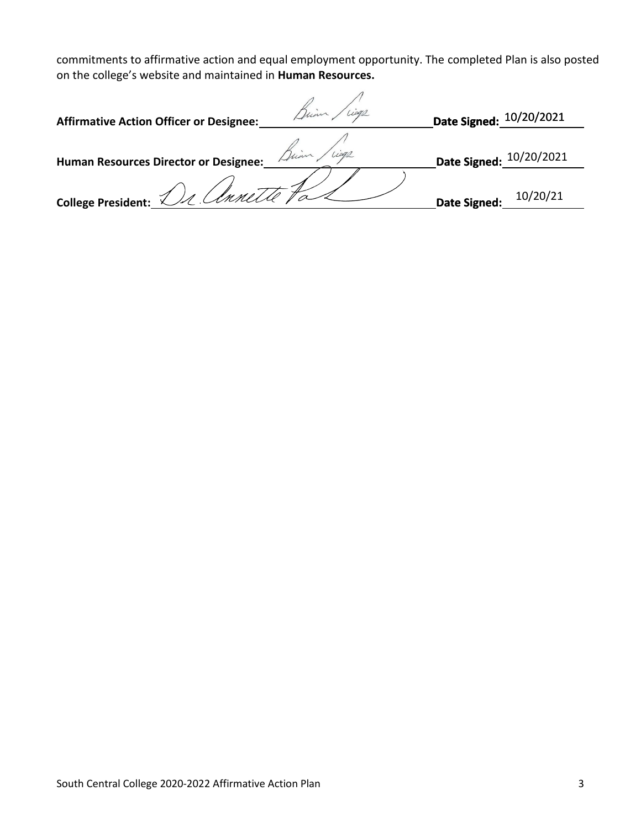commitments to affirmative action and equal employment opportunity. The completed Plan is also posted on the college's website and maintained in **Human Resources.**

| <b>Affirmative Action Officer or Designee:</b> |         | Date Signed: 10/20/2021 |          |
|------------------------------------------------|---------|-------------------------|----------|
| Human Resources Director or Designee:          | Brinn 1 | Date Signed: 10/20/2021 |          |
| College President: Dr. Connette Fa             |         | Date Signed:            | 10/20/21 |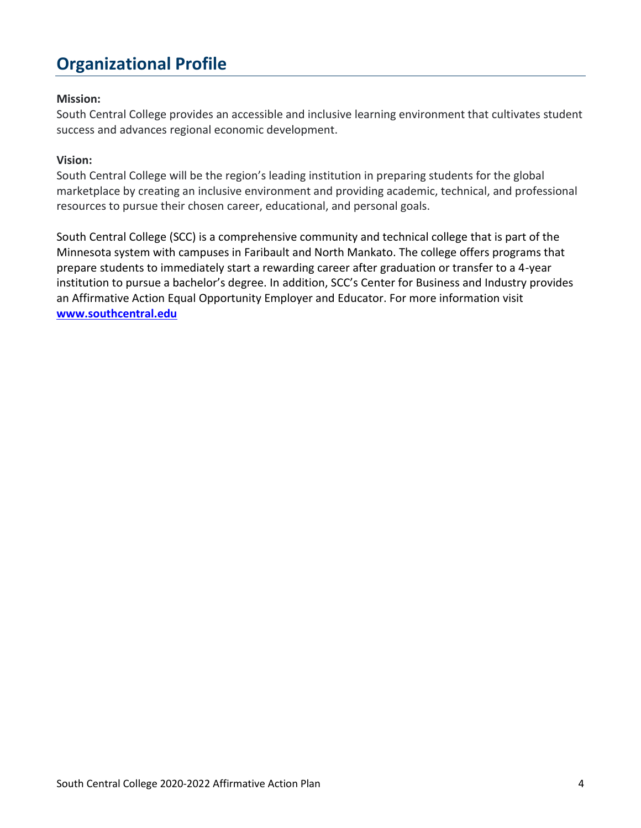## **Organizational Profile**

#### **Mission:**

South Central College provides an accessible and inclusive learning environment that cultivates student success and advances regional economic development.

#### **Vision:**

South Central College will be the region's leading institution in preparing students for the global marketplace by creating an inclusive environment and providing academic, technical, and professional resources to pursue their chosen career, educational, and personal goals.

South Central College (SCC) is a comprehensive community and technical college that is part of the Minnesota system with campuses in Faribault and North Mankato. The college offers programs that prepare students to immediately start a rewarding career after graduation or transfer to a 4-year institution to pursue a bachelor's degree. In addition, SCC's Center for Business and Industry provides an Affirmative Action Equal Opportunity Employer and Educator. For more information visit **[www.southcentral.edu](http://www.southcentral.edu/)**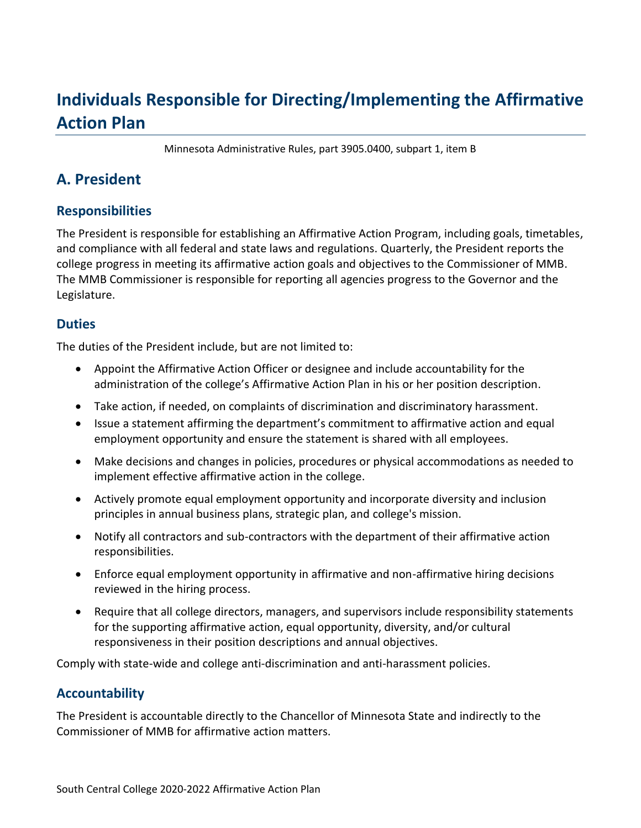## **Individuals Responsible for Directing/Implementing the Affirmative Action Plan**

Minnesota Administrative Rules, part 3905.0400, subpart 1, item B

### **A. President**

#### **Responsibilities**

The President is responsible for establishing an Affirmative Action Program, including goals, timetables, and compliance with all federal and state laws and regulations. Quarterly, the President reports the college progress in meeting its affirmative action goals and objectives to the Commissioner of MMB. The MMB Commissioner is responsible for reporting all agencies progress to the Governor and the Legislature.

#### **Duties**

The duties of the President include, but are not limited to:

- Appoint the Affirmative Action Officer or designee and include accountability for the administration of the college's Affirmative Action Plan in his or her position description.
- Take action, if needed, on complaints of discrimination and discriminatory harassment.
- Issue a statement affirming the department's commitment to affirmative action and equal employment opportunity and ensure the statement is shared with all employees.
- Make decisions and changes in policies, procedures or physical accommodations as needed to implement effective affirmative action in the college.
- Actively promote equal employment opportunity and incorporate diversity and inclusion principles in annual business plans, strategic plan, and college's mission.
- Notify all contractors and sub-contractors with the department of their affirmative action responsibilities.
- Enforce equal employment opportunity in affirmative and non-affirmative hiring decisions reviewed in the hiring process.
- Require that all college directors, managers, and supervisors include responsibility statements for the supporting affirmative action, equal opportunity, diversity, and/or cultural responsiveness in their position descriptions and annual objectives.

Comply with state-wide and college anti-discrimination and anti-harassment policies.

#### **Accountability**

The President is accountable directly to the Chancellor of Minnesota State and indirectly to the Commissioner of MMB for affirmative action matters.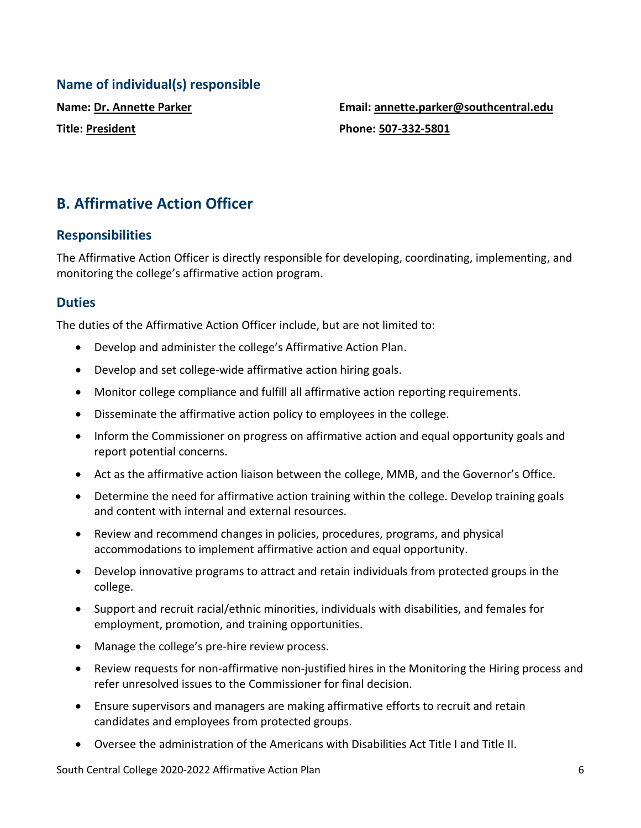#### **Name of individual(s) responsible**

**Name: Dr. Annette Parker Title: President**

**Email: annette.parker@southcentral.edu Phone: 507-332-5801**

### **B. Affirmative Action Officer**

#### **Responsibilities**

The Affirmative Action Officer is directly responsible for developing, coordinating, implementing, and monitoring the college's affirmative action program.

#### **Duties**

The duties of the Affirmative Action Officer include, but are not limited to:

- Develop and administer the college's Affirmative Action Plan.
- Develop and set college-wide affirmative action hiring goals.
- Monitor college compliance and fulfill all affirmative action reporting requirements.
- Disseminate the affirmative action policy to employees in the college.
- Inform the Commissioner on progress on affirmative action and equal opportunity goals and report potential concerns.
- Act as the affirmative action liaison between the college, MMB, and the Governor's Office.
- Determine the need for affirmative action training within the college. Develop training goals and content with internal and external resources.
- Review and recommend changes in policies, procedures, programs, and physical accommodations to implement affirmative action and equal opportunity.
- Develop innovative programs to attract and retain individuals from protected groups in the college.
- Support and recruit racial/ethnic minorities, individuals with disabilities, and females for employment, promotion, and training opportunities.
- Manage the college's pre-hire review process.
- Review requests for non-affirmative non-justified hires in the Monitoring the Hiring process and refer unresolved issues to the Commissioner for final decision.
- Ensure supervisors and managers are making affirmative efforts to recruit and retain candidates and employees from protected groups.
- Oversee the administration of the Americans with Disabilities Act Title I and Title II.

South Central College 2020-2022 Affirmative Action Plan 6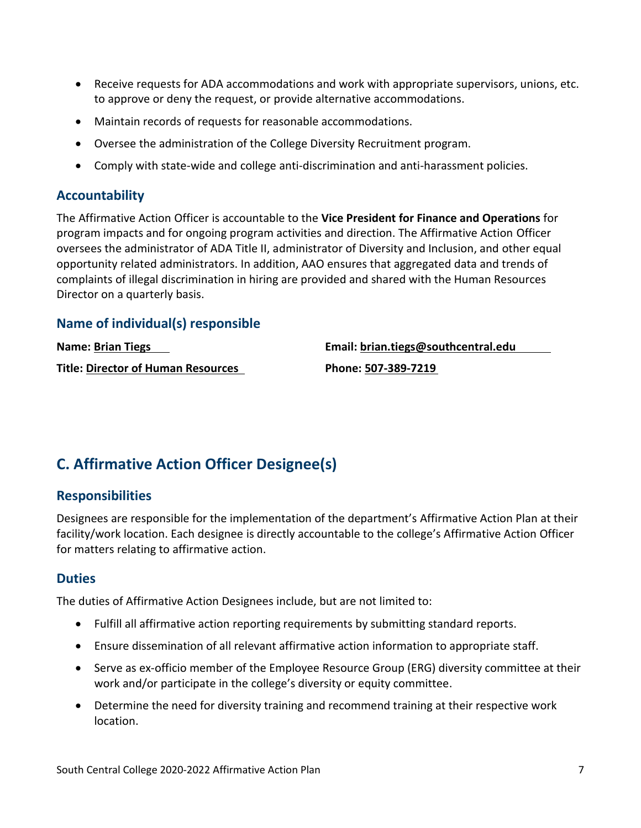- Receive requests for ADA accommodations and work with appropriate supervisors, unions, etc. to approve or deny the request, or provide alternative accommodations.
- Maintain records of requests for reasonable accommodations.
- Oversee the administration of the College Diversity Recruitment program.
- Comply with state-wide and college anti-discrimination and anti-harassment policies.

#### **Accountability**

The Affirmative Action Officer is accountable to the **Vice President for Finance and Operations** for program impacts and for ongoing program activities and direction. The Affirmative Action Officer oversees the administrator of ADA Title II, administrator of Diversity and Inclusion, and other equal opportunity related administrators. In addition, AAO ensures that aggregated data and trends of complaints of illegal discrimination in hiring are provided and shared with the Human Resources Director on a quarterly basis.

#### **Name of individual(s) responsible**

| <b>Name: Brian Tiegs</b>           | Email: brian.tiegs@southcentral.edu |
|------------------------------------|-------------------------------------|
| Title: Director of Human Resources | Phone: 507-389-7219                 |

## **C. Affirmative Action Officer Designee(s)**

#### **Responsibilities**

Designees are responsible for the implementation of the department's Affirmative Action Plan at their facility/work location. Each designee is directly accountable to the college's Affirmative Action Officer for matters relating to affirmative action.

#### **Duties**

The duties of Affirmative Action Designees include, but are not limited to:

- Fulfill all affirmative action reporting requirements by submitting standard reports.
- Ensure dissemination of all relevant affirmative action information to appropriate staff.
- Serve as ex-officio member of the Employee Resource Group (ERG) diversity committee at their work and/or participate in the college's diversity or equity committee.
- Determine the need for diversity training and recommend training at their respective work location.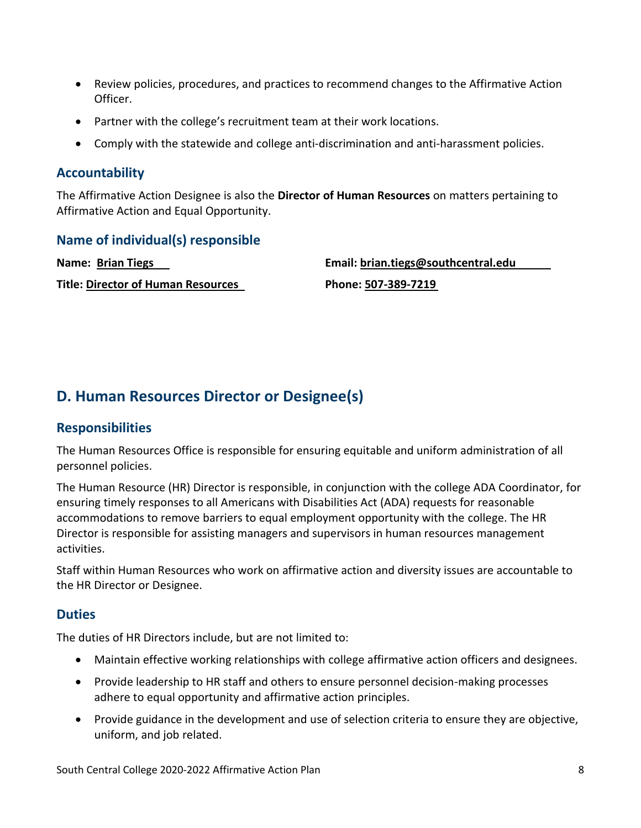- Review policies, procedures, and practices to recommend changes to the Affirmative Action Officer.
- Partner with the college's recruitment team at their work locations.
- Comply with the statewide and college anti-discrimination and anti-harassment policies.

#### **Accountability**

The Affirmative Action Designee is also the **Director of Human Resources** on matters pertaining to Affirmative Action and Equal Opportunity.

#### **Name of individual(s) responsible**

**Name: Brian Tiegs Title: Director of Human Resources** **Email: brian.tiegs@southcentral.edu**

**Phone: 507-389-7219**

## **D. Human Resources Director or Designee(s)**

#### **Responsibilities**

The Human Resources Office is responsible for ensuring equitable and uniform administration of all personnel policies.

The Human Resource (HR) Director is responsible, in conjunction with the college ADA Coordinator, for ensuring timely responses to all Americans with Disabilities Act (ADA) requests for reasonable accommodations to remove barriers to equal employment opportunity with the college. The HR Director is responsible for assisting managers and supervisors in human resources management activities.

Staff within Human Resources who work on affirmative action and diversity issues are accountable to the HR Director or Designee.

#### **Duties**

The duties of HR Directors include, but are not limited to:

- Maintain effective working relationships with college affirmative action officers and designees.
- Provide leadership to HR staff and others to ensure personnel decision-making processes adhere to equal opportunity and affirmative action principles.
- Provide guidance in the development and use of selection criteria to ensure they are objective, uniform, and job related.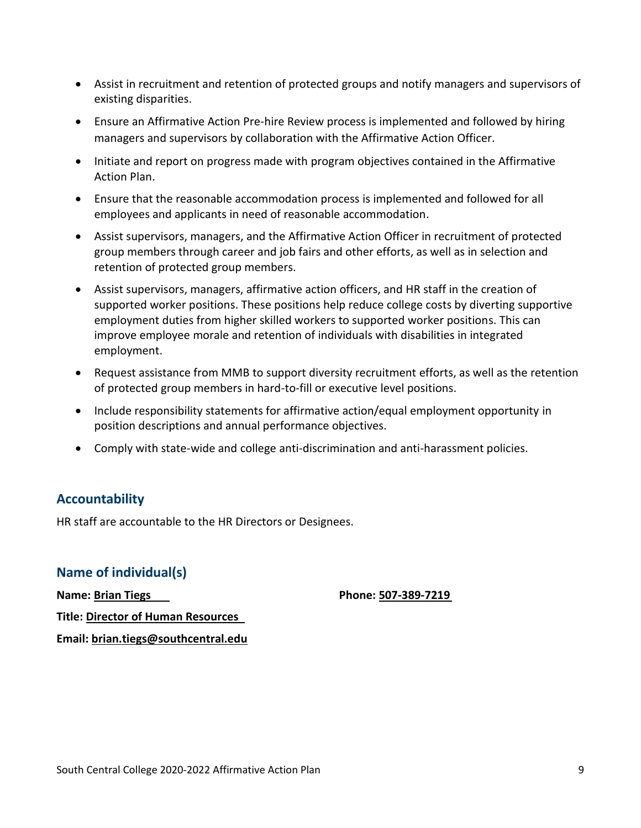- Assist in recruitment and retention of protected groups and notify managers and supervisors of existing disparities.
- Ensure an Affirmative Action Pre-hire Review process is implemented and followed by hiring managers and supervisors by collaboration with the Affirmative Action Officer.
- Initiate and report on progress made with program objectives contained in the Affirmative Action Plan.
- Ensure that the reasonable accommodation process is implemented and followed for all employees and applicants in need of reasonable accommodation.
- Assist supervisors, managers, and the Affirmative Action Officer in recruitment of protected group members through career and job fairs and other efforts, as well as in selection and retention of protected group members.
- Assist supervisors, managers, affirmative action officers, and HR staff in the creation of supported worker positions. These positions help reduce college costs by diverting supportive employment duties from higher skilled workers to supported worker positions. This can improve employee morale and retention of individuals with disabilities in integrated employment.
- Request assistance from MMB to support diversity recruitment efforts, as well as the retention of protected group members in hard-to-fill or executive level positions.
- Include responsibility statements for affirmative action/equal employment opportunity in position descriptions and annual performance objectives.
- Comply with state-wide and college anti-discrimination and anti-harassment policies.

#### **Accountability**

HR staff are accountable to the HR Directors or Designees.

#### **Name of individual(s)**

**Phone: 507-389-7219**

**Name: Brian Tiegs Title: Director of Human Resources Email: brian.tiegs@southcentral.edu**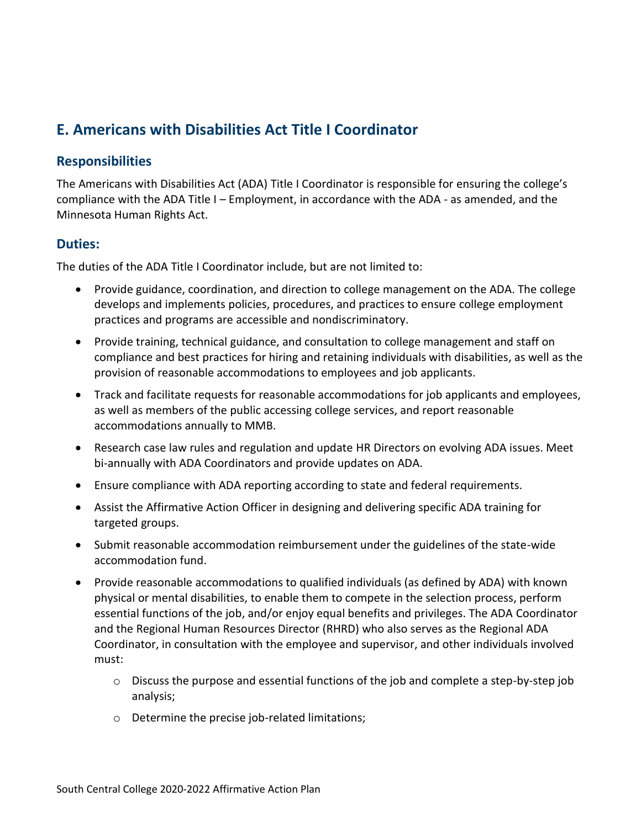### **E. Americans with Disabilities Act Title I Coordinator**

#### **Responsibilities**

The Americans with Disabilities Act (ADA) Title I Coordinator is responsible for ensuring the college's compliance with the ADA Title I – Employment, in accordance with the ADA - as amended, and the Minnesota Human Rights Act.

#### **Duties:**

The duties of the ADA Title I Coordinator include, but are not limited to:

- Provide guidance, coordination, and direction to college management on the ADA. The college develops and implements policies, procedures, and practices to ensure college employment practices and programs are accessible and nondiscriminatory.
- Provide training, technical guidance, and consultation to college management and staff on compliance and best practices for hiring and retaining individuals with disabilities, as well as the provision of reasonable accommodations to employees and job applicants.
- Track and facilitate requests for reasonable accommodations for job applicants and employees, as well as members of the public accessing college services, and report reasonable accommodations annually to MMB.
- Research case law rules and regulation and update HR Directors on evolving ADA issues. Meet bi-annually with ADA Coordinators and provide updates on ADA.
- Ensure compliance with ADA reporting according to state and federal requirements.
- Assist the Affirmative Action Officer in designing and delivering specific ADA training for targeted groups.
- Submit reasonable accommodation reimbursement under the guidelines of the state-wide accommodation fund.
- Provide reasonable accommodations to qualified individuals (as defined by ADA) with known physical or mental disabilities, to enable them to compete in the selection process, perform essential functions of the job, and/or enjoy equal benefits and privileges. The ADA Coordinator and the Regional Human Resources Director (RHRD) who also serves as the Regional ADA Coordinator, in consultation with the employee and supervisor, and other individuals involved must:
	- $\circ$  Discuss the purpose and essential functions of the job and complete a step-by-step job analysis;
	- o Determine the precise job-related limitations;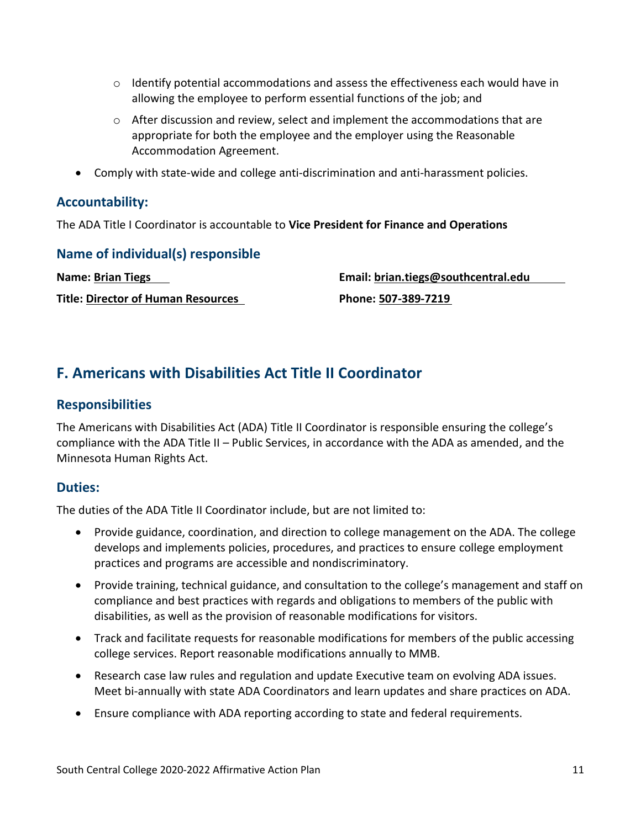- $\circ$  Identify potential accommodations and assess the effectiveness each would have in allowing the employee to perform essential functions of the job; and
- o After discussion and review, select and implement the accommodations that are appropriate for both the employee and the employer using the Reasonable Accommodation Agreement.
- Comply with state-wide and college anti-discrimination and anti-harassment policies.

#### **Accountability:**

The ADA Title I Coordinator is accountable to **Vice President for Finance and Operations**

**Name of individual(s) responsible Name: Brian Tiegs**

**Title: Director of Human Resources**

**Email: brian.tiegs@southcentral.edu Phone: 507-389-7219**

### **F. Americans with Disabilities Act Title II Coordinator**

#### **Responsibilities**

The Americans with Disabilities Act (ADA) Title II Coordinator is responsible ensuring the college's compliance with the ADA Title II – Public Services, in accordance with the ADA as amended, and the Minnesota Human Rights Act.

#### **Duties:**

The duties of the ADA Title II Coordinator include, but are not limited to:

- Provide guidance, coordination, and direction to college management on the ADA. The college develops and implements policies, procedures, and practices to ensure college employment practices and programs are accessible and nondiscriminatory.
- Provide training, technical guidance, and consultation to the college's management and staff on compliance and best practices with regards and obligations to members of the public with disabilities, as well as the provision of reasonable modifications for visitors.
- Track and facilitate requests for reasonable modifications for members of the public accessing college services. Report reasonable modifications annually to MMB.
- Research case law rules and regulation and update Executive team on evolving ADA issues. Meet bi-annually with state ADA Coordinators and learn updates and share practices on ADA.
- Ensure compliance with ADA reporting according to state and federal requirements.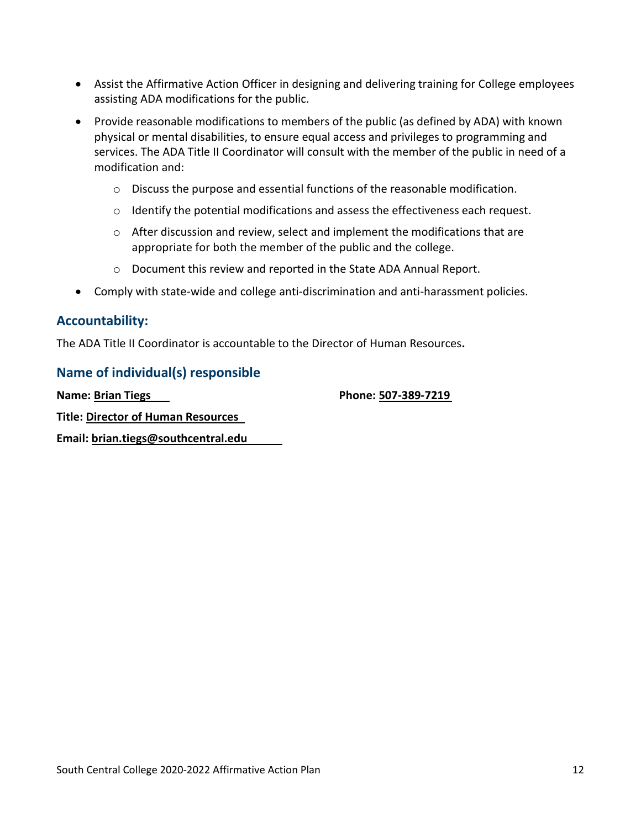- Assist the Affirmative Action Officer in designing and delivering training for College employees assisting ADA modifications for the public.
- Provide reasonable modifications to members of the public (as defined by ADA) with known physical or mental disabilities, to ensure equal access and privileges to programming and services. The ADA Title II Coordinator will consult with the member of the public in need of a modification and:
	- $\circ$  Discuss the purpose and essential functions of the reasonable modification.
	- o Identify the potential modifications and assess the effectiveness each request.
	- $\circ$  After discussion and review, select and implement the modifications that are appropriate for both the member of the public and the college.
	- o Document this review and reported in the State ADA Annual Report.
- Comply with state-wide and college anti-discrimination and anti-harassment policies.

#### **Accountability:**

The ADA Title II Coordinator is accountable to the Director of Human Resources**.**

#### **Name of individual(s) responsible**

**Name: Brian Tiegs**

**Phone: 507-389-7219**

**Title: Director of Human Resources**

**Email: brian.tiegs@southcentral.edu**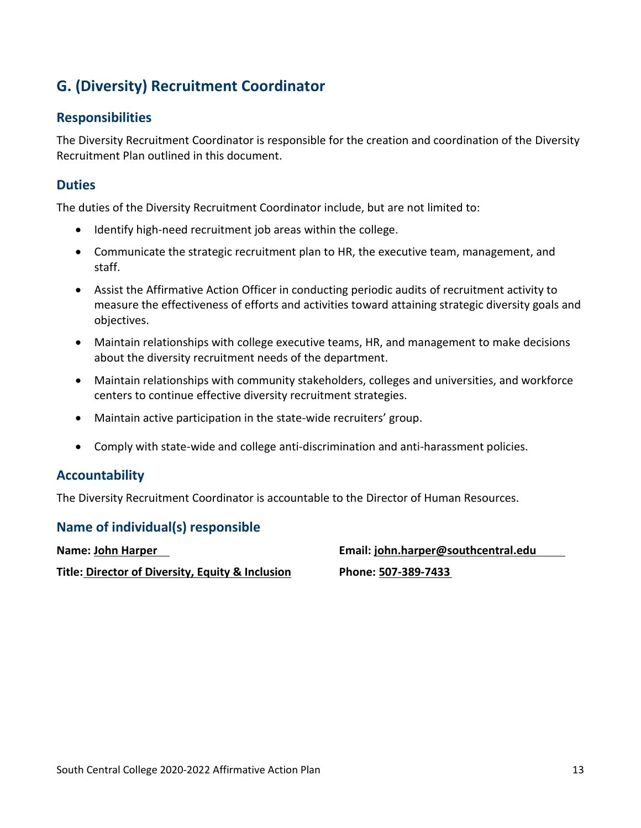## **G. (Diversity) Recruitment Coordinator**

#### **Responsibilities**

The Diversity Recruitment Coordinator is responsible for the creation and coordination of the Diversity Recruitment Plan outlined in this document.

#### **Duties**

The duties of the Diversity Recruitment Coordinator include, but are not limited to:

- Identify high-need recruitment job areas within the college.
- Communicate the strategic recruitment plan to HR, the executive team, management, and staff.
- Assist the Affirmative Action Officer in conducting periodic audits of recruitment activity to measure the effectiveness of efforts and activities toward attaining strategic diversity goals and objectives.
- Maintain relationships with college executive teams, HR, and management to make decisions about the diversity recruitment needs of the department.
- Maintain relationships with community stakeholders, colleges and universities, and workforce centers to continue effective diversity recruitment strategies.
- Maintain active participation in the state-wide recruiters' group.
- Comply with state-wide and college anti-discrimination and anti-harassment policies.

#### **Accountability**

The Diversity Recruitment Coordinator is accountable to the Director of Human Resources.

#### **Name of individual(s) responsible**

**Name: John Harper**

**Title: Director of Diversity, Equity & Inclusion**

**Email: [john.harper@southcentral.edu](mailto:john.harper@southcentral.edu) Phone: 507-389-7433**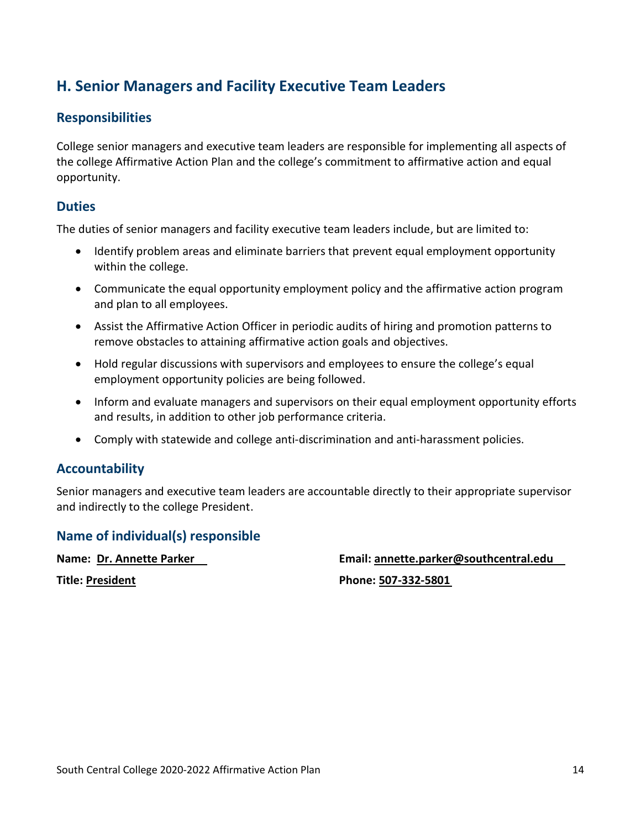### **H. Senior Managers and Facility Executive Team Leaders**

#### **Responsibilities**

College senior managers and executive team leaders are responsible for implementing all aspects of the college Affirmative Action Plan and the college's commitment to affirmative action and equal opportunity.

#### **Duties**

The duties of senior managers and facility executive team leaders include, but are limited to:

- Identify problem areas and eliminate barriers that prevent equal employment opportunity within the college.
- Communicate the equal opportunity employment policy and the affirmative action program and plan to all employees.
- Assist the Affirmative Action Officer in periodic audits of hiring and promotion patterns to remove obstacles to attaining affirmative action goals and objectives.
- Hold regular discussions with supervisors and employees to ensure the college's equal employment opportunity policies are being followed.
- Inform and evaluate managers and supervisors on their equal employment opportunity efforts and results, in addition to other job performance criteria.
- Comply with statewide and college anti-discrimination and anti-harassment policies.

#### **Accountability**

Senior managers and executive team leaders are accountable directly to their appropriate supervisor and indirectly to the college President.

#### **Name of individual(s) responsible**

**Name: Dr. Annette Parker**

**Title: President**

**Email: annette.parker@southcentral.edu**

**Phone: 507-332-5801**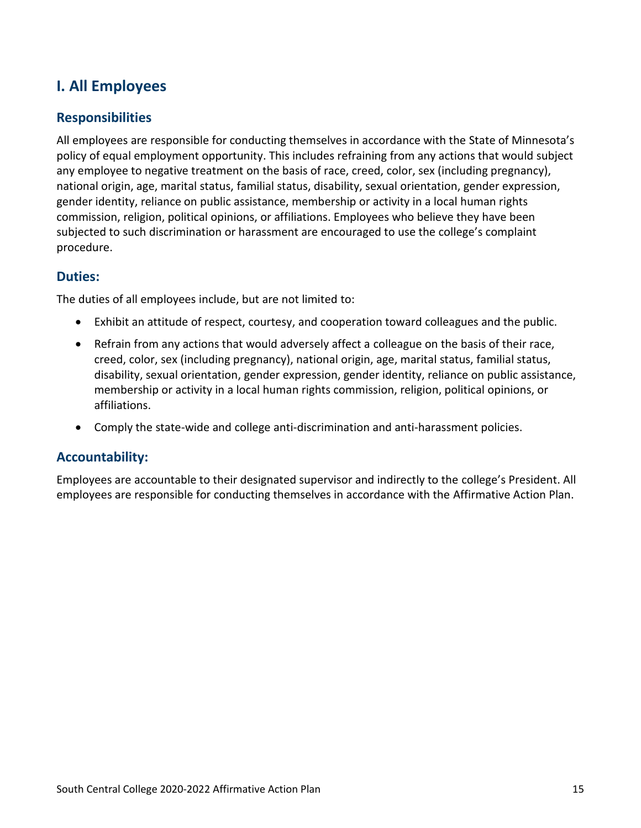### **I. All Employees**

#### **Responsibilities**

All employees are responsible for conducting themselves in accordance with the State of Minnesota's policy of equal employment opportunity. This includes refraining from any actions that would subject any employee to negative treatment on the basis of race, creed, color, sex (including pregnancy), national origin, age, marital status, familial status, disability, sexual orientation, gender expression, gender identity, reliance on public assistance, membership or activity in a local human rights commission, religion, political opinions, or affiliations. Employees who believe they have been subjected to such discrimination or harassment are encouraged to use the college's complaint procedure.

#### **Duties:**

The duties of all employees include, but are not limited to:

- Exhibit an attitude of respect, courtesy, and cooperation toward colleagues and the public.
- Refrain from any actions that would adversely affect a colleague on the basis of their race, creed, color, sex (including pregnancy), national origin, age, marital status, familial status, disability, sexual orientation, gender expression, gender identity, reliance on public assistance, membership or activity in a local human rights commission, religion, political opinions, or affiliations.
- Comply the state-wide and college anti-discrimination and anti-harassment policies.

#### **Accountability:**

Employees are accountable to their designated supervisor and indirectly to the college's President. All employees are responsible for conducting themselves in accordance with the Affirmative Action Plan.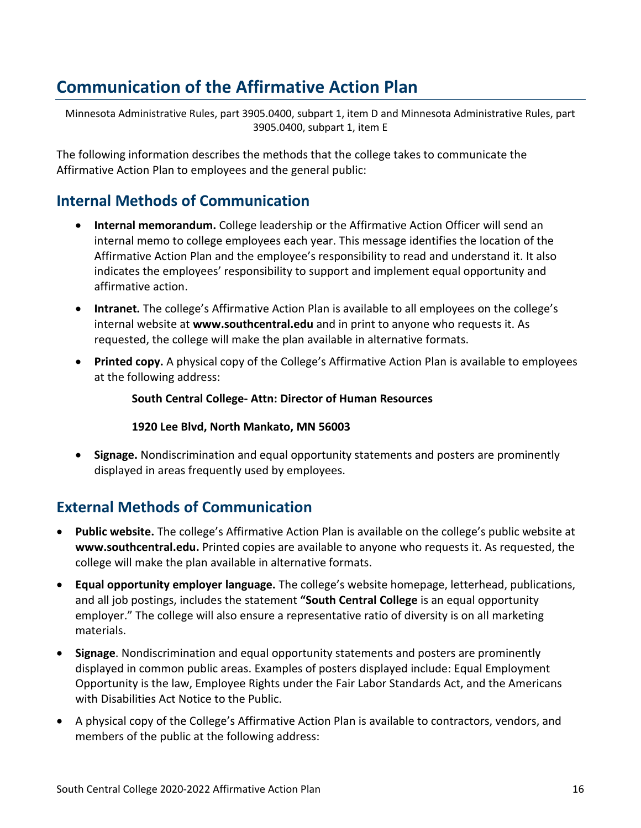## **Communication of the Affirmative Action Plan**

Minnesota Administrative Rules, part 3905.0400, subpart 1, item D and Minnesota Administrative Rules, part 3905.0400, subpart 1, item E

The following information describes the methods that the college takes to communicate the Affirmative Action Plan to employees and the general public:

### **Internal Methods of Communication**

- **Internal memorandum.** College leadership or the Affirmative Action Officer will send an internal memo to college employees each year. This message identifies the location of the Affirmative Action Plan and the employee's responsibility to read and understand it. It also indicates the employees' responsibility to support and implement equal opportunity and affirmative action.
- **Intranet.** The college's Affirmative Action Plan is available to all employees on the college's internal website at **www.southcentral.edu** and in print to anyone who requests it. As requested, the college will make the plan available in alternative formats.
- **Printed copy.** A physical copy of the College's Affirmative Action Plan is available to employees at the following address:

#### **South Central College- Attn: Director of Human Resources**

#### **1920 Lee Blvd, North Mankato, MN 56003**

• **Signage.** Nondiscrimination and equal opportunity statements and posters are prominently displayed in areas frequently used by employees.

### **External Methods of Communication**

- **Public website.** The college's Affirmative Action Plan is available on the college's public website at **www.southcentral.edu.** Printed copies are available to anyone who requests it. As requested, the college will make the plan available in alternative formats.
- **Equal opportunity employer language.** The college's website homepage, letterhead, publications, and all job postings, includes the statement **"South Central College** is an equal opportunity employer." The college will also ensure a representative ratio of diversity is on all marketing materials.
- **Signage**. Nondiscrimination and equal opportunity statements and posters are prominently displayed in common public areas. Examples of posters displayed include: Equal Employment Opportunity is the law, Employee Rights under the Fair Labor Standards Act, and the Americans with Disabilities Act Notice to the Public.
- A physical copy of the College's Affirmative Action Plan is available to contractors, vendors, and members of the public at the following address: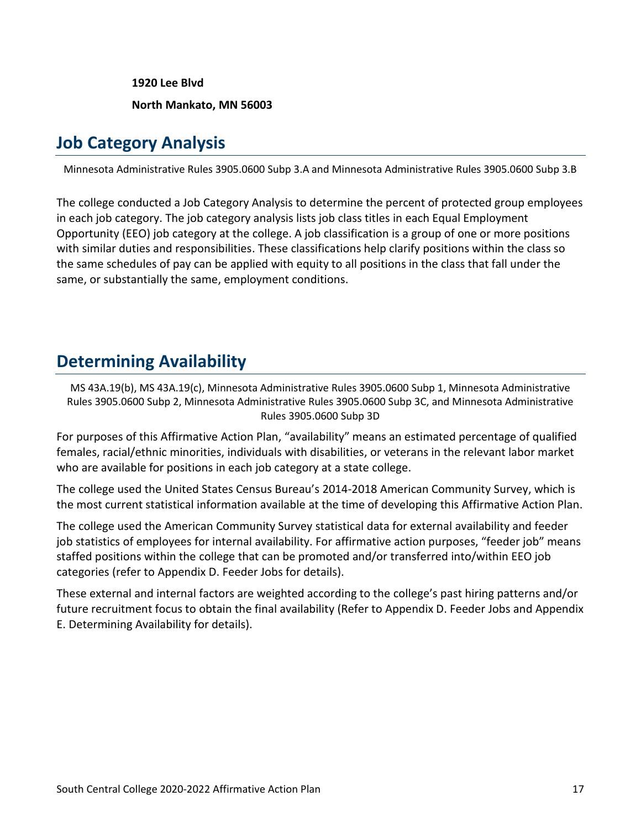**1920 Lee Blvd North Mankato, MN 56003**

## **Job Category Analysis**

Minnesota Administrative Rules 3905.0600 Subp 3.A and Minnesota Administrative Rules 3905.0600 Subp 3.B

The college conducted a Job Category Analysis to determine the percent of protected group employees in each job category. The job category analysis lists job class titles in each Equal Employment Opportunity (EEO) job category at the college. A job classification is a group of one or more positions with similar duties and responsibilities. These classifications help clarify positions within the class so the same schedules of pay can be applied with equity to all positions in the class that fall under the same, or substantially the same, employment conditions.

## **Determining Availability**

MS 43A.19(b), MS 43A.19(c), Minnesota Administrative Rules 3905.0600 Subp 1, Minnesota Administrative Rules 3905.0600 Subp 2, Minnesota Administrative Rules 3905.0600 Subp 3C, and Minnesota Administrative Rules 3905.0600 Subp 3D

For purposes of this Affirmative Action Plan, "availability" means an estimated percentage of qualified females, racial/ethnic minorities, individuals with disabilities, or veterans in the relevant labor market who are available for positions in each job category at a state college.

The college used the United States Census Bureau's 2014-2018 American Community Survey, which is the most current statistical information available at the time of developing this Affirmative Action Plan.

The college used the American Community Survey statistical data for external availability and feeder job statistics of employees for internal availability. For affirmative action purposes, "feeder job" means staffed positions within the college that can be promoted and/or transferred into/within EEO job categories (refer to Appendix D. Feeder Jobs for details).

<span id="page-19-0"></span>These external and internal factors are weighted according to the college's past hiring patterns and/or future recruitment focus to obtain the final availability (Refer to Appendix D. Feeder Jobs and Appendix E. Determining Availability for details).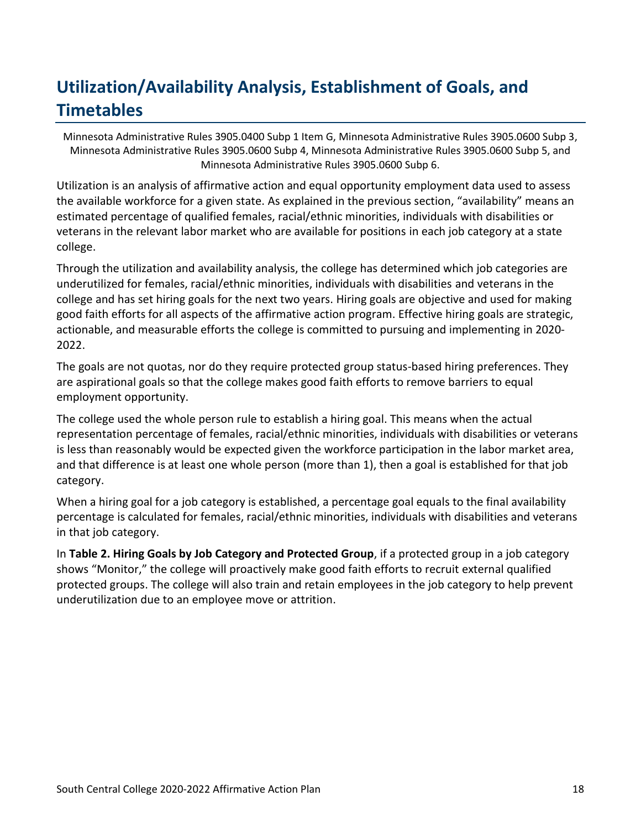## **Utilization/Availability Analysis, Establishment of Goals, and Timetables**

Minnesota Administrative Rules 3905.0400 Subp 1 Item G, Minnesota Administrative Rules 3905.0600 Subp 3, Minnesota Administrative Rules 3905.0600 Subp 4, Minnesota Administrative Rules 3905.0600 Subp 5, and Minnesota Administrative Rules 3905.0600 Subp 6.

Utilization is an analysis of affirmative action and equal opportunity employment data used to assess the available workforce for a given state. As explained in the previous section, "availability" means an estimated percentage of qualified females, racial/ethnic minorities, individuals with disabilities or veterans in the relevant labor market who are available for positions in each job category at a state college.

Through the utilization and availability analysis, the college has determined which job categories are underutilized for females, racial/ethnic minorities, individuals with disabilities and veterans in the college and has set hiring goals for the next two years. Hiring goals are objective and used for making good faith efforts for all aspects of the affirmative action program. Effective hiring goals are strategic, actionable, and measurable efforts the college is committed to pursuing and implementing in 2020- 2022.

The goals are not quotas, nor do they require protected group status-based hiring preferences. They are aspirational goals so that the college makes good faith efforts to remove barriers to equal employment opportunity.

The college used the whole person rule to establish a hiring goal. This means when the actual representation percentage of females, racial/ethnic minorities, individuals with disabilities or veterans is less than reasonably would be expected given the workforce participation in the labor market area, and that difference is at least one whole person (more than 1), then a goal is established for that job category.

When a hiring goal for a job category is established, a percentage goal equals to the final availability percentage is calculated for females, racial/ethnic minorities, individuals with disabilities and veterans in that job category.

In **Table 2. Hiring Goals by Job Category and Protected Group**, if a protected group in a job category shows "Monitor," the college will proactively make good faith efforts to recruit external qualified protected groups. The college will also train and retain employees in the job category to help prevent underutilization due to an employee move or attrition.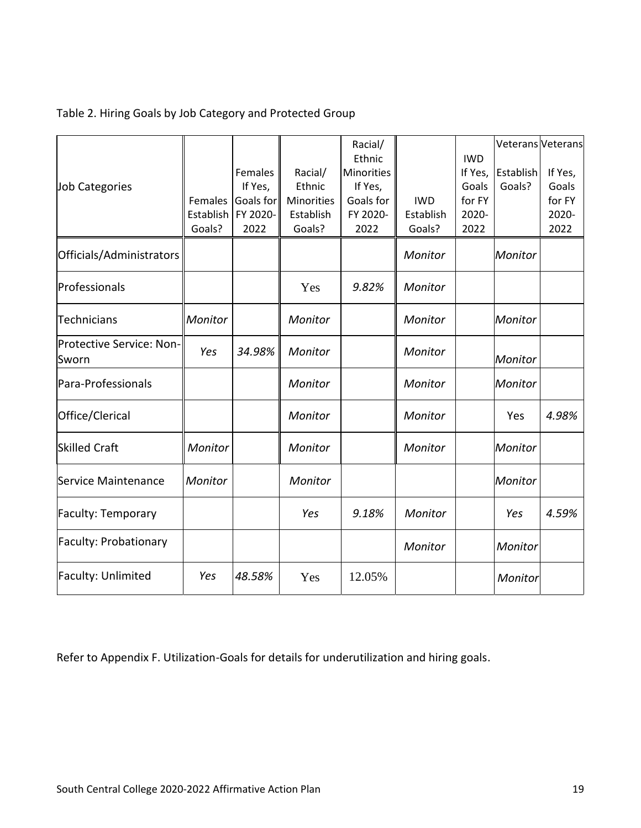#### Table 2. Hiring Goals by Job Category and Protected Group

|                                   |           |           |            | Racial/    |            |            | Veterans Veterans |         |
|-----------------------------------|-----------|-----------|------------|------------|------------|------------|-------------------|---------|
|                                   |           |           |            | Ethnic     |            | <b>IWD</b> |                   |         |
|                                   |           | Females   | Racial/    | Minorities |            | If Yes,    | Establish         | If Yes, |
| Job Categories                    |           | If Yes,   | Ethnic     | If Yes,    |            | Goals      | Goals?            | Goals   |
|                                   | Females   | Goals for | Minorities | Goals for  | <b>IWD</b> | for FY     |                   | for FY  |
|                                   | Establish | FY 2020-  | Establish  | FY 2020-   | Establish  | 2020-      |                   | 2020-   |
|                                   | Goals?    | 2022      | Goals?     | 2022       | Goals?     | 2022       |                   | 2022    |
| Officials/Administrators          |           |           |            |            | Monitor    |            | Monitor           |         |
| Professionals                     |           |           | Yes        | 9.82%      | Monitor    |            |                   |         |
| <b>Technicians</b>                | Monitor   |           | Monitor    |            | Monitor    |            | Monitor           |         |
| Protective Service: Non-<br>Sworn | Yes       | 34.98%    | Monitor    |            | Monitor    |            | Monitor           |         |
| Para-Professionals                |           |           | Monitor    |            | Monitor    |            | Monitor           |         |
| Office/Clerical                   |           |           | Monitor    |            | Monitor    |            | Yes               | 4.98%   |
| <b>Skilled Craft</b>              | Monitor   |           | Monitor    |            | Monitor    |            | Monitor           |         |
| Service Maintenance               | Monitor   |           | Monitor    |            |            |            | Monitor           |         |
| <b>Faculty: Temporary</b>         |           |           | Yes        | 9.18%      | Monitor    |            | Yes               | 4.59%   |
| <b>Faculty: Probationary</b>      |           |           |            |            | Monitor    |            | Monitor           |         |
| Faculty: Unlimited                | Yes       | 48.58%    | Yes        | 12.05%     |            |            | Monitor           |         |

Refer to Appendix F. Utilization-Goals for details for underutilization and hiring goals.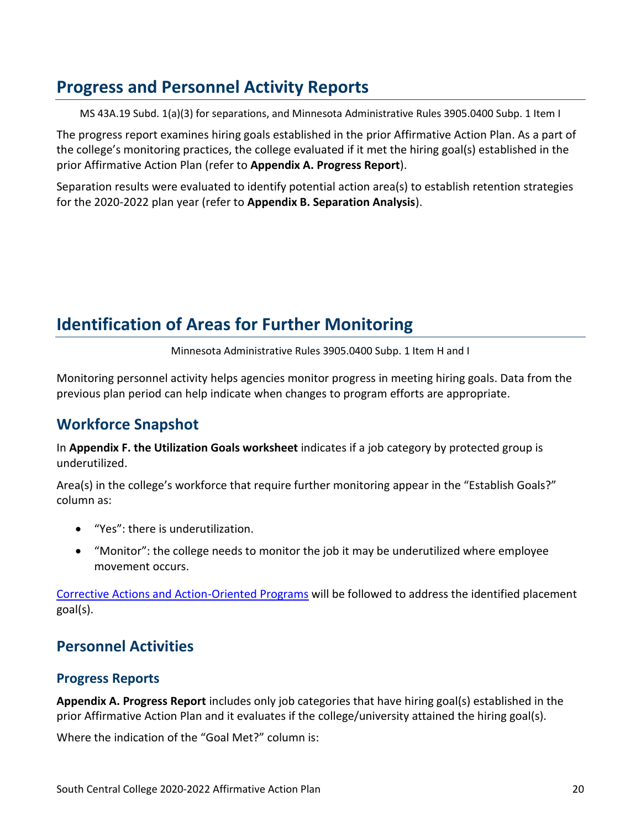## **Progress and Personnel Activity Reports**

MS 43A.19 Subd. 1(a)(3) for separations, and Minnesota Administrative Rules 3905.0400 Subp. 1 Item I

The progress report examines hiring goals established in the prior Affirmative Action Plan. As a part of the college's monitoring practices, the college evaluated if it met the hiring goal(s) established in the prior Affirmative Action Plan (refer to **Appendix A. Progress Report**).

<span id="page-22-0"></span>Separation results were evaluated to identify potential action area(s) to establish retention strategies for the 2020-2022 plan year (refer to **Appendix B. Separation Analysis**).

## **Identification of Areas for Further Monitoring**

Minnesota Administrative Rules 3905.0400 Subp. 1 Item H and I

Monitoring personnel activity helps agencies monitor progress in meeting hiring goals. Data from the previous plan period can help indicate when changes to program efforts are appropriate.

### **Workforce Snapshot**

In **Appendix F. the Utilization Goals worksheet** indicates if a job category by protected group is underutilized.

Area(s) in the college's workforce that require further monitoring appear in the "Establish Goals?" column as:

- "Yes": there is underutilization.
- "Monitor": the college needs to monitor the job it may be underutilized where employee movement occurs.

Corrective Actions and Action-Oriented Programs will be followed to address the identified placement goal(s).

## <span id="page-22-1"></span>**Personnel Activities**

#### **Progress Reports**

**Appendix A. Progress Report** includes only job categories that have hiring goal(s) established in the prior Affirmative Action Plan and it evaluates if the college/university attained the hiring goal(s).

Where the indication of the "Goal Met?" column is: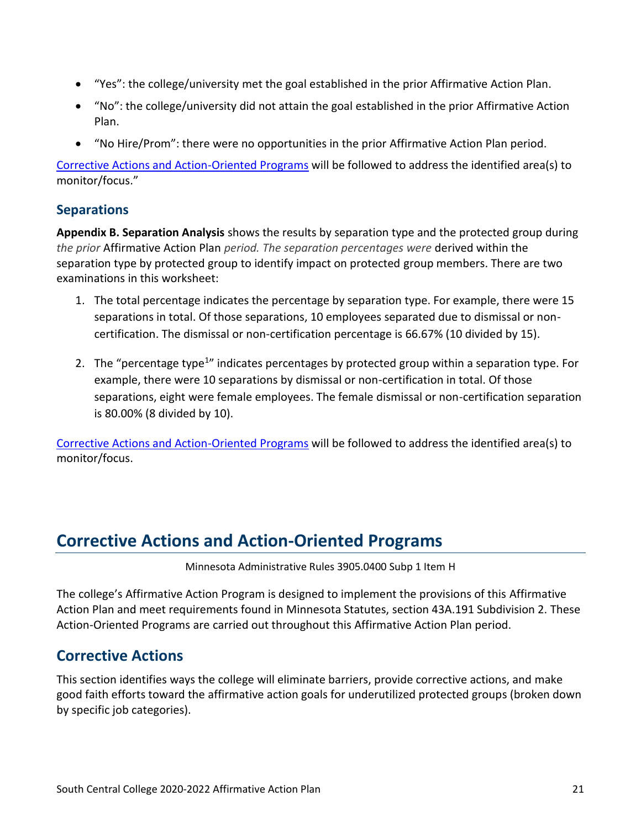- "Yes": the college/university met the goal established in the prior Affirmative Action Plan.
- "No": the college/university did not attain the goal established in the prior Affirmative Action Plan.
- "No Hire/Prom": there were no opportunities in the prior Affirmative Action Plan period.

[Corrective Actions and Action-Oriented Programs](file:///C:/Users/sn5879qw/Downloads/2020-2022%20AAP%20Template%20-%20MN%20State%20-%20FINAL%20(4).docx%23_Corrective_Actions_and) will be followed to address the identified area(s) to monitor/focus."

#### **Separations**

**Appendix B. Separation Analysis** shows the results by separation type and the protected group during *the prior* Affirmative Action Plan *period. The separation percentages were* derived within the separation type by protected group to identify impact on protected group members. There are two examinations in this worksheet:

- 1. The total percentage indicates the percentage by separation type. For example, there were 15 separations in total. Of those separations, 10 employees separated due to dismissal or noncertification. The dismissal or non-certification percentage is 66.67% (10 divided by 15).
- 2. The "percentage type<sup>1</sup>" indicates percentages by protected group within a separation type. For example, there were 10 separations by dismissal or non-certification in total. Of those separations, eight were female employees. The female dismissal or non-certification separation is 80.00% (8 divided by 10).

[Corrective Actions and Action-Oriented Programs](file:///C:/Users/sn5879qw/Downloads/2020-2022%20AAP%20Template%20-%20MN%20State%20-%20FINAL%20(4).docx%23_Corrective_Actions_and) will be followed to address the identified area(s) to monitor/focus.

## **Corrective Actions and Action-Oriented Programs**

Minnesota Administrative Rules 3905.0400 Subp 1 Item H

The college's Affirmative Action Program is designed to implement the provisions of this Affirmative Action Plan and meet requirements found in Minnesota Statutes, section 43A.191 Subdivision 2. These Action-Oriented Programs are carried out throughout this Affirmative Action Plan period.

### **Corrective Actions**

This section identifies ways the college will eliminate barriers, provide corrective actions, and make good faith efforts toward the affirmative action goals for underutilized protected groups (broken down by specific job categories).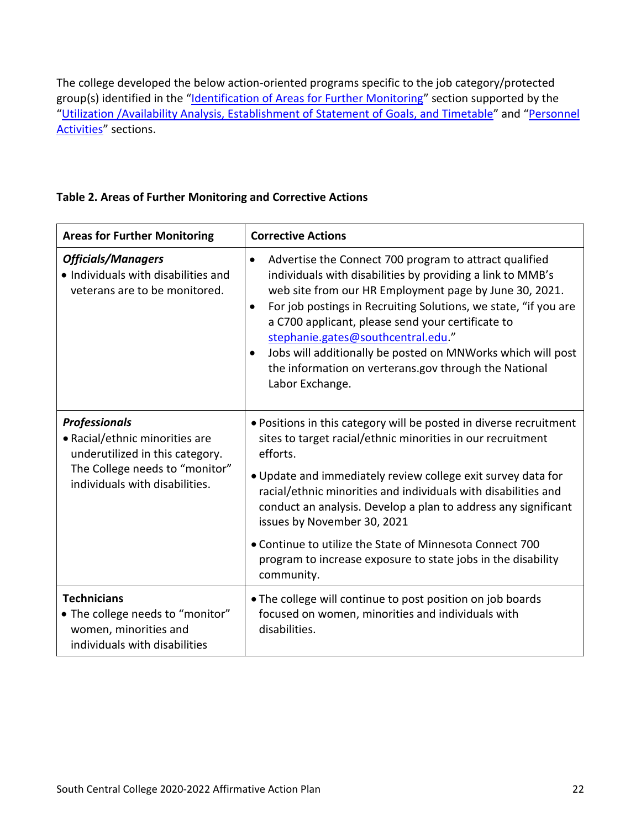The college developed the below action-oriented programs specific to the job category/protected group(s) identified in the "Identification of Areas [for Further Monitoring](#page-22-0)" section supported by the "Utilization /Availability Analysis, [Establishment of Statement of Goals, and Timetable](#page-19-0)" and "Personnel [Activities](#page-22-1)" sections.

#### **Table 2. Areas of Further Monitoring and Corrective Actions**

| <b>Areas for Further Monitoring</b>                                                                                                                           | <b>Corrective Actions</b>                                                                                                                                                                                                                                                                                                                                                                                                                                                                                                      |  |  |  |
|---------------------------------------------------------------------------------------------------------------------------------------------------------------|--------------------------------------------------------------------------------------------------------------------------------------------------------------------------------------------------------------------------------------------------------------------------------------------------------------------------------------------------------------------------------------------------------------------------------------------------------------------------------------------------------------------------------|--|--|--|
| <b>Officials/Managers</b><br>• Individuals with disabilities and<br>veterans are to be monitored.                                                             | Advertise the Connect 700 program to attract qualified<br>$\bullet$<br>individuals with disabilities by providing a link to MMB's<br>web site from our HR Employment page by June 30, 2021.<br>For job postings in Recruiting Solutions, we state, "if you are<br>$\bullet$<br>a C700 applicant, please send your certificate to<br>stephanie.gates@southcentral.edu."<br>Jobs will additionally be posted on MNWorks which will post<br>$\bullet$<br>the information on verterans.gov through the National<br>Labor Exchange. |  |  |  |
| <b>Professionals</b><br>• Racial/ethnic minorities are<br>underutilized in this category.<br>The College needs to "monitor"<br>individuals with disabilities. | • Positions in this category will be posted in diverse recruitment<br>sites to target racial/ethnic minorities in our recruitment<br>efforts.<br>• Update and immediately review college exit survey data for<br>racial/ethnic minorities and individuals with disabilities and<br>conduct an analysis. Develop a plan to address any significant<br>issues by November 30, 2021<br>• Continue to utilize the State of Minnesota Connect 700<br>program to increase exposure to state jobs in the disability<br>community.     |  |  |  |
| <b>Technicians</b><br>• The college needs to "monitor"<br>women, minorities and<br>individuals with disabilities                                              | . The college will continue to post position on job boards<br>focused on women, minorities and individuals with<br>disabilities.                                                                                                                                                                                                                                                                                                                                                                                               |  |  |  |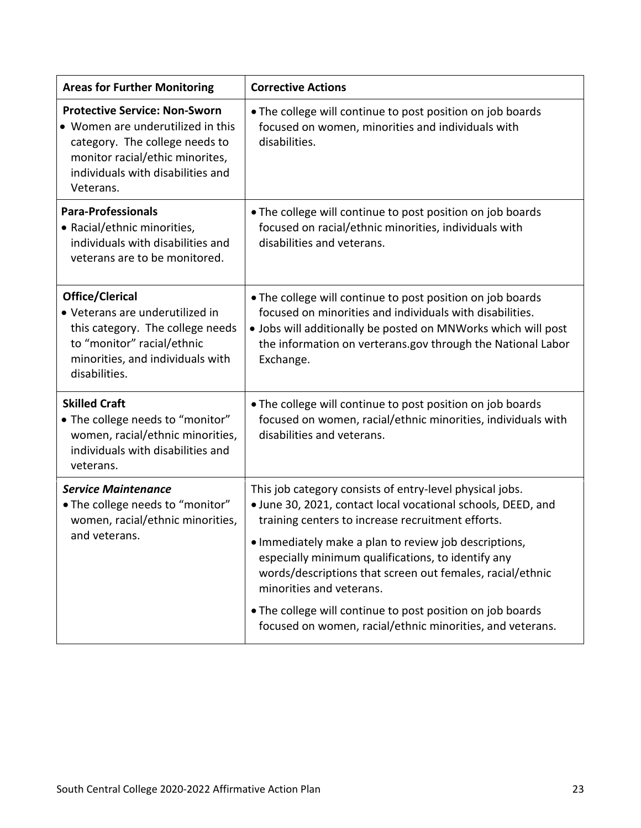| <b>Areas for Further Monitoring</b>                                                                                                                                                              | <b>Corrective Actions</b>                                                                                                                                                                                                                                                                                                                                                                                                                                                                                        |
|--------------------------------------------------------------------------------------------------------------------------------------------------------------------------------------------------|------------------------------------------------------------------------------------------------------------------------------------------------------------------------------------------------------------------------------------------------------------------------------------------------------------------------------------------------------------------------------------------------------------------------------------------------------------------------------------------------------------------|
| <b>Protective Service: Non-Sworn</b><br>• Women are underutilized in this<br>category. The college needs to<br>monitor racial/ethic minorites,<br>individuals with disabilities and<br>Veterans. | . The college will continue to post position on job boards<br>focused on women, minorities and individuals with<br>disabilities.                                                                                                                                                                                                                                                                                                                                                                                 |
| <b>Para-Professionals</b><br>• Racial/ethnic minorities,<br>individuals with disabilities and<br>veterans are to be monitored.                                                                   | . The college will continue to post position on job boards<br>focused on racial/ethnic minorities, individuals with<br>disabilities and veterans.                                                                                                                                                                                                                                                                                                                                                                |
| Office/Clerical<br>• Veterans are underutilized in<br>this category. The college needs<br>to "monitor" racial/ethnic<br>minorities, and individuals with<br>disabilities.                        | . The college will continue to post position on job boards<br>focused on minorities and individuals with disabilities.<br>. Jobs will additionally be posted on MNWorks which will post<br>the information on verterans.gov through the National Labor<br>Exchange.                                                                                                                                                                                                                                              |
| <b>Skilled Craft</b><br>· The college needs to "monitor"<br>women, racial/ethnic minorities,<br>individuals with disabilities and<br>veterans.                                                   | . The college will continue to post position on job boards<br>focused on women, racial/ethnic minorities, individuals with<br>disabilities and veterans.                                                                                                                                                                                                                                                                                                                                                         |
| <b>Service Maintenance</b><br>. The college needs to "monitor"<br>women, racial/ethnic minorities,<br>and veterans.                                                                              | This job category consists of entry-level physical jobs.<br>· June 30, 2021, contact local vocational schools, DEED, and<br>training centers to increase recruitment efforts.<br>. Immediately make a plan to review job descriptions,<br>especially minimum qualifications, to identify any<br>words/descriptions that screen out females, racial/ethnic<br>minorities and veterans.<br>. The college will continue to post position on job boards<br>focused on women, racial/ethnic minorities, and veterans. |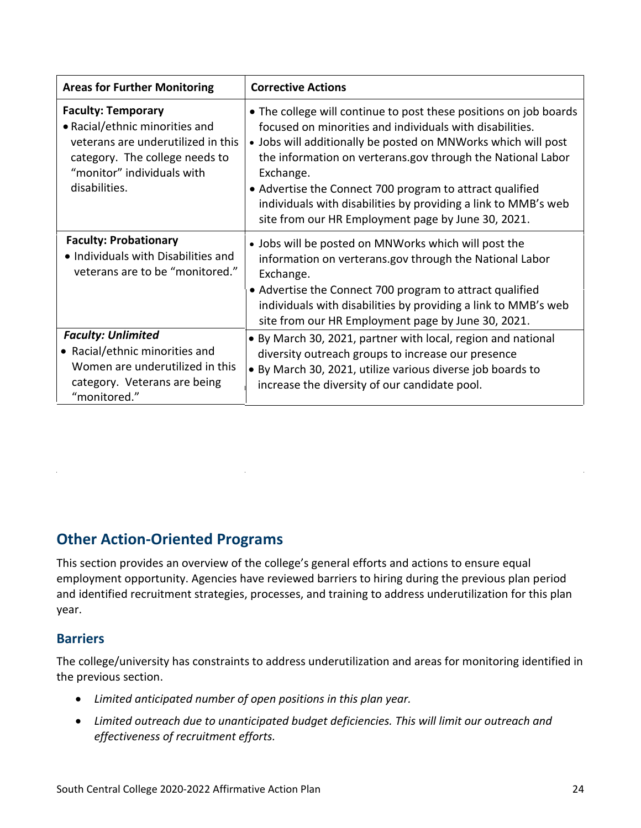| <b>Areas for Further Monitoring</b>                                                                                                                                                | <b>Corrective Actions</b>                                                                                                                                                                                                                                                                                                                                                                                                                                      |
|------------------------------------------------------------------------------------------------------------------------------------------------------------------------------------|----------------------------------------------------------------------------------------------------------------------------------------------------------------------------------------------------------------------------------------------------------------------------------------------------------------------------------------------------------------------------------------------------------------------------------------------------------------|
| <b>Faculty: Temporary</b><br>• Racial/ethnic minorities and<br>veterans are underutilized in this<br>category. The college needs to<br>"monitor" individuals with<br>disabilities. | • The college will continue to post these positions on job boards<br>focused on minorities and individuals with disabilities.<br>• Jobs will additionally be posted on MNWorks which will post<br>the information on verterans.gov through the National Labor<br>Exchange.<br>• Advertise the Connect 700 program to attract qualified<br>individuals with disabilities by providing a link to MMB's web<br>site from our HR Employment page by June 30, 2021. |
| <b>Faculty: Probationary</b><br>• Individuals with Disabilities and<br>veterans are to be "monitored."                                                                             | • Jobs will be posted on MNWorks which will post the<br>information on verterans.gov through the National Labor<br>Exchange.<br>• Advertise the Connect 700 program to attract qualified<br>individuals with disabilities by providing a link to MMB's web<br>site from our HR Employment page by June 30, 2021.                                                                                                                                               |
| <b>Faculty: Unlimited</b><br>• Racial/ethnic minorities and<br>Women are underutilized in this<br>category. Veterans are being<br>"monitored."                                     | • By March 30, 2021, partner with local, region and national<br>diversity outreach groups to increase our presence<br>• By March 30, 2021, utilize various diverse job boards to<br>increase the diversity of our candidate pool.                                                                                                                                                                                                                              |

### **Other Action-Oriented Programs**

This section provides an overview of the college's general efforts and actions to ensure equal employment opportunity. Agencies have reviewed barriers to hiring during the previous plan period and identified recruitment strategies, processes, and training to address underutilization for this plan year.

#### **Barriers**

The college/university has constraints to address underutilization and areas for monitoring identified in the previous section.

- *Limited anticipated number of open positions in this plan year.*
- *Limited outreach due to unanticipated budget deficiencies. This will limit our outreach and effectiveness of recruitment efforts.*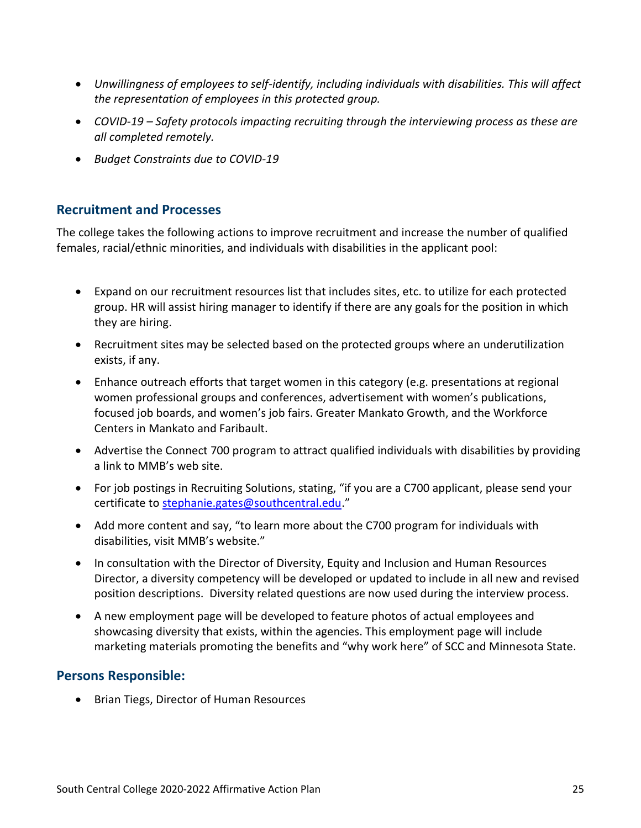- *Unwillingness of employees to self-identify, including individuals with disabilities. This will affect the representation of employees in this protected group.*
- *COVID-19 – Safety protocols impacting recruiting through the interviewing process as these are all completed remotely.*
- *Budget Constraints due to COVID-19*

#### **Recruitment and Processes**

The college takes the following actions to improve recruitment and increase the number of qualified females, racial/ethnic minorities, and individuals with disabilities in the applicant pool:

- Expand on our recruitment resources list that includes sites, etc. to utilize for each protected group. HR will assist hiring manager to identify if there are any goals for the position in which they are hiring.
- Recruitment sites may be selected based on the protected groups where an underutilization exists, if any.
- Enhance outreach efforts that target women in this category (e.g. presentations at regional women professional groups and conferences, advertisement with women's publications, focused job boards, and women's job fairs. Greater Mankato Growth, and the Workforce Centers in Mankato and Faribault.
- Advertise the Connect 700 program to attract qualified individuals with disabilities by providing a link to MMB's web site.
- For job postings in Recruiting Solutions, stating, "if you are a C700 applicant, please send your certificate to [stephanie.gates@southcentral.edu](mailto:stephanie.gates@southcentral.edu)."
- Add more content and say, "to learn more about the C700 program for individuals with disabilities, visit MMB's website."
- In consultation with the Director of Diversity, Equity and Inclusion and Human Resources Director, a diversity competency will be developed or updated to include in all new and revised position descriptions. Diversity related questions are now used during the interview process.
- A new employment page will be developed to feature photos of actual employees and showcasing diversity that exists, within the agencies. This employment page will include marketing materials promoting the benefits and "why work here" of SCC and Minnesota State.

#### **Persons Responsible:**

• Brian Tiegs, Director of Human Resources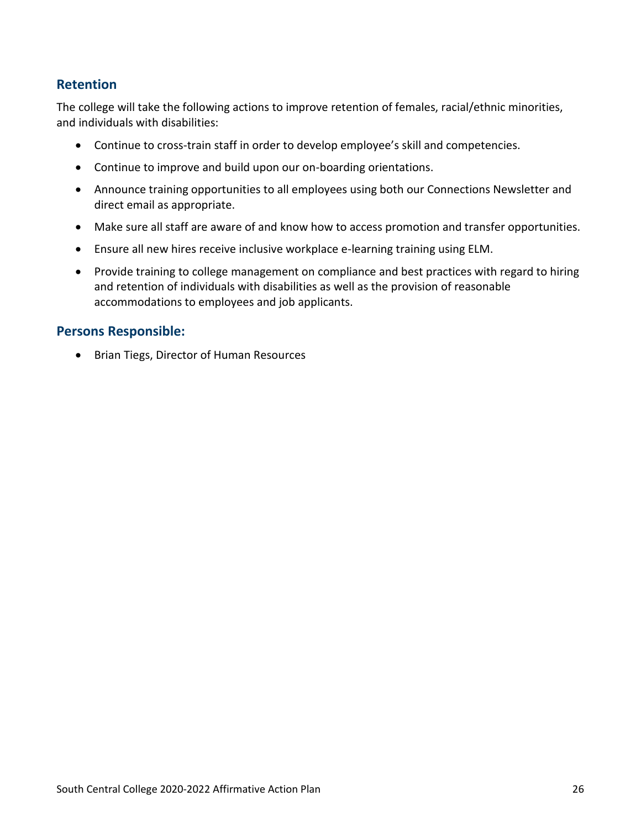## **Organizational Profile**

#### **Mission:**

South Central College provides an accessible and inclusive learning environment that cultivates student success and advances regional economic development.

#### Vision:

marketplace by creating an inclusive environment and providing academic, technical, and professional resources to pursue their chosen career, educational, and personal goals.

South Central College (SCC) is a comprehensive community and technical college that is part of the Minnesota system with campuses in Faribault and North Mankato. The college offers programs that prepare students to immediately start a rewarding career after graduation or transfer to a 4-year

an Affirmative Action Equal Opportunity Employer and Educator. For more information visit www.southcentral.edu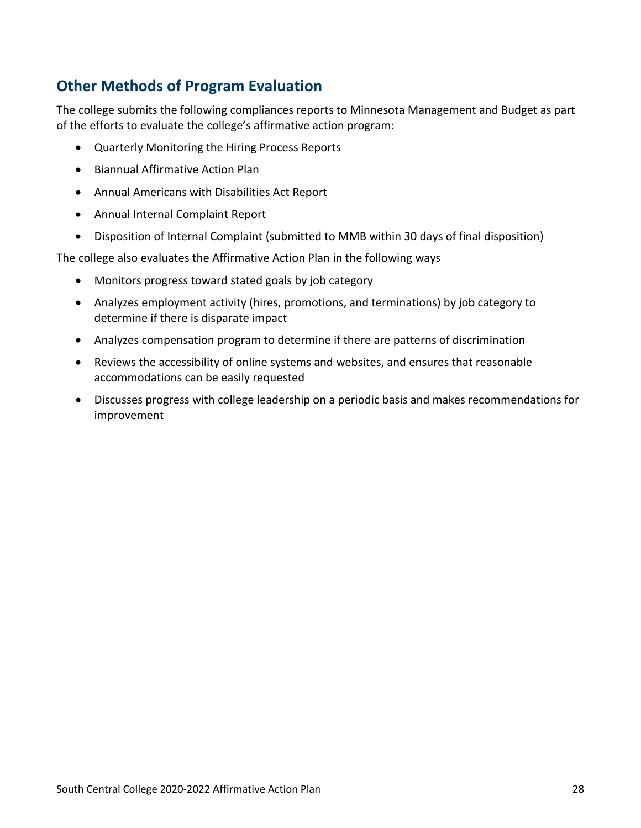## **Other Methods of Program Evaluation**

The college submits the following compliances reports to Minnesota Management and Budget as part of the efforts to evaluate the college's affirmative action program:

- Quarterly Monitoring the Hiring Process Reports
- Biannual Affirmative Action Plan
- Annual Americans with Disabilities Act Report
- Annual Internal Complaint Report
- Disposition of Internal Complaint (submitted to MMB within 30 days of final disposition)

The college also evaluates the Affirmative Action Plan in the following ways

- Monitors progress toward stated goals by job category
- Analyzes employment activity (hires, promotions, and terminations) by job category to determine if there is disparate impact
- Analyzes compensation program to determine if there are patterns of discrimination
- Reviews the accessibility of online systems and websites, and ensures that reasonable accommodations can be easily requested
- Discusses progress with college leadership on a periodic basis and makes recommendations for improvement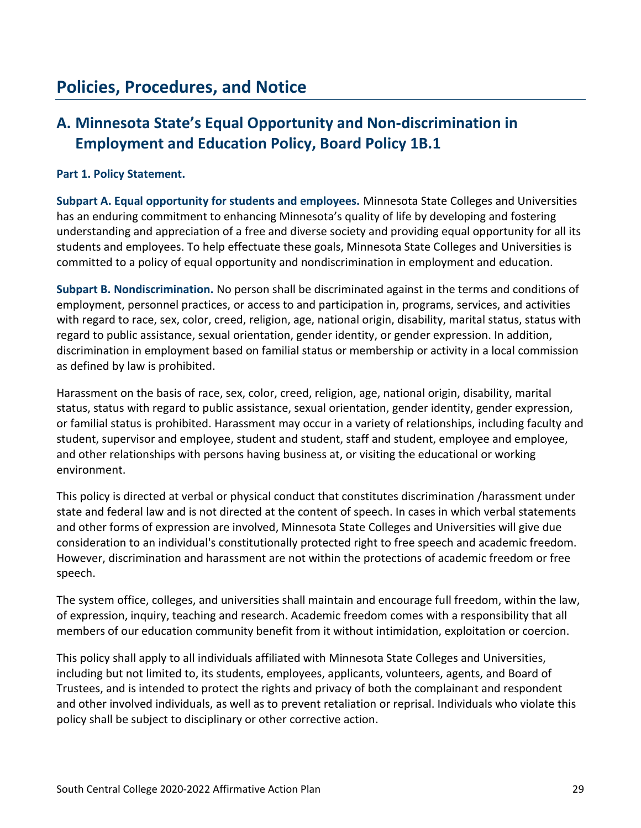## **A. Minnesota State's Equal Opportunity and Non-discrimination in Employment and Education Policy, Board Policy 1B.1**

#### **Part 1. Policy Statement.**

**Subpart A. Equal opportunity for students and employees.** Minnesota State Colleges and Universities has an enduring commitment to enhancing Minnesota's quality of life by developing and fostering understanding and appreciation of a free and diverse society and providing equal opportunity for all its students and employees. To help effectuate these goals, Minnesota State Colleges and Universities is committed to a policy of equal opportunity and nondiscrimination in employment and education.

**Subpart B. Nondiscrimination.** No person shall be discriminated against in the terms and conditions of employment, personnel practices, or access to and participation in, programs, services, and activities with regard to race, sex, color, creed, religion, age, national origin, disability, marital status, status with regard to public assistance, sexual orientation, gender identity, or gender expression. In addition, discrimination in employment based on familial status or membership or activity in a local commission as defined by law is prohibited.

Harassment on the basis of race, sex, color, creed, religion, age, national origin, disability, marital status, status with regard to public assistance, sexual orientation, gender identity, gender expression, or familial status is prohibited. Harassment may occur in a variety of relationships, including faculty and student, supervisor and employee, student and student, staff and student, employee and employee, and other relationships with persons having business at, or visiting the educational or working environment.

This policy is directed at verbal or physical conduct that constitutes discrimination /harassment under state and federal law and is not directed at the content of speech. In cases in which verbal statements and other forms of expression are involved, Minnesota State Colleges and Universities will give due consideration to an individual's constitutionally protected right to free speech and academic freedom. However, discrimination and harassment are not within the protections of academic freedom or free speech.

The system office, colleges, and universities shall maintain and encourage full freedom, within the law, of expression, inquiry, teaching and research. Academic freedom comes with a responsibility that all members of our education community benefit from it without intimidation, exploitation or coercion.

This policy shall apply to all individuals affiliated with Minnesota State Colleges and Universities, including but not limited to, its students, employees, applicants, volunteers, agents, and Board of Trustees, and is intended to protect the rights and privacy of both the complainant and respondent and other involved individuals, as well as to prevent retaliation or reprisal. Individuals who violate this policy shall be subject to disciplinary or other corrective action.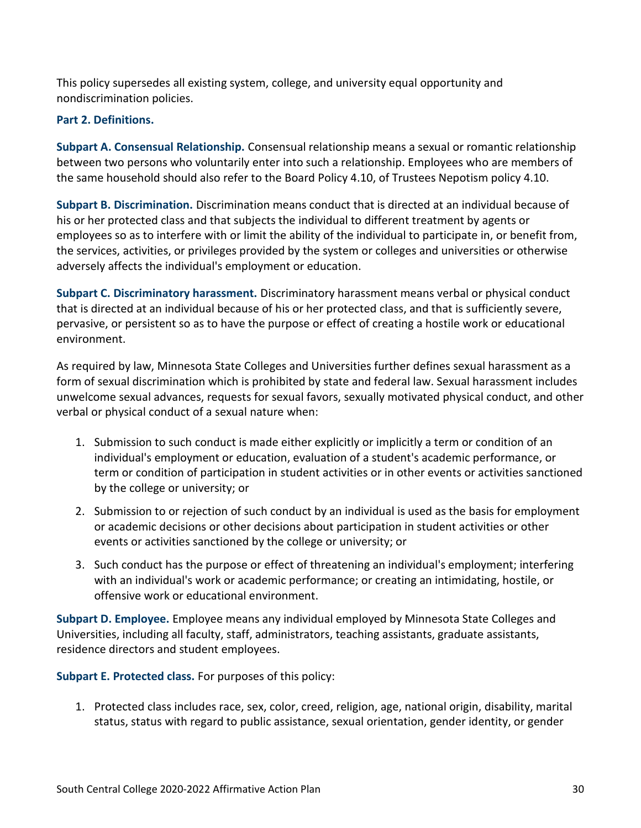This policy supersedes all existing system, college, and university equal opportunity and nondiscrimination policies.

#### **Part 2. Definitions.**

**Subpart A. Consensual Relationship.** Consensual relationship means a sexual or romantic relationship between two persons who voluntarily enter into such a relationship. Employees who are members of the same household should also refer to the Board Policy 4.10, of Trustees Nepotism policy 4.10.

**Subpart B. Discrimination.** Discrimination means conduct that is directed at an individual because of his or her protected class and that subjects the individual to different treatment by agents or employees so as to interfere with or limit the ability of the individual to participate in, or benefit from, the services, activities, or privileges provided by the system or colleges and universities or otherwise adversely affects the individual's employment or education.

**Subpart C. Discriminatory harassment.** Discriminatory harassment means verbal or physical conduct that is directed at an individual because of his or her protected class, and that is sufficiently severe, pervasive, or persistent so as to have the purpose or effect of creating a hostile work or educational environment.

As required by law, Minnesota State Colleges and Universities further defines sexual harassment as a form of sexual discrimination which is prohibited by state and federal law. Sexual harassment includes unwelcome sexual advances, requests for sexual favors, sexually motivated physical conduct, and other verbal or physical conduct of a sexual nature when:

- 1. Submission to such conduct is made either explicitly or implicitly a term or condition of an individual's employment or education, evaluation of a student's academic performance, or term or condition of participation in student activities or in other events or activities sanctioned by the college or university; or
- 2. Submission to or rejection of such conduct by an individual is used as the basis for employment or academic decisions or other decisions about participation in student activities or other events or activities sanctioned by the college or university; or
- 3. Such conduct has the purpose or effect of threatening an individual's employment; interfering with an individual's work or academic performance; or creating an intimidating, hostile, or offensive work or educational environment.

**Subpart D. Employee.** Employee means any individual employed by Minnesota State Colleges and Universities, including all faculty, staff, administrators, teaching assistants, graduate assistants, residence directors and student employees.

**Subpart E. Protected class.** For purposes of this policy:

1. Protected class includes race, sex, color, creed, religion, age, national origin, disability, marital status, status with regard to public assistance, sexual orientation, gender identity, or gender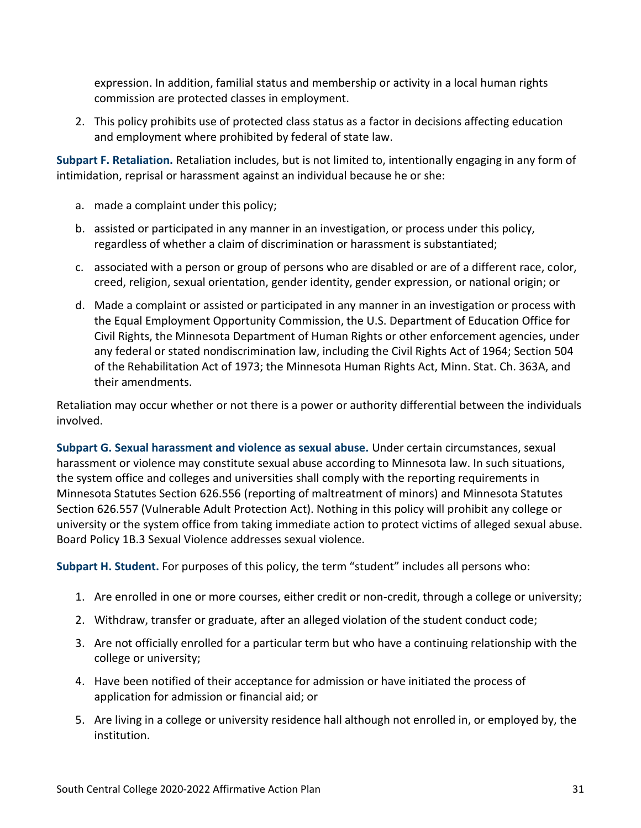expression. In addition, familial status and membership or activity in a local human rights commission are protected classes in employment.

2. This policy prohibits use of protected class status as a factor in decisions affecting education and employment where prohibited by federal of state law.

**Subpart F. Retaliation.** Retaliation includes, but is not limited to, intentionally engaging in any form of intimidation, reprisal or harassment against an individual because he or she:

- a. made a complaint under this policy;
- b. assisted or participated in any manner in an investigation, or process under this policy, regardless of whether a claim of discrimination or harassment is substantiated;
- c. associated with a person or group of persons who are disabled or are of a different race, color, creed, religion, sexual orientation, gender identity, gender expression, or national origin; or
- d. Made a complaint or assisted or participated in any manner in an investigation or process with the Equal Employment Opportunity Commission, the U.S. Department of Education Office for Civil Rights, the Minnesota Department of Human Rights or other enforcement agencies, under any federal or stated nondiscrimination law, including the Civil Rights Act of 1964; Section 504 of the Rehabilitation Act of 1973; the Minnesota Human Rights Act, Minn. Stat. Ch. 363A, and their amendments.

Retaliation may occur whether or not there is a power or authority differential between the individuals involved.

**Subpart G. Sexual harassment and violence as sexual abuse.** Under certain circumstances, sexual harassment or violence may constitute sexual abuse according to Minnesota law. In such situations, the system office and colleges and universities shall comply with the reporting requirements in Minnesota Statutes Section 626.556 (reporting of maltreatment of minors) and Minnesota Statutes Section 626.557 (Vulnerable Adult Protection Act). Nothing in this policy will prohibit any college or university or the system office from taking immediate action to protect victims of alleged sexual abuse. Board Policy 1B.3 Sexual Violence addresses sexual violence.

**Subpart H. Student.** For purposes of this policy, the term "student" includes all persons who:

- 1. Are enrolled in one or more courses, either credit or non-credit, through a college or university;
- 2. Withdraw, transfer or graduate, after an alleged violation of the student conduct code;
- 3. Are not officially enrolled for a particular term but who have a continuing relationship with the college or university;
- 4. Have been notified of their acceptance for admission or have initiated the process of application for admission or financial aid; or
- 5. Are living in a college or university residence hall although not enrolled in, or employed by, the institution.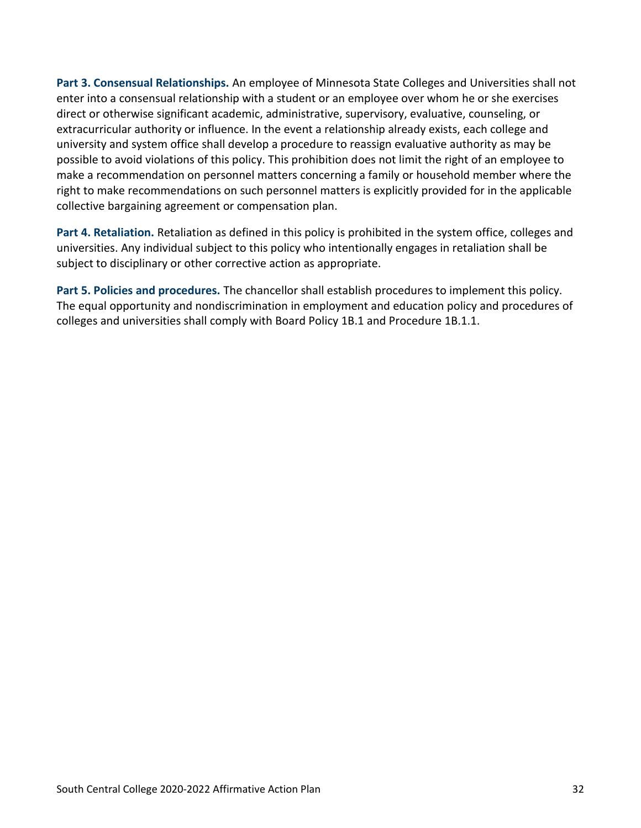**Part 3. Consensual Relationships.** An employee of Minnesota State Colleges and Universities shall not enter into a consensual relationship with a student or an employee over whom he or she exercises direct or otherwise significant academic, administrative, supervisory, evaluative, counseling, or extracurricular authority or influence. In the event a relationship already exists, each college and university and system office shall develop a procedure to reassign evaluative authority as may be possible to avoid violations of this policy. This prohibition does not limit the right of an employee to make a recommendation on personnel matters concerning a family or household member where the right to make recommendations on such personnel matters is explicitly provided for in the applicable collective bargaining agreement or compensation plan.

**Part 4. Retaliation.** Retaliation as defined in this policy is prohibited in the system office, colleges and universities. Any individual subject to this policy who intentionally engages in retaliation shall be subject to disciplinary or other corrective action as appropriate.

**Part 5. Policies and procedures.** The chancellor shall establish procedures to implement this policy. The equal opportunity and nondiscrimination in employment and education policy and procedures of colleges and universities shall comply with Board Policy 1B.1 and Procedure 1B.1.1.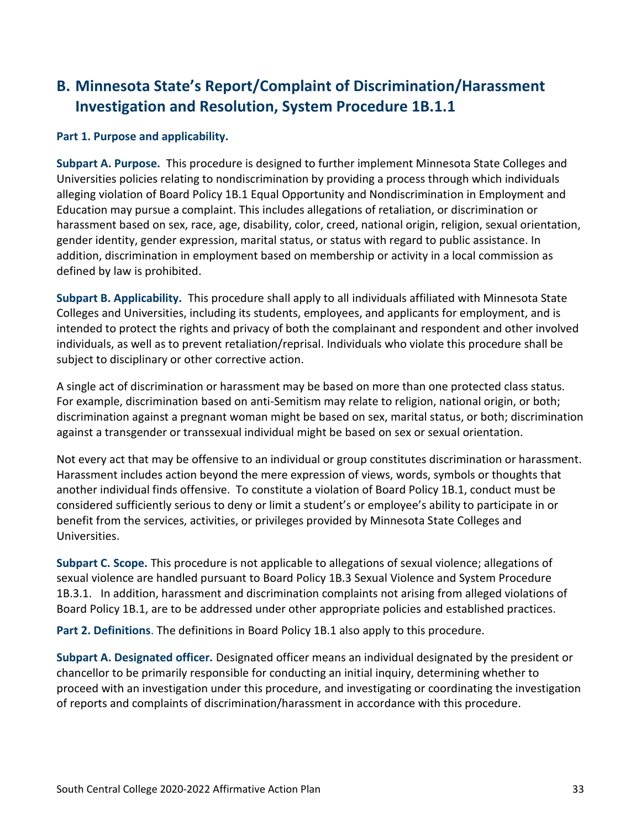## **B. Minnesota State's Report/Complaint of Discrimination/Harassment Investigation and Resolution, System Procedure 1B.1.1**

#### **Part 1. Purpose and applicability.**

**Subpart A. Purpose.** This procedure is designed to further implement Minnesota State Colleges and Universities policies relating to nondiscrimination by providing a process through which individuals alleging violation of Board Policy 1B.1 Equal Opportunity and Nondiscrimination in Employment and Education may pursue a complaint. This includes allegations of retaliation, or discrimination or harassment based on sex, race, age, disability, color, creed, national origin, religion, sexual orientation, gender identity, gender expression, marital status, or status with regard to public assistance. In addition, discrimination in employment based on membership or activity in a local commission as defined by law is prohibited.

**Subpart B. Applicability.** This procedure shall apply to all individuals affiliated with Minnesota State Colleges and Universities, including its students, employees, and applicants for employment, and is intended to protect the rights and privacy of both the complainant and respondent and other involved individuals, as well as to prevent retaliation/reprisal. Individuals who violate this procedure shall be subject to disciplinary or other corrective action.

A single act of discrimination or harassment may be based on more than one protected class status. For example, discrimination based on anti-Semitism may relate to religion, national origin, or both; discrimination against a pregnant woman might be based on sex, marital status, or both; discrimination against a transgender or transsexual individual might be based on sex or sexual orientation.

Not every act that may be offensive to an individual or group constitutes discrimination or harassment. Harassment includes action beyond the mere expression of views, words, symbols or thoughts that another individual finds offensive. To constitute a violation of Board Policy 1B.1, conduct must be considered sufficiently serious to deny or limit a student's or employee's ability to participate in or benefit from the services, activities, or privileges provided by Minnesota State Colleges and Universities.

**Subpart C. Scope.** This procedure is not applicable to allegations of sexual violence; allegations of sexual violence are handled pursuant to Board Policy 1B.3 Sexual Violence and System Procedure 1B.3.1. In addition, harassment and discrimination complaints not arising from alleged violations of Board Policy 1B.1, are to be addressed under other appropriate policies and established practices.

**Part 2. Definitions**. The definitions in Board Policy 1B.1 also apply to this procedure.

**Subpart A. Designated officer.** Designated officer means an individual designated by the president or chancellor to be primarily responsible for conducting an initial inquiry, determining whether to proceed with an investigation under this procedure, and investigating or coordinating the investigation of reports and complaints of discrimination/harassment in accordance with this procedure.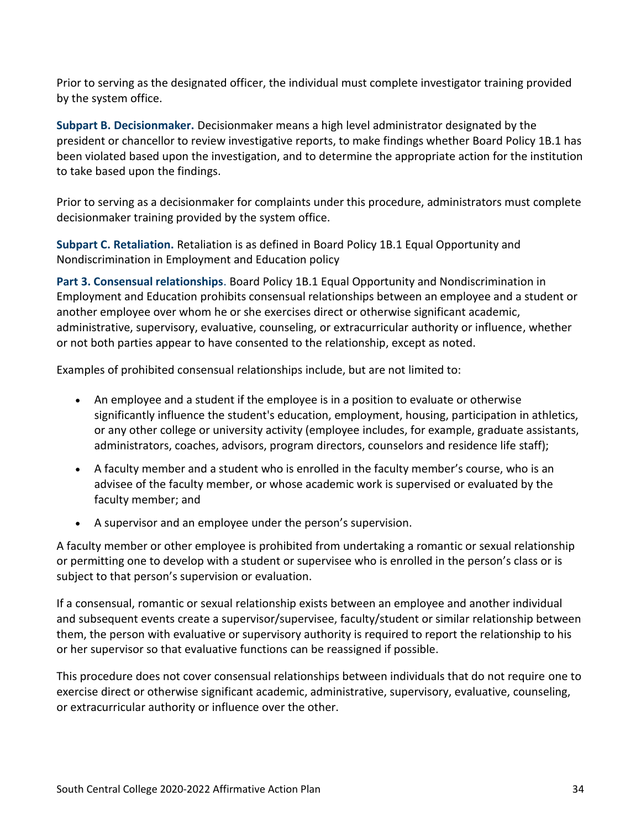Prior to serving as the designated officer, the individual must complete investigator training provided by the system office.

**Subpart B. Decisionmaker.** Decisionmaker means a high level administrator designated by the president or chancellor to review investigative reports, to make findings whether Board Policy 1B.1 has been violated based upon the investigation, and to determine the appropriate action for the institution to take based upon the findings.

Prior to serving as a decisionmaker for complaints under this procedure, administrators must complete decisionmaker training provided by the system office.

**Subpart C. Retaliation.** Retaliation is as defined in Board Policy 1B.1 Equal Opportunity and Nondiscrimination in Employment and Education policy

**Part 3. Consensual relationships**. Board Policy 1B.1 Equal Opportunity and Nondiscrimination in Employment and Education prohibits consensual relationships between an employee and a student or another employee over whom he or she exercises direct or otherwise significant academic, administrative, supervisory, evaluative, counseling, or extracurricular authority or influence, whether or not both parties appear to have consented to the relationship, except as noted.

Examples of prohibited consensual relationships include, but are not limited to:

- An employee and a student if the employee is in a position to evaluate or otherwise significantly influence the student's education, employment, housing, participation in athletics, or any other college or university activity (employee includes, for example, graduate assistants, administrators, coaches, advisors, program directors, counselors and residence life staff);
- A faculty member and a student who is enrolled in the faculty member's course, who is an advisee of the faculty member, or whose academic work is supervised or evaluated by the faculty member; and
- A supervisor and an employee under the person's supervision.

A faculty member or other employee is prohibited from undertaking a romantic or sexual relationship or permitting one to develop with a student or supervisee who is enrolled in the person's class or is subject to that person's supervision or evaluation.

If a consensual, romantic or sexual relationship exists between an employee and another individual and subsequent events create a supervisor/supervisee, faculty/student or similar relationship between them, the person with evaluative or supervisory authority is required to report the relationship to his or her supervisor so that evaluative functions can be reassigned if possible.

This procedure does not cover consensual relationships between individuals that do not require one to exercise direct or otherwise significant academic, administrative, supervisory, evaluative, counseling, or extracurricular authority or influence over the other.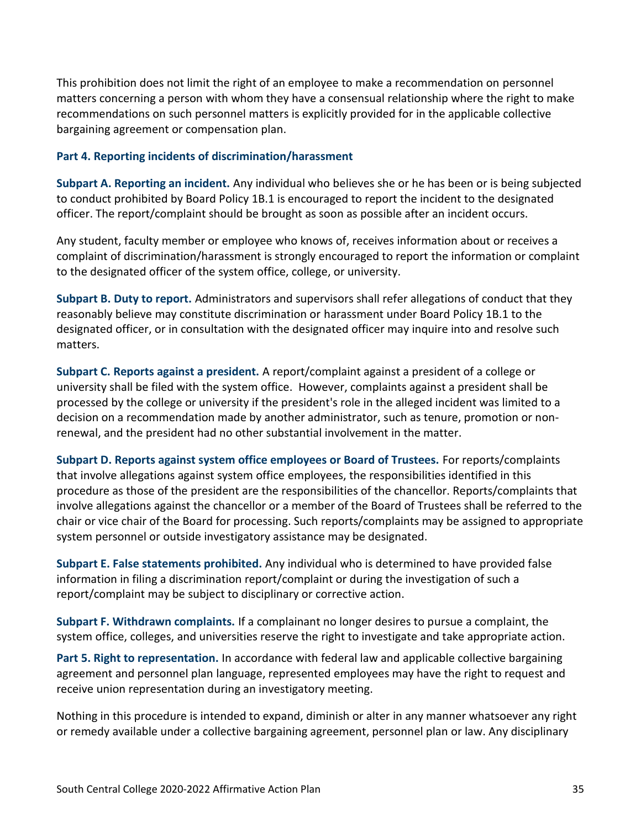This prohibition does not limit the right of an employee to make a recommendation on personnel matters concerning a person with whom they have a consensual relationship where the right to make recommendations on such personnel matters is explicitly provided for in the applicable collective bargaining agreement or compensation plan.

#### **Part 4. Reporting incidents of discrimination/harassment**

**Subpart A. Reporting an incident.** Any individual who believes she or he has been or is being subjected to conduct prohibited by Board Policy 1B.1 is encouraged to report the incident to the designated officer. The report/complaint should be brought as soon as possible after an incident occurs.

Any student, faculty member or employee who knows of, receives information about or receives a complaint of discrimination/harassment is strongly encouraged to report the information or complaint to the designated officer of the system office, college, or university.

**Subpart B. Duty to report.** Administrators and supervisors shall refer allegations of conduct that they reasonably believe may constitute discrimination or harassment under Board Policy 1B.1 to the designated officer, or in consultation with the designated officer may inquire into and resolve such matters.

**Subpart C. Reports against a president.** A report/complaint against a president of a college or university shall be filed with the system office. However, complaints against a president shall be processed by the college or university if the president's role in the alleged incident was limited to a decision on a recommendation made by another administrator, such as tenure, promotion or nonrenewal, and the president had no other substantial involvement in the matter.

**Subpart D. Reports against system office employees or Board of Trustees.** For reports/complaints that involve allegations against system office employees, the responsibilities identified in this procedure as those of the president are the responsibilities of the chancellor. Reports/complaints that involve allegations against the chancellor or a member of the Board of Trustees shall be referred to the chair or vice chair of the Board for processing. Such reports/complaints may be assigned to appropriate system personnel or outside investigatory assistance may be designated.

**Subpart E. False statements prohibited.** Any individual who is determined to have provided false information in filing a discrimination report/complaint or during the investigation of such a report/complaint may be subject to disciplinary or corrective action.

**Subpart F. Withdrawn complaints.** If a complainant no longer desires to pursue a complaint, the system office, colleges, and universities reserve the right to investigate and take appropriate action.

**Part 5. Right to representation.** In accordance with federal law and applicable collective bargaining agreement and personnel plan language, represented employees may have the right to request and receive union representation during an investigatory meeting.

Nothing in this procedure is intended to expand, diminish or alter in any manner whatsoever any right or remedy available under a collective bargaining agreement, personnel plan or law. Any disciplinary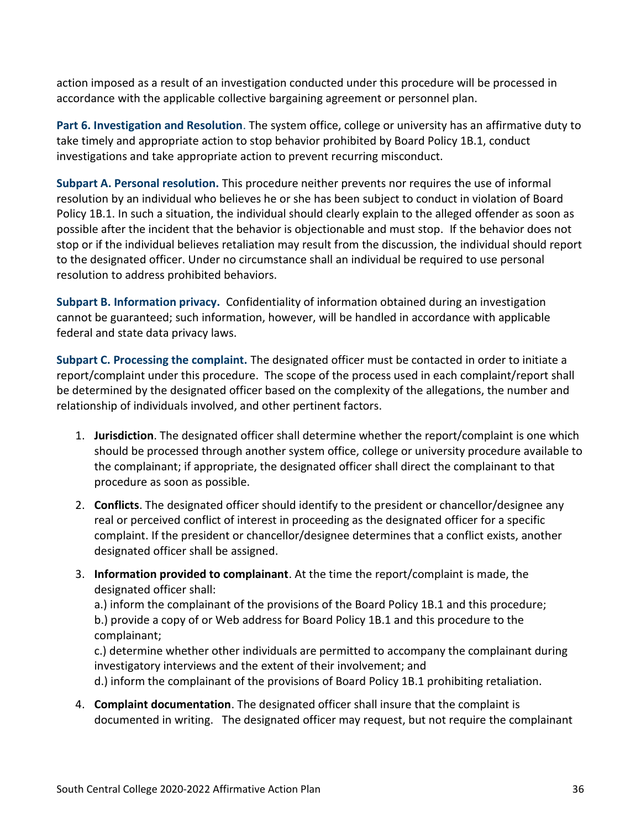action imposed as a result of an investigation conducted under this procedure will be processed in accordance with the applicable collective bargaining agreement or personnel plan.

**Part 6. Investigation and Resolution**. The system office, college or university has an affirmative duty to take timely and appropriate action to stop behavior prohibited by Board Policy 1B.1, conduct investigations and take appropriate action to prevent recurring misconduct.

**Subpart A. Personal resolution.** This procedure neither prevents nor requires the use of informal resolution by an individual who believes he or she has been subject to conduct in violation of Board Policy 1B.1. In such a situation, the individual should clearly explain to the alleged offender as soon as possible after the incident that the behavior is objectionable and must stop. If the behavior does not stop or if the individual believes retaliation may result from the discussion, the individual should report to the designated officer. Under no circumstance shall an individual be required to use personal resolution to address prohibited behaviors.

**Subpart B. Information privacy.** Confidentiality of information obtained during an investigation cannot be guaranteed; such information, however, will be handled in accordance with applicable federal and state data privacy laws.

**Subpart C. Processing the complaint.** The designated officer must be contacted in order to initiate a report/complaint under this procedure. The scope of the process used in each complaint/report shall be determined by the designated officer based on the complexity of the allegations, the number and relationship of individuals involved, and other pertinent factors.

- 1. **Jurisdiction**. The designated officer shall determine whether the report/complaint is one which should be processed through another system office, college or university procedure available to the complainant; if appropriate, the designated officer shall direct the complainant to that procedure as soon as possible.
- 2. **Conflicts**. The designated officer should identify to the president or chancellor/designee any real or perceived conflict of interest in proceeding as the designated officer for a specific complaint. If the president or chancellor/designee determines that a conflict exists, another designated officer shall be assigned.
- 3. **Information provided to complainant**. At the time the report/complaint is made, the designated officer shall:

a.) inform the complainant of the provisions of the Board Policy 1B.1 and this procedure; b.) provide a copy of or Web address for Board Policy 1B.1 and this procedure to the complainant;

c.) determine whether other individuals are permitted to accompany the complainant during investigatory interviews and the extent of their involvement; and

d.) inform the complainant of the provisions of Board Policy 1B.1 prohibiting retaliation.

4. **Complaint documentation**. The designated officer shall insure that the complaint is documented in writing. The designated officer may request, but not require the complainant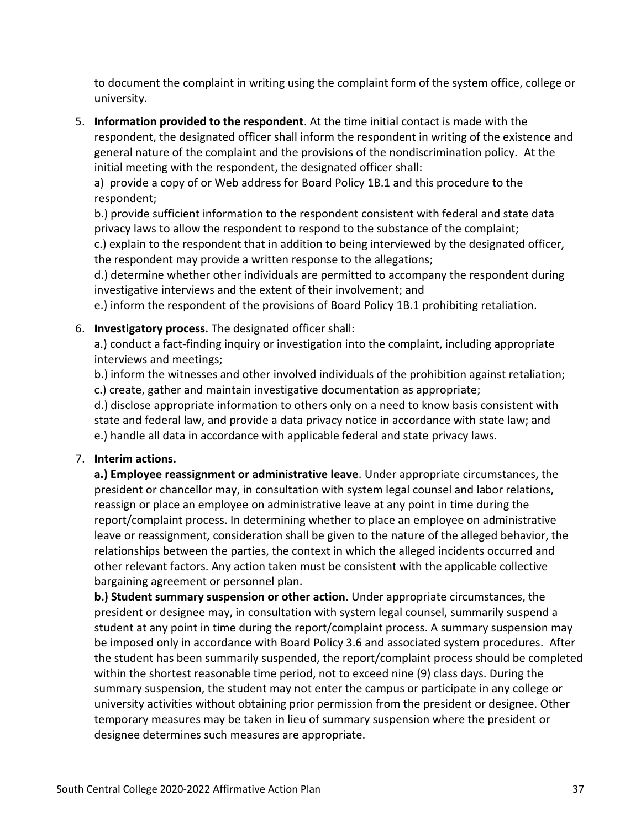to document the complaint in writing using the complaint form of the system office, college or university.

5. **Information provided to the respondent**. At the time initial contact is made with the respondent, the designated officer shall inform the respondent in writing of the existence and general nature of the complaint and the provisions of the nondiscrimination policy. At the initial meeting with the respondent, the designated officer shall:

a) provide a copy of or Web address for Board Policy 1B.1 and this procedure to the respondent;

b.) provide sufficient information to the respondent consistent with federal and state data privacy laws to allow the respondent to respond to the substance of the complaint;

c.) explain to the respondent that in addition to being interviewed by the designated officer, the respondent may provide a written response to the allegations;

d.) determine whether other individuals are permitted to accompany the respondent during investigative interviews and the extent of their involvement; and

e.) inform the respondent of the provisions of Board Policy 1B.1 prohibiting retaliation.

# 6. **Investigatory process.** The designated officer shall:

a.) conduct a fact-finding inquiry or investigation into the complaint, including appropriate interviews and meetings;

b.) inform the witnesses and other involved individuals of the prohibition against retaliation; c.) create, gather and maintain investigative documentation as appropriate;

d.) disclose appropriate information to others only on a need to know basis consistent with state and federal law, and provide a data privacy notice in accordance with state law; and e.) handle all data in accordance with applicable federal and state privacy laws.

# 7. **Interim actions.**

**a.) Employee reassignment or administrative leave**. Under appropriate circumstances, the president or chancellor may, in consultation with system legal counsel and labor relations, reassign or place an employee on administrative leave at any point in time during the report/complaint process. In determining whether to place an employee on administrative leave or reassignment, consideration shall be given to the nature of the alleged behavior, the relationships between the parties, the context in which the alleged incidents occurred and other relevant factors. Any action taken must be consistent with the applicable collective bargaining agreement or personnel plan.

**b.) Student summary suspension or other action**. Under appropriate circumstances, the president or designee may, in consultation with system legal counsel, summarily suspend a student at any point in time during the report/complaint process. A summary suspension may be imposed only in accordance with Board Policy 3.6 and associated system procedures. After the student has been summarily suspended, the report/complaint process should be completed within the shortest reasonable time period, not to exceed nine (9) class days. During the summary suspension, the student may not enter the campus or participate in any college or university activities without obtaining prior permission from the president or designee. Other temporary measures may be taken in lieu of summary suspension where the president or designee determines such measures are appropriate.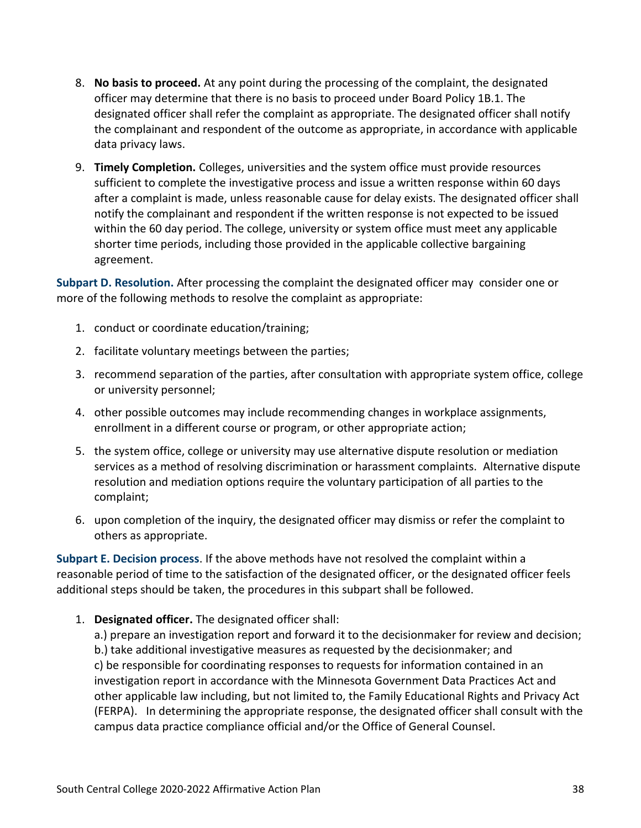- 8. **No basis to proceed.** At any point during the processing of the complaint, the designated officer may determine that there is no basis to proceed under Board Policy 1B.1. The designated officer shall refer the complaint as appropriate. The designated officer shall notify the complainant and respondent of the outcome as appropriate, in accordance with applicable data privacy laws.
- 9. **Timely Completion.** Colleges, universities and the system office must provide resources sufficient to complete the investigative process and issue a written response within 60 days after a complaint is made, unless reasonable cause for delay exists. The designated officer shall notify the complainant and respondent if the written response is not expected to be issued within the 60 day period. The college, university or system office must meet any applicable shorter time periods, including those provided in the applicable collective bargaining agreement.

**Subpart D. Resolution.** After processing the complaint the designated officer may consider one or more of the following methods to resolve the complaint as appropriate:

- 1. conduct or coordinate education/training;
- 2. facilitate voluntary meetings between the parties;
- 3. recommend separation of the parties, after consultation with appropriate system office, college or university personnel;
- 4. other possible outcomes may include recommending changes in workplace assignments, enrollment in a different course or program, or other appropriate action;
- 5. the system office, college or university may use alternative dispute resolution or mediation services as a method of resolving discrimination or harassment complaints. Alternative dispute resolution and mediation options require the voluntary participation of all parties to the complaint;
- 6. upon completion of the inquiry, the designated officer may dismiss or refer the complaint to others as appropriate.

**Subpart E. Decision process**. If the above methods have not resolved the complaint within a reasonable period of time to the satisfaction of the designated officer, or the designated officer feels additional steps should be taken, the procedures in this subpart shall be followed.

1. **Designated officer.** The designated officer shall:

a.) prepare an investigation report and forward it to the decisionmaker for review and decision; b.) take additional investigative measures as requested by the decisionmaker; and c) be responsible for coordinating responses to requests for information contained in an investigation report in accordance with the Minnesota Government Data Practices Act and other applicable law including, but not limited to, the Family Educational Rights and Privacy Act (FERPA). In determining the appropriate response, the designated officer shall consult with the campus data practice compliance official and/or the Office of General Counsel.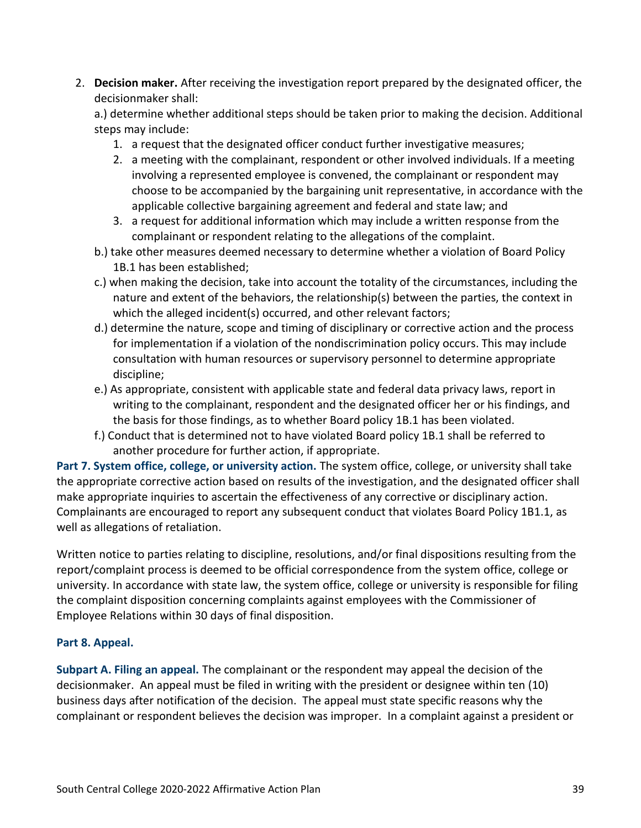2. **Decision maker.** After receiving the investigation report prepared by the designated officer, the decisionmaker shall:

a.) determine whether additional steps should be taken prior to making the decision. Additional steps may include:

- 1. a request that the designated officer conduct further investigative measures;
- 2. a meeting with the complainant, respondent or other involved individuals. If a meeting involving a represented employee is convened, the complainant or respondent may choose to be accompanied by the bargaining unit representative, in accordance with the applicable collective bargaining agreement and federal and state law; and
- 3. a request for additional information which may include a written response from the complainant or respondent relating to the allegations of the complaint.
- b.) take other measures deemed necessary to determine whether a violation of Board Policy 1B.1 has been established;
- c.) when making the decision, take into account the totality of the circumstances, including the nature and extent of the behaviors, the relationship(s) between the parties, the context in which the alleged incident(s) occurred, and other relevant factors;
- d.) determine the nature, scope and timing of disciplinary or corrective action and the process for implementation if a violation of the nondiscrimination policy occurs. This may include consultation with human resources or supervisory personnel to determine appropriate discipline;
- e.) As appropriate, consistent with applicable state and federal data privacy laws, report in writing to the complainant, respondent and the designated officer her or his findings, and the basis for those findings, as to whether Board policy 1B.1 has been violated.
- f.) Conduct that is determined not to have violated Board policy 1B.1 shall be referred to another procedure for further action, if appropriate.

**Part 7. System office, college, or university action.** The system office, college, or university shall take the appropriate corrective action based on results of the investigation, and the designated officer shall make appropriate inquiries to ascertain the effectiveness of any corrective or disciplinary action. Complainants are encouraged to report any subsequent conduct that violates Board Policy 1B1.1, as well as allegations of retaliation.

Written notice to parties relating to discipline, resolutions, and/or final dispositions resulting from the report/complaint process is deemed to be official correspondence from the system office, college or university. In accordance with state law, the system office, college or university is responsible for filing the complaint disposition concerning complaints against employees with the Commissioner of Employee Relations within 30 days of final disposition.

# **Part 8. Appeal.**

**Subpart A. Filing an appeal.** The complainant or the respondent may appeal the decision of the decisionmaker. An appeal must be filed in writing with the president or designee within ten (10) business days after notification of the decision. The appeal must state specific reasons why the complainant or respondent believes the decision was improper. In a complaint against a president or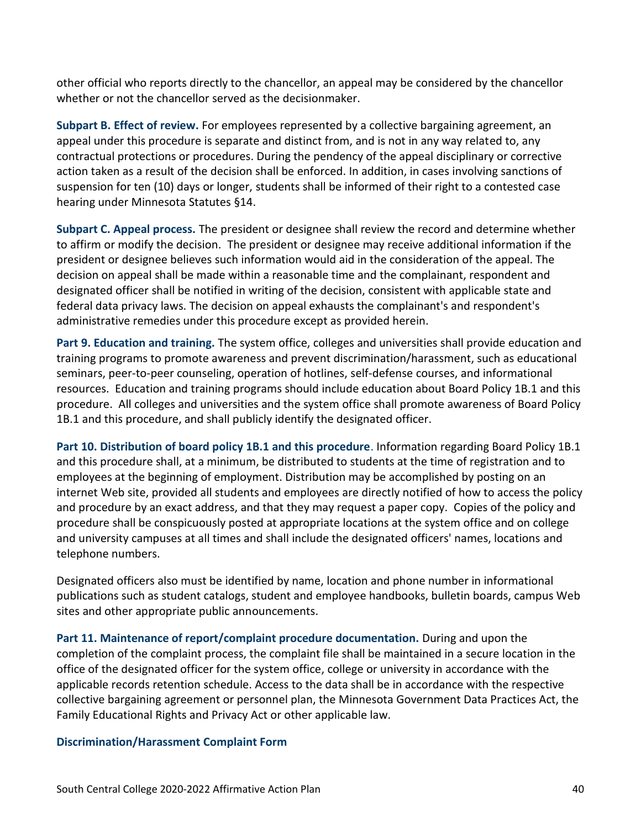other official who reports directly to the chancellor, an appeal may be considered by the chancellor whether or not the chancellor served as the decisionmaker.

**Subpart B. Effect of review.** For employees represented by a collective bargaining agreement, an appeal under this procedure is separate and distinct from, and is not in any way related to, any contractual protections or procedures. During the pendency of the appeal disciplinary or corrective action taken as a result of the decision shall be enforced. In addition, in cases involving sanctions of suspension for ten (10) days or longer, students shall be informed of their right to a contested case hearing under Minnesota Statutes §14.

**Subpart C. Appeal process.** The president or designee shall review the record and determine whether to affirm or modify the decision. The president or designee may receive additional information if the president or designee believes such information would aid in the consideration of the appeal. The decision on appeal shall be made within a reasonable time and the complainant, respondent and designated officer shall be notified in writing of the decision, consistent with applicable state and federal data privacy laws. The decision on appeal exhausts the complainant's and respondent's administrative remedies under this procedure except as provided herein.

**Part 9. Education and training.** The system office, colleges and universities shall provide education and training programs to promote awareness and prevent discrimination/harassment, such as educational seminars, peer-to-peer counseling, operation of hotlines, self-defense courses, and informational resources. Education and training programs should include education about Board Policy 1B.1 and this procedure. All colleges and universities and the system office shall promote awareness of Board Policy 1B.1 and this procedure, and shall publicly identify the designated officer.

**Part 10. Distribution of board policy 1B.1 and this procedure**. Information regarding Board Policy 1B.1 and this procedure shall, at a minimum, be distributed to students at the time of registration and to employees at the beginning of employment. Distribution may be accomplished by posting on an internet Web site, provided all students and employees are directly notified of how to access the policy and procedure by an exact address, and that they may request a paper copy. Copies of the policy and procedure shall be conspicuously posted at appropriate locations at the system office and on college and university campuses at all times and shall include the designated officers' names, locations and telephone numbers.

Designated officers also must be identified by name, location and phone number in informational publications such as student catalogs, student and employee handbooks, bulletin boards, campus Web sites and other appropriate public announcements.

**Part 11. Maintenance of report/complaint procedure documentation.** During and upon the completion of the complaint process, the complaint file shall be maintained in a secure location in the office of the designated officer for the system office, college or university in accordance with the applicable records retention schedule. Access to the data shall be in accordance with the respective collective bargaining agreement or personnel plan, the Minnesota Government Data Practices Act, the Family Educational Rights and Privacy Act or other applicable law.

# **Discrimination/Harassment Complaint Form**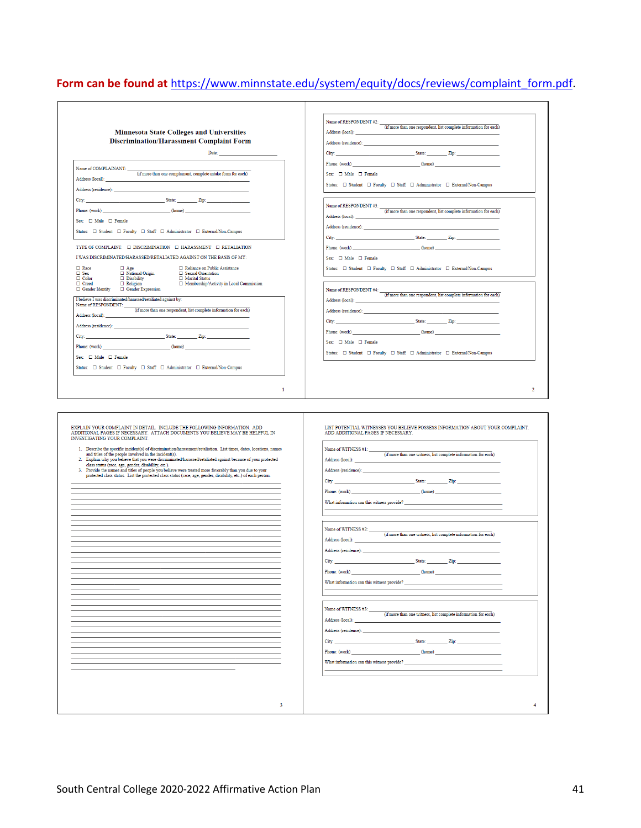# Form can be found at [https://www.minnstate.edu/system/equity/docs/reviews/complaint\\_](https://www.minnstate.edu/system/equity/docs/reviews/complaint_form.pdf)form.pdf.

|                                                                                                                                                                                                                            | Name of RESPONDENT #2: $\frac{1}{(f_1f_2)}$ (if more than one respondent, list complete information for each)                                                                                                                                                                                                                  |
|----------------------------------------------------------------------------------------------------------------------------------------------------------------------------------------------------------------------------|--------------------------------------------------------------------------------------------------------------------------------------------------------------------------------------------------------------------------------------------------------------------------------------------------------------------------------|
| <b>Minnesota State Colleges and Universities</b>                                                                                                                                                                           | Address (local): _                                                                                                                                                                                                                                                                                                             |
| <b>Discrimination/Harassment Complaint Form</b>                                                                                                                                                                            |                                                                                                                                                                                                                                                                                                                                |
| Date:                                                                                                                                                                                                                      |                                                                                                                                                                                                                                                                                                                                |
|                                                                                                                                                                                                                            | Phone: (work) (home)                                                                                                                                                                                                                                                                                                           |
| Name of COMPLAINANT:<br>(if more than one complainant, complete intake form for each)                                                                                                                                      | Sex: $\square$ Male $\square$ Female                                                                                                                                                                                                                                                                                           |
| Address (local):                                                                                                                                                                                                           | Status: $\square$ Student $\square$ Faculty $\square$ Staff $\square$ Administrator $\square$ External/Non-Campus                                                                                                                                                                                                              |
|                                                                                                                                                                                                                            |                                                                                                                                                                                                                                                                                                                                |
| City: <u>City:</u> State: Zip: 2001.                                                                                                                                                                                       |                                                                                                                                                                                                                                                                                                                                |
| Phone: (work) (home)                                                                                                                                                                                                       | Name of RESPONDENT #3: $\frac{1}{\text{(if more than one respondent, list complete information for each)}}$                                                                                                                                                                                                                    |
| Sex: $\square$ Male $\square$ Female                                                                                                                                                                                       |                                                                                                                                                                                                                                                                                                                                |
| Status: $\Box$ Student $\Box$ Faculty $\Box$ Staff $\Box$ Administrator $\Box$ External/Non-Campus                                                                                                                         |                                                                                                                                                                                                                                                                                                                                |
|                                                                                                                                                                                                                            | City: <u>City: City: City: City: City: City: City: City: City: City: City: City: City: City: City: City: City: City: City: City: City: City: City: City: City: City: City: City: City: City: City: City: City: City: City: City:</u>                                                                                           |
| TYPE OF COMPLAINT: $\Box$ DISCRIMINATION $\Box$ HARASSMENT $\Box$ RETALIATION                                                                                                                                              | (home)                                                                                                                                                                                                                                                                                                                         |
| I WAS DISCRIMINATED/HARASSED/RETALIATED AGAINST ON THE BASIS OF MY:                                                                                                                                                        | Sex: $\square$ Male $\square$ Female                                                                                                                                                                                                                                                                                           |
| $\Box$ Race<br>$\Box$ Age<br>□ Reliance on Public Assistance<br>$\square$ Sex<br>□ Sexual Orientation                                                                                                                      | Status: $\square$ Student $\square$ Faculty $\square$ Staff $\square$ Administrator $\square$ External/Non-Campus                                                                                                                                                                                                              |
| □ National Origin<br>□ Disability<br>□ Religion<br>$\Box$ Color<br>Marital Status<br>$\Box$ Creed<br>□ Membership/Activity in Local Commission                                                                             |                                                                                                                                                                                                                                                                                                                                |
| $\hfill\Box$ Gender Identity $\hfill\Box$ Gender Expression                                                                                                                                                                | Name of RESPONDENT #4:                                                                                                                                                                                                                                                                                                         |
| I believe I was discriminated/harassed/retaliated against by:                                                                                                                                                              | (if more than one respondent, list complete information for each)<br>Address (local):                                                                                                                                                                                                                                          |
| Name of RESPONDENT:<br>(if more than one respondent, list complete information for each)                                                                                                                                   |                                                                                                                                                                                                                                                                                                                                |
| Address (local):                                                                                                                                                                                                           | City: State: Zip:                                                                                                                                                                                                                                                                                                              |
|                                                                                                                                                                                                                            | Phone: (work)<br>(home)                                                                                                                                                                                                                                                                                                        |
| City:                                                                                                                                                                                                                      | Sex: $\Box$ Male $\Box$ Female                                                                                                                                                                                                                                                                                                 |
| Phone: (work)<br>(home)                                                                                                                                                                                                    | Status: $\Box$ Student $\Box$ Faculty $\Box$ Staff $\Box$ Administrator $\Box$ External/Non-Campus                                                                                                                                                                                                                             |
| Sex: $\Box$ Male $\Box$ Female                                                                                                                                                                                             |                                                                                                                                                                                                                                                                                                                                |
| Status: $\square$ Student $\square$ Faculty $\square$ Staff $\square$ Administrator $\square$ External/Non-Campus                                                                                                          |                                                                                                                                                                                                                                                                                                                                |
| EXPLAIN YOUR COMPLAINT IN DETAIL. INCLUDE THE FOLLOWING INFORMATION. ADD<br>ADDITIONAL PAGES IF NECESSARY. ATTACH DOCUMENTS YOU BELIEVE MAY BE HELPFUL IN<br>INVESTIGATING YOUR COMPLAINT.                                 | LIST POTENTIAL WITNESSES YOU BELIEVE POSSESS INFORMATION ABOUT YOUR COMPLAINT.<br>ADD ADDITIONAL PAGES IF NECESSARY.                                                                                                                                                                                                           |
| 1. Describe the specific incident(s) of discrimination/harassment/retaliation. List times, dates, locations, names                                                                                                         | Name of WITNESS #1:                                                                                                                                                                                                                                                                                                            |
| and titles of the people involved in the incident(s).<br>Explain why you believe that you were discriminated/harassed/retaliated against because of your protected<br>$\overline{2}$ .                                     | $(\mathrm{if\ more\ than\ one\ witness},\ \mathrm{list\ complete\ information\ for\ each})$                                                                                                                                                                                                                                    |
| class status (race, age, gender, disability, etc.).                                                                                                                                                                        | Address (local): ___                                                                                                                                                                                                                                                                                                           |
| Provide the names and titles of people you believe were treated more favorably than you due to your<br>3.<br>protected class status. List the protected class status (race, age, gender, disability, etc.) of each person. |                                                                                                                                                                                                                                                                                                                                |
|                                                                                                                                                                                                                            | Address (residence): North and the set of the set of the set of the set of the set of the set of the set of the set of the set of the set of the set of the set of the set of the set of the set of the set of the set of the                                                                                                  |
|                                                                                                                                                                                                                            | <u>State: Zip:</u> Zip:<br>City:                                                                                                                                                                                                                                                                                               |
|                                                                                                                                                                                                                            | (home)<br>Phone: (work)                                                                                                                                                                                                                                                                                                        |
|                                                                                                                                                                                                                            | What information can this witness provide?                                                                                                                                                                                                                                                                                     |
|                                                                                                                                                                                                                            |                                                                                                                                                                                                                                                                                                                                |
|                                                                                                                                                                                                                            |                                                                                                                                                                                                                                                                                                                                |
|                                                                                                                                                                                                                            | Name of WITNESS #2:<br>$\overline{(\text{if more than one witness, list complete information for each})}$                                                                                                                                                                                                                      |
|                                                                                                                                                                                                                            | Address (local): _____                                                                                                                                                                                                                                                                                                         |
|                                                                                                                                                                                                                            | Address (residence): The contract of the contract of the contract of the contract of the contract of the contract of the contract of the contract of the contract of the contract of the contract of the contract of the contr                                                                                                 |
|                                                                                                                                                                                                                            | State: $\frac{1}{2}$ $\frac{1}{2}$ $\frac{1}{2}$ $\frac{1}{2}$ $\frac{1}{2}$ $\frac{1}{2}$ $\frac{1}{2}$ $\frac{1}{2}$ $\frac{1}{2}$ $\frac{1}{2}$ $\frac{1}{2}$ $\frac{1}{2}$ $\frac{1}{2}$ $\frac{1}{2}$ $\frac{1}{2}$ $\frac{1}{2}$ $\frac{1}{2}$ $\frac{1}{2}$ $\frac{1}{2}$ $\frac{1}{2}$ $\frac{1}{2}$ $\frac{$<br>City: |
|                                                                                                                                                                                                                            | Phone: (work)<br>(home)                                                                                                                                                                                                                                                                                                        |
|                                                                                                                                                                                                                            | What information can this witness provide?                                                                                                                                                                                                                                                                                     |
|                                                                                                                                                                                                                            |                                                                                                                                                                                                                                                                                                                                |
|                                                                                                                                                                                                                            |                                                                                                                                                                                                                                                                                                                                |
|                                                                                                                                                                                                                            | Name of WITNESS #3:<br>(if more than one witness, list complete information for each)                                                                                                                                                                                                                                          |
|                                                                                                                                                                                                                            | Address (local):                                                                                                                                                                                                                                                                                                               |
|                                                                                                                                                                                                                            |                                                                                                                                                                                                                                                                                                                                |
|                                                                                                                                                                                                                            | <b>State:</b> Zip:<br>City:                                                                                                                                                                                                                                                                                                    |
|                                                                                                                                                                                                                            | (home)<br>Phone: (work)                                                                                                                                                                                                                                                                                                        |
|                                                                                                                                                                                                                            | What information can this witness provide?                                                                                                                                                                                                                                                                                     |
|                                                                                                                                                                                                                            |                                                                                                                                                                                                                                                                                                                                |
|                                                                                                                                                                                                                            |                                                                                                                                                                                                                                                                                                                                |
|                                                                                                                                                                                                                            |                                                                                                                                                                                                                                                                                                                                |
| 3                                                                                                                                                                                                                          | 4                                                                                                                                                                                                                                                                                                                              |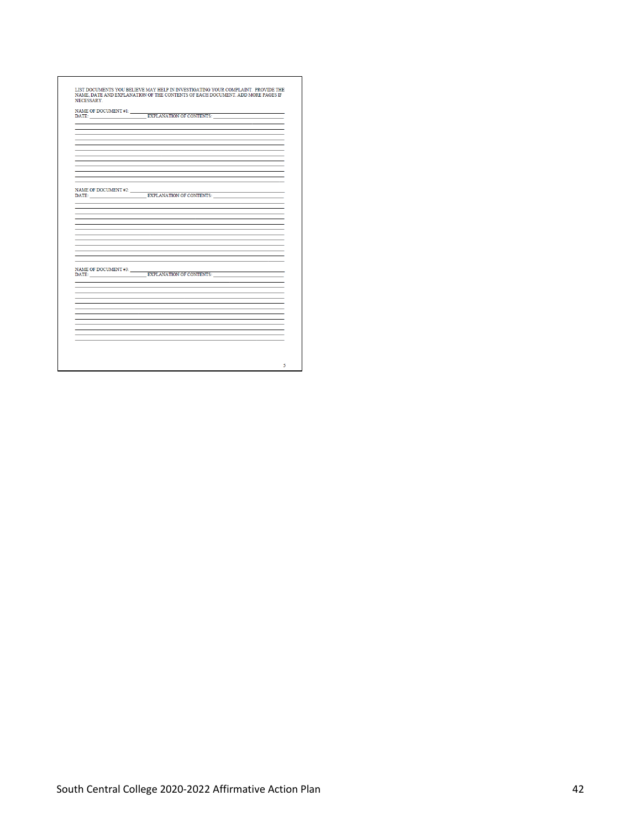| $\begin{tabular}{l} NAME OF DOCUMENT \#1: \begin{tabular}{l} \hline \textbf{EXAMPLE} & \textbf{EXPLANATION OF CONIENTS: \end{tabular} \end{tabular}$ |
|------------------------------------------------------------------------------------------------------------------------------------------------------|
|                                                                                                                                                      |
|                                                                                                                                                      |
|                                                                                                                                                      |
|                                                                                                                                                      |
|                                                                                                                                                      |
|                                                                                                                                                      |
|                                                                                                                                                      |
|                                                                                                                                                      |
|                                                                                                                                                      |
|                                                                                                                                                      |
| NAME OF DOCUMENT #2: $\frac{1}{\sqrt{2\pi}}$ EXPLANATION OF CONTENTS:                                                                                |
|                                                                                                                                                      |
|                                                                                                                                                      |
|                                                                                                                                                      |
|                                                                                                                                                      |
|                                                                                                                                                      |
|                                                                                                                                                      |
|                                                                                                                                                      |
|                                                                                                                                                      |
|                                                                                                                                                      |
|                                                                                                                                                      |
| NAME OF DOCUMENT #3: $\frac{1}{2}$ EXPLANATION OF CONTENTS:                                                                                          |
|                                                                                                                                                      |
|                                                                                                                                                      |
|                                                                                                                                                      |
|                                                                                                                                                      |
|                                                                                                                                                      |
|                                                                                                                                                      |
|                                                                                                                                                      |
|                                                                                                                                                      |
|                                                                                                                                                      |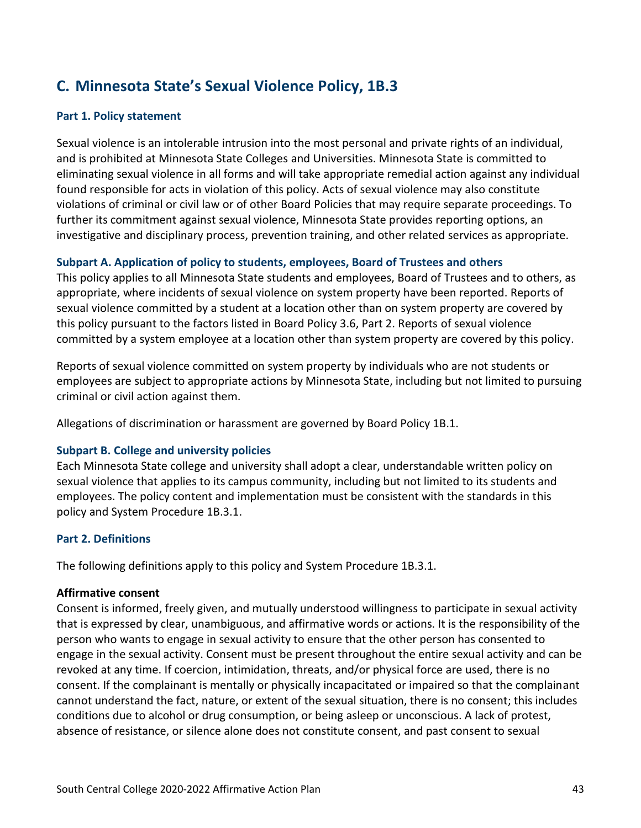# **C. Minnesota State's Sexual Violence Policy, 1B.3**

# **Part 1. Policy statement**

Sexual violence is an intolerable intrusion into the most personal and private rights of an individual, and is prohibited at Minnesota State Colleges and Universities. Minnesota State is committed to eliminating sexual violence in all forms and will take appropriate remedial action against any individual found responsible for acts in violation of this policy. Acts of sexual violence may also constitute violations of criminal or civil law or of other Board Policies that may require separate proceedings. To further its commitment against sexual violence, Minnesota State provides reporting options, an investigative and disciplinary process, prevention training, and other related services as appropriate.

# **Subpart A. Application of policy to students, employees, Board of Trustees and others**

This policy applies to all Minnesota State students and employees, Board of Trustees and to others, as appropriate, where incidents of sexual violence on system property have been reported. Reports of sexual violence committed by a student at a location other than on system property are covered by this policy pursuant to the factors listed in Board Policy 3.6, Part 2. Reports of sexual violence committed by a system employee at a location other than system property are covered by this policy.

Reports of sexual violence committed on system property by individuals who are not students or employees are subject to appropriate actions by Minnesota State, including but not limited to pursuing criminal or civil action against them.

Allegations of discrimination or harassment are governed by Board Policy 1B.1.

# **Subpart B. College and university policies**

Each Minnesota State college and university shall adopt a clear, understandable written policy on sexual violence that applies to its campus community, including but not limited to its students and employees. The policy content and implementation must be consistent with the standards in this policy and System Procedure 1B.3.1.

# **Part 2. Definitions**

The following definitions apply to this policy and System Procedure 1B.3.1.

# **Affirmative consent**

Consent is informed, freely given, and mutually understood willingness to participate in sexual activity that is expressed by clear, unambiguous, and affirmative words or actions. It is the responsibility of the person who wants to engage in sexual activity to ensure that the other person has consented to engage in the sexual activity. Consent must be present throughout the entire sexual activity and can be revoked at any time. If coercion, intimidation, threats, and/or physical force are used, there is no consent. If the complainant is mentally or physically incapacitated or impaired so that the complainant cannot understand the fact, nature, or extent of the sexual situation, there is no consent; this includes conditions due to alcohol or drug consumption, or being asleep or unconscious. A lack of protest, absence of resistance, or silence alone does not constitute consent, and past consent to sexual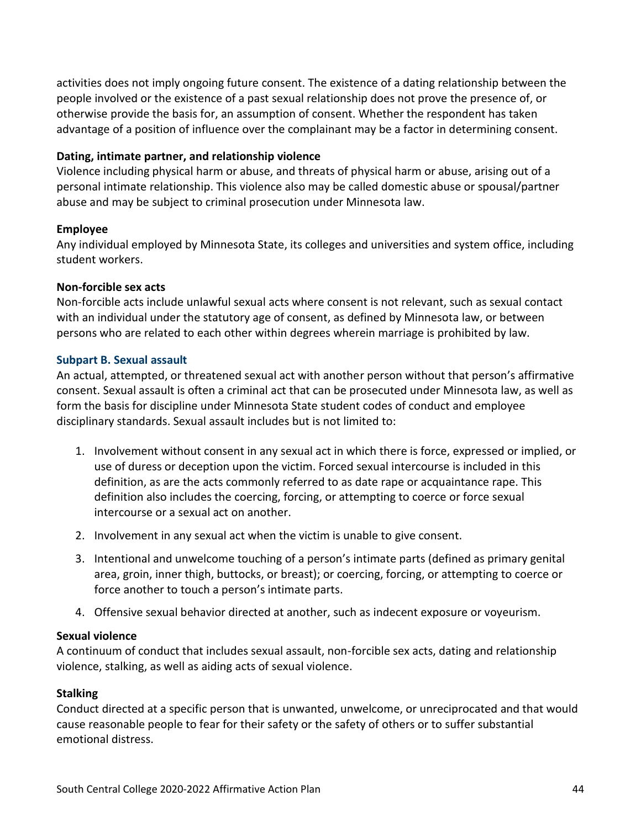activities does not imply ongoing future consent. The existence of a dating relationship between the people involved or the existence of a past sexual relationship does not prove the presence of, or otherwise provide the basis for, an assumption of consent. Whether the respondent has taken advantage of a position of influence over the complainant may be a factor in determining consent.

# **Dating, intimate partner, and relationship violence**

Violence including physical harm or abuse, and threats of physical harm or abuse, arising out of a personal intimate relationship. This violence also may be called domestic abuse or spousal/partner abuse and may be subject to criminal prosecution under Minnesota law.

# **Employee**

Any individual employed by Minnesota State, its colleges and universities and system office, including student workers.

# **Non-forcible sex acts**

Non-forcible acts include unlawful sexual acts where consent is not relevant, such as sexual contact with an individual under the statutory age of consent, as defined by Minnesota law, or between persons who are related to each other within degrees wherein marriage is prohibited by law.

# **Subpart B. Sexual assault**

An actual, attempted, or threatened sexual act with another person without that person's affirmative consent. Sexual assault is often a criminal act that can be prosecuted under Minnesota law, as well as form the basis for discipline under Minnesota State student codes of conduct and employee disciplinary standards. Sexual assault includes but is not limited to:

- 1. Involvement without consent in any sexual act in which there is force, expressed or implied, or use of duress or deception upon the victim. Forced sexual intercourse is included in this definition, as are the acts commonly referred to as date rape or acquaintance rape. This definition also includes the coercing, forcing, or attempting to coerce or force sexual intercourse or a sexual act on another.
- 2. Involvement in any sexual act when the victim is unable to give consent.
- 3. Intentional and unwelcome touching of a person's intimate parts (defined as primary genital area, groin, inner thigh, buttocks, or breast); or coercing, forcing, or attempting to coerce or force another to touch a person's intimate parts.
- 4. Offensive sexual behavior directed at another, such as indecent exposure or voyeurism.

# **Sexual violence**

A continuum of conduct that includes sexual assault, non-forcible sex acts, dating and relationship violence, stalking, as well as aiding acts of sexual violence.

# **Stalking**

Conduct directed at a specific person that is unwanted, unwelcome, or unreciprocated and that would cause reasonable people to fear for their safety or the safety of others or to suffer substantial emotional distress.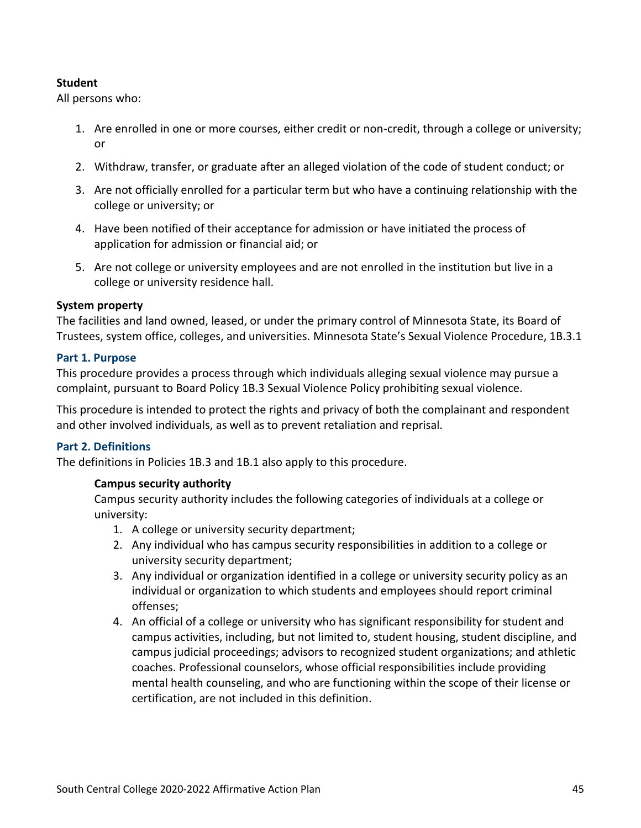# **Student**

All persons who:

- 1. Are enrolled in one or more courses, either credit or non-credit, through a college or university; or
- 2. Withdraw, transfer, or graduate after an alleged violation of the code of student conduct; or
- 3. Are not officially enrolled for a particular term but who have a continuing relationship with the college or university; or
- 4. Have been notified of their acceptance for admission or have initiated the process of application for admission or financial aid; or
- 5. Are not college or university employees and are not enrolled in the institution but live in a college or university residence hall.

# **System property**

The facilities and land owned, leased, or under the primary control of Minnesota State, its Board of Trustees, system office, colleges, and universities. Minnesota State's Sexual Violence Procedure, 1B.3.1

# **Part 1. Purpose**

This procedure provides a process through which individuals alleging sexual violence may pursue a complaint, pursuant to Board Policy 1B.3 Sexual Violence Policy prohibiting sexual violence.

This procedure is intended to protect the rights and privacy of both the complainant and respondent and other involved individuals, as well as to prevent retaliation and reprisal.

# **Part 2. Definitions**

The definitions in Policies 1B.3 and 1B.1 also apply to this procedure.

# **Campus security authority**

Campus security authority includes the following categories of individuals at a college or university:

- 1. A college or university security department;
- 2. Any individual who has campus security responsibilities in addition to a college or university security department;
- 3. Any individual or organization identified in a college or university security policy as an individual or organization to which students and employees should report criminal offenses;
- 4. An official of a college or university who has significant responsibility for student and campus activities, including, but not limited to, student housing, student discipline, and campus judicial proceedings; advisors to recognized student organizations; and athletic coaches. Professional counselors, whose official responsibilities include providing mental health counseling, and who are functioning within the scope of their license or certification, are not included in this definition.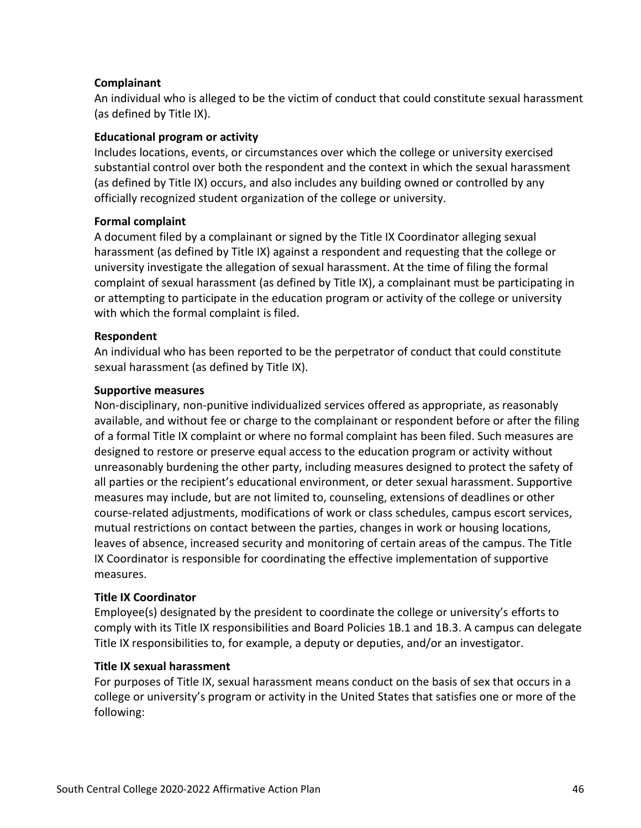# **Complainant**

An individual who is alleged to be the victim of conduct that could constitute sexual harassment (as defined by Title IX).

# **Educational program or activity**

Includes locations, events, or circumstances over which the college or university exercised substantial control over both the respondent and the context in which the sexual harassment (as defined by Title IX) occurs, and also includes any building owned or controlled by any officially recognized student organization of the college or university.

# **Formal complaint**

A document filed by a complainant or signed by the Title IX Coordinator alleging sexual harassment (as defined by Title IX) against a respondent and requesting that the college or university investigate the allegation of sexual harassment. At the time of filing the formal complaint of sexual harassment (as defined by Title IX), a complainant must be participating in or attempting to participate in the education program or activity of the college or university with which the formal complaint is filed.

# **Respondent**

An individual who has been reported to be the perpetrator of conduct that could constitute sexual harassment (as defined by Title IX).

# **Supportive measures**

Non-disciplinary, non-punitive individualized services offered as appropriate, as reasonably available, and without fee or charge to the complainant or respondent before or after the filing of a formal Title IX complaint or where no formal complaint has been filed. Such measures are designed to restore or preserve equal access to the education program or activity without unreasonably burdening the other party, including measures designed to protect the safety of all parties or the recipient's educational environment, or deter sexual harassment. Supportive measures may include, but are not limited to, counseling, extensions of deadlines or other course-related adjustments, modifications of work or class schedules, campus escort services, mutual restrictions on contact between the parties, changes in work or housing locations, leaves of absence, increased security and monitoring of certain areas of the campus. The Title IX Coordinator is responsible for coordinating the effective implementation of supportive measures.

# **Title IX Coordinator**

Employee(s) designated by the president to coordinate the college or university's efforts to comply with its Title IX responsibilities and Board Policies 1B.1 and 1B.3. A campus can delegate Title IX responsibilities to, for example, a deputy or deputies, and/or an investigator.

# **Title IX sexual harassment**

For purposes of Title IX, sexual harassment means conduct on the basis of sex that occurs in a college or university's program or activity in the United States that satisfies one or more of the following: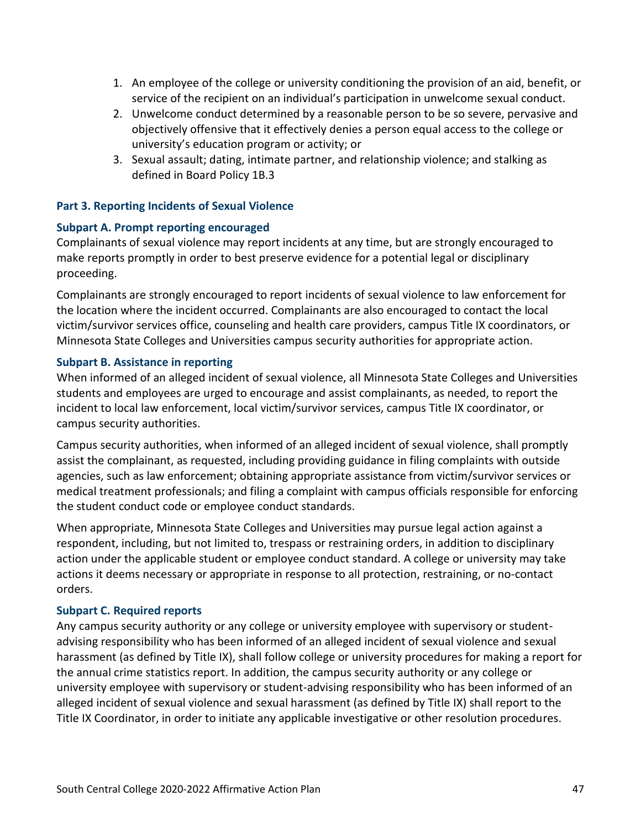- 1. An employee of the college or university conditioning the provision of an aid, benefit, or service of the recipient on an individual's participation in unwelcome sexual conduct.
- 2. Unwelcome conduct determined by a reasonable person to be so severe, pervasive and objectively offensive that it effectively denies a person equal access to the college or university's education program or activity; or
- 3. Sexual assault; dating, intimate partner, and relationship violence; and stalking as defined in Board Policy 1B.3

# **Part 3. Reporting Incidents of Sexual Violence**

# **Subpart A. Prompt reporting encouraged**

Complainants of sexual violence may report incidents at any time, but are strongly encouraged to make reports promptly in order to best preserve evidence for a potential legal or disciplinary proceeding.

Complainants are strongly encouraged to report incidents of sexual violence to law enforcement for the location where the incident occurred. Complainants are also encouraged to contact the local victim/survivor services office, counseling and health care providers, campus Title IX coordinators, or Minnesota State Colleges and Universities campus security authorities for appropriate action.

# **Subpart B. Assistance in reporting**

When informed of an alleged incident of sexual violence, all Minnesota State Colleges and Universities students and employees are urged to encourage and assist complainants, as needed, to report the incident to local law enforcement, local victim/survivor services, campus Title IX coordinator, or campus security authorities.

Campus security authorities, when informed of an alleged incident of sexual violence, shall promptly assist the complainant, as requested, including providing guidance in filing complaints with outside agencies, such as law enforcement; obtaining appropriate assistance from victim/survivor services or medical treatment professionals; and filing a complaint with campus officials responsible for enforcing the student conduct code or employee conduct standards.

When appropriate, Minnesota State Colleges and Universities may pursue legal action against a respondent, including, but not limited to, trespass or restraining orders, in addition to disciplinary action under the applicable student or employee conduct standard. A college or university may take actions it deems necessary or appropriate in response to all protection, restraining, or no-contact orders.

# **Subpart C. Required reports**

Any campus security authority or any college or university employee with supervisory or studentadvising responsibility who has been informed of an alleged incident of sexual violence and sexual harassment (as defined by Title IX), shall follow college or university procedures for making a report for the annual crime statistics report. In addition, the campus security authority or any college or university employee with supervisory or student-advising responsibility who has been informed of an alleged incident of sexual violence and sexual harassment (as defined by Title IX) shall report to the Title IX Coordinator, in order to initiate any applicable investigative or other resolution procedures.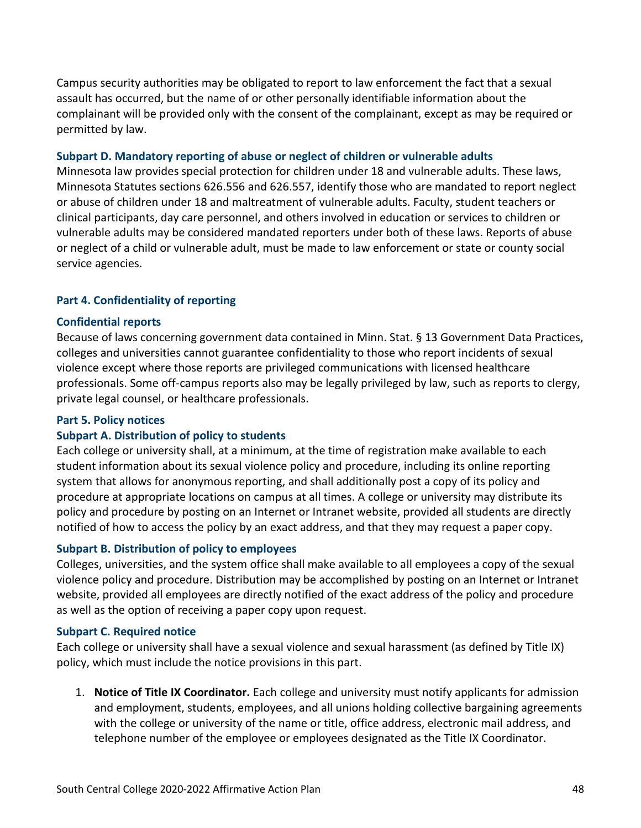Campus security authorities may be obligated to report to law enforcement the fact that a sexual assault has occurred, but the name of or other personally identifiable information about the complainant will be provided only with the consent of the complainant, except as may be required or permitted by law.

#### **Subpart D. Mandatory reporting of abuse or neglect of children or vulnerable adults**

Minnesota law provides special protection for children under 18 and vulnerable adults. These laws, Minnesota Statutes sections 626.556 and 626.557, identify those who are mandated to report neglect or abuse of children under 18 and maltreatment of vulnerable adults. Faculty, student teachers or clinical participants, day care personnel, and others involved in education or services to children or vulnerable adults may be considered mandated reporters under both of these laws. Reports of abuse or neglect of a child or vulnerable adult, must be made to law enforcement or state or county social service agencies.

# **Part 4. Confidentiality of reporting**

#### **Confidential reports**

Because of laws concerning government data contained in Minn. Stat. § 13 Government Data Practices, colleges and universities cannot guarantee confidentiality to those who report incidents of sexual violence except where those reports are privileged communications with licensed healthcare professionals. Some off-campus reports also may be legally privileged by law, such as reports to clergy, private legal counsel, or healthcare professionals.

#### **Part 5. Policy notices**

# **Subpart A. Distribution of policy to students**

Each college or university shall, at a minimum, at the time of registration make available to each student information about its sexual violence policy and procedure, including its online reporting system that allows for anonymous reporting, and shall additionally post a copy of its policy and procedure at appropriate locations on campus at all times. A college or university may distribute its policy and procedure by posting on an Internet or Intranet website, provided all students are directly notified of how to access the policy by an exact address, and that they may request a paper copy.

# **Subpart B. Distribution of policy to employees**

Colleges, universities, and the system office shall make available to all employees a copy of the sexual violence policy and procedure. Distribution may be accomplished by posting on an Internet or Intranet website, provided all employees are directly notified of the exact address of the policy and procedure as well as the option of receiving a paper copy upon request.

#### **Subpart C. Required notice**

Each college or university shall have a sexual violence and sexual harassment (as defined by Title IX) policy, which must include the notice provisions in this part.

1. **Notice of Title IX Coordinator.** Each college and university must notify applicants for admission and employment, students, employees, and all unions holding collective bargaining agreements with the college or university of the name or title, office address, electronic mail address, and telephone number of the employee or employees designated as the Title IX Coordinator.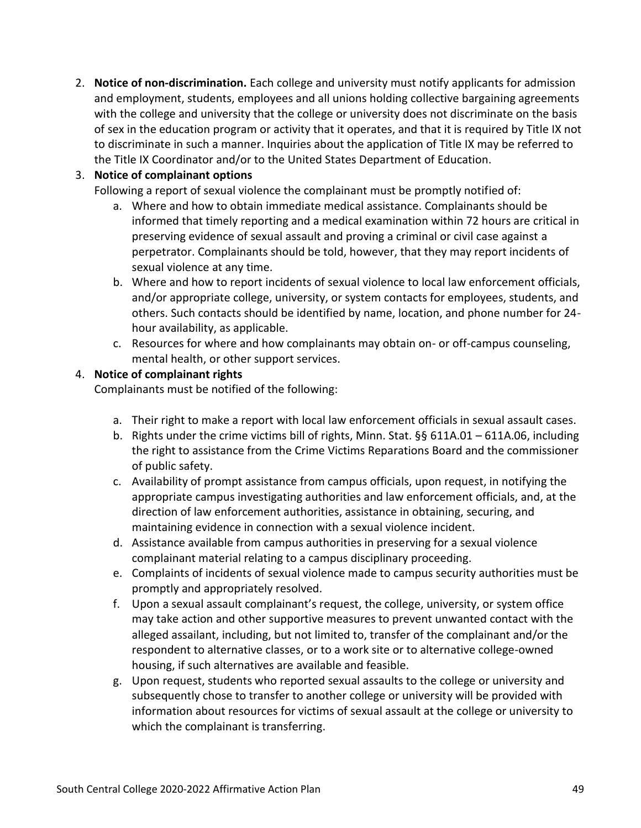2. **Notice of non-discrimination.** Each college and university must notify applicants for admission and employment, students, employees and all unions holding collective bargaining agreements with the college and university that the college or university does not discriminate on the basis of sex in the education program or activity that it operates, and that it is required by Title IX not to discriminate in such a manner. Inquiries about the application of Title IX may be referred to the Title IX Coordinator and/or to the United States Department of Education.

# 3. **Notice of complainant options**

Following a report of sexual violence the complainant must be promptly notified of:

- a. Where and how to obtain immediate medical assistance. Complainants should be informed that timely reporting and a medical examination within 72 hours are critical in preserving evidence of sexual assault and proving a criminal or civil case against a perpetrator. Complainants should be told, however, that they may report incidents of sexual violence at any time.
- b. Where and how to report incidents of sexual violence to local law enforcement officials, and/or appropriate college, university, or system contacts for employees, students, and others. Such contacts should be identified by name, location, and phone number for 24 hour availability, as applicable.
- c. Resources for where and how complainants may obtain on- or off-campus counseling, mental health, or other support services.

# 4. **Notice of complainant rights**

Complainants must be notified of the following:

- a. Their right to make a report with local law enforcement officials in sexual assault cases.
- b. Rights under the crime victims bill of rights, Minn. Stat. §§ 611A.01 611A.06, including the right to assistance from the Crime Victims Reparations Board and the commissioner of public safety.
- c. Availability of prompt assistance from campus officials, upon request, in notifying the appropriate campus investigating authorities and law enforcement officials, and, at the direction of law enforcement authorities, assistance in obtaining, securing, and maintaining evidence in connection with a sexual violence incident.
- d. Assistance available from campus authorities in preserving for a sexual violence complainant material relating to a campus disciplinary proceeding.
- e. Complaints of incidents of sexual violence made to campus security authorities must be promptly and appropriately resolved.
- f. Upon a sexual assault complainant's request, the college, university, or system office may take action and other supportive measures to prevent unwanted contact with the alleged assailant, including, but not limited to, transfer of the complainant and/or the respondent to alternative classes, or to a work site or to alternative college-owned housing, if such alternatives are available and feasible.
- g. Upon request, students who reported sexual assaults to the college or university and subsequently chose to transfer to another college or university will be provided with information about resources for victims of sexual assault at the college or university to which the complainant is transferring.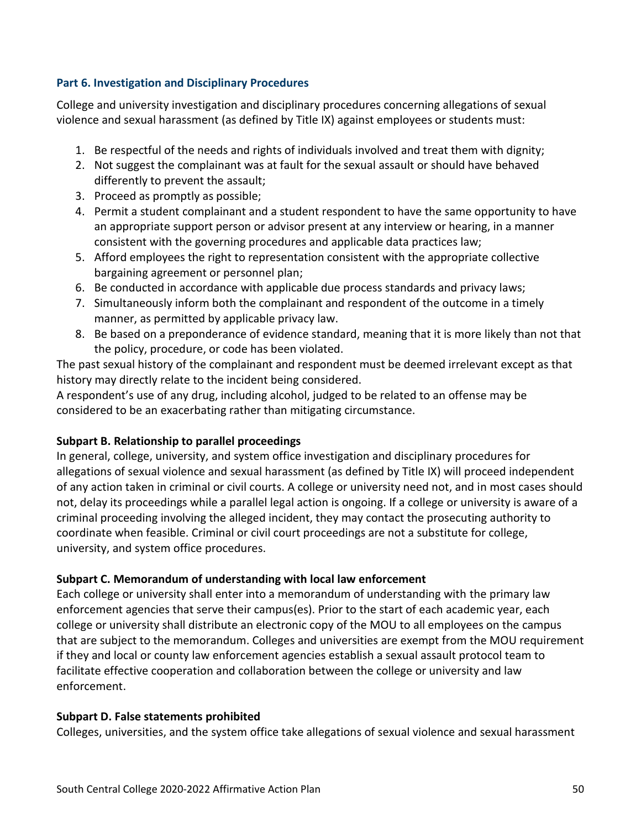# **Part 6. Investigation and Disciplinary Procedures**

College and university investigation and disciplinary procedures concerning allegations of sexual violence and sexual harassment (as defined by Title IX) against employees or students must:

- 1. Be respectful of the needs and rights of individuals involved and treat them with dignity;
- 2. Not suggest the complainant was at fault for the sexual assault or should have behaved differently to prevent the assault;
- 3. Proceed as promptly as possible;
- 4. Permit a student complainant and a student respondent to have the same opportunity to have an appropriate support person or advisor present at any interview or hearing, in a manner consistent with the governing procedures and applicable data practices law;
- 5. Afford employees the right to representation consistent with the appropriate collective bargaining agreement or personnel plan;
- 6. Be conducted in accordance with applicable due process standards and privacy laws;
- 7. Simultaneously inform both the complainant and respondent of the outcome in a timely manner, as permitted by applicable privacy law.
- 8. Be based on a preponderance of evidence standard, meaning that it is more likely than not that the policy, procedure, or code has been violated.

The past sexual history of the complainant and respondent must be deemed irrelevant except as that history may directly relate to the incident being considered.

A respondent's use of any drug, including alcohol, judged to be related to an offense may be considered to be an exacerbating rather than mitigating circumstance.

# **Subpart B. Relationship to parallel proceedings**

In general, college, university, and system office investigation and disciplinary procedures for allegations of sexual violence and sexual harassment (as defined by Title IX) will proceed independent of any action taken in criminal or civil courts. A college or university need not, and in most cases should not, delay its proceedings while a parallel legal action is ongoing. If a college or university is aware of a criminal proceeding involving the alleged incident, they may contact the prosecuting authority to coordinate when feasible. Criminal or civil court proceedings are not a substitute for college, university, and system office procedures.

# **Subpart C. Memorandum of understanding with local law enforcement**

Each college or university shall enter into a memorandum of understanding with the primary law enforcement agencies that serve their campus(es). Prior to the start of each academic year, each college or university shall distribute an electronic copy of the MOU to all employees on the campus that are subject to the memorandum. Colleges and universities are exempt from the MOU requirement if they and local or county law enforcement agencies establish a sexual assault protocol team to facilitate effective cooperation and collaboration between the college or university and law enforcement.

# **Subpart D. False statements prohibited**

Colleges, universities, and the system office take allegations of sexual violence and sexual harassment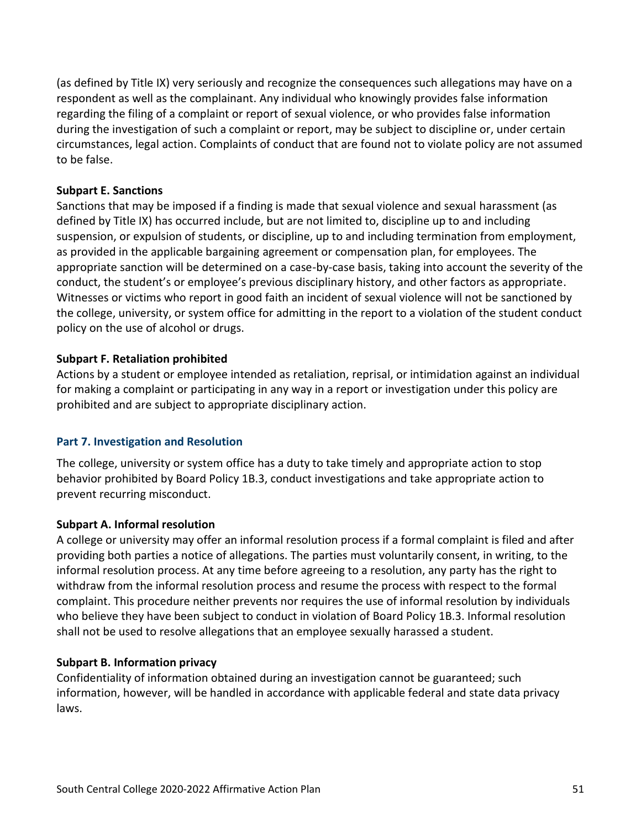(as defined by Title IX) very seriously and recognize the consequences such allegations may have on a respondent as well as the complainant. Any individual who knowingly provides false information regarding the filing of a complaint or report of sexual violence, or who provides false information during the investigation of such a complaint or report, may be subject to discipline or, under certain circumstances, legal action. Complaints of conduct that are found not to violate policy are not assumed to be false.

# **Subpart E. Sanctions**

Sanctions that may be imposed if a finding is made that sexual violence and sexual harassment (as defined by Title IX) has occurred include, but are not limited to, discipline up to and including suspension, or expulsion of students, or discipline, up to and including termination from employment, as provided in the applicable bargaining agreement or compensation plan, for employees. The appropriate sanction will be determined on a case-by-case basis, taking into account the severity of the conduct, the student's or employee's previous disciplinary history, and other factors as appropriate. Witnesses or victims who report in good faith an incident of sexual violence will not be sanctioned by the college, university, or system office for admitting in the report to a violation of the student conduct policy on the use of alcohol or drugs.

# **Subpart F. Retaliation prohibited**

Actions by a student or employee intended as retaliation, reprisal, or intimidation against an individual for making a complaint or participating in any way in a report or investigation under this policy are prohibited and are subject to appropriate disciplinary action.

# **Part 7. Investigation and Resolution**

The college, university or system office has a duty to take timely and appropriate action to stop behavior prohibited by Board Policy 1B.3, conduct investigations and take appropriate action to prevent recurring misconduct.

# **Subpart A. Informal resolution**

A college or university may offer an informal resolution process if a formal complaint is filed and after providing both parties a notice of allegations. The parties must voluntarily consent, in writing, to the informal resolution process. At any time before agreeing to a resolution, any party has the right to withdraw from the informal resolution process and resume the process with respect to the formal complaint. This procedure neither prevents nor requires the use of informal resolution by individuals who believe they have been subject to conduct in violation of Board Policy 1B.3. Informal resolution shall not be used to resolve allegations that an employee sexually harassed a student.

# **Subpart B. Information privacy**

Confidentiality of information obtained during an investigation cannot be guaranteed; such information, however, will be handled in accordance with applicable federal and state data privacy laws.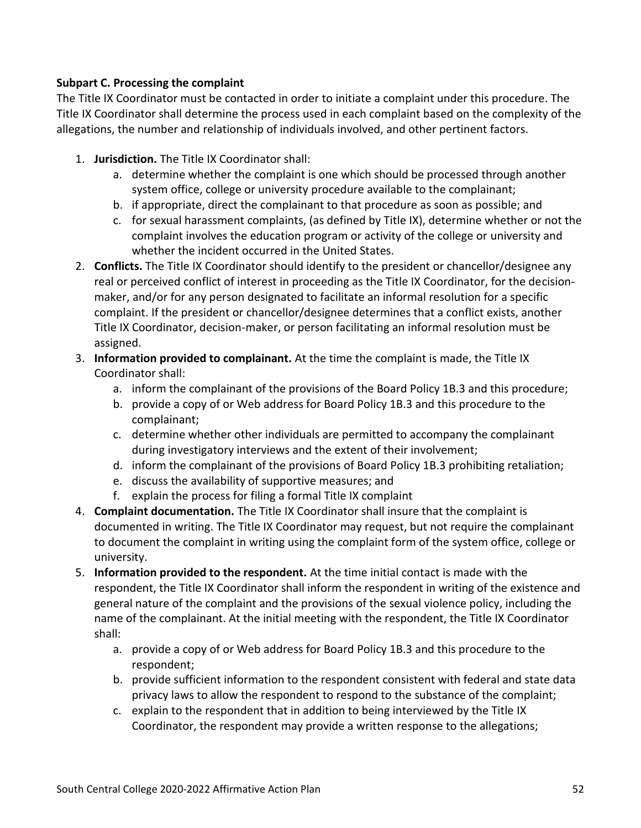# **Subpart C. Processing the complaint**

The Title IX Coordinator must be contacted in order to initiate a complaint under this procedure. The Title IX Coordinator shall determine the process used in each complaint based on the complexity of the allegations, the number and relationship of individuals involved, and other pertinent factors.

- 1. **Jurisdiction.** The Title IX Coordinator shall:
	- a. determine whether the complaint is one which should be processed through another system office, college or university procedure available to the complainant;
	- b. if appropriate, direct the complainant to that procedure as soon as possible; and
	- c. for sexual harassment complaints, (as defined by Title IX), determine whether or not the complaint involves the education program or activity of the college or university and whether the incident occurred in the United States.
- 2. **Conflicts.** The Title IX Coordinator should identify to the president or chancellor/designee any real or perceived conflict of interest in proceeding as the Title IX Coordinator, for the decisionmaker, and/or for any person designated to facilitate an informal resolution for a specific complaint. If the president or chancellor/designee determines that a conflict exists, another Title IX Coordinator, decision-maker, or person facilitating an informal resolution must be assigned.
- 3. **Information provided to complainant.** At the time the complaint is made, the Title IX Coordinator shall:
	- a. inform the complainant of the provisions of the Board Policy 1B.3 and this procedure;
	- b. provide a copy of or Web address for Board Policy 1B.3 and this procedure to the complainant;
	- c. determine whether other individuals are permitted to accompany the complainant during investigatory interviews and the extent of their involvement;
	- d. inform the complainant of the provisions of Board Policy 1B.3 prohibiting retaliation;
	- e. discuss the availability of supportive measures; and
	- f. explain the process for filing a formal Title IX complaint
- 4. **Complaint documentation.** The Title IX Coordinator shall insure that the complaint is documented in writing. The Title IX Coordinator may request, but not require the complainant to document the complaint in writing using the complaint form of the system office, college or university.
- 5. **Information provided to the respondent.** At the time initial contact is made with the respondent, the Title IX Coordinator shall inform the respondent in writing of the existence and general nature of the complaint and the provisions of the sexual violence policy, including the name of the complainant. At the initial meeting with the respondent, the Title IX Coordinator shall:
	- a. provide a copy of or Web address for Board Policy 1B.3 and this procedure to the respondent;
	- b. provide sufficient information to the respondent consistent with federal and state data privacy laws to allow the respondent to respond to the substance of the complaint;
	- c. explain to the respondent that in addition to being interviewed by the Title IX Coordinator, the respondent may provide a written response to the allegations;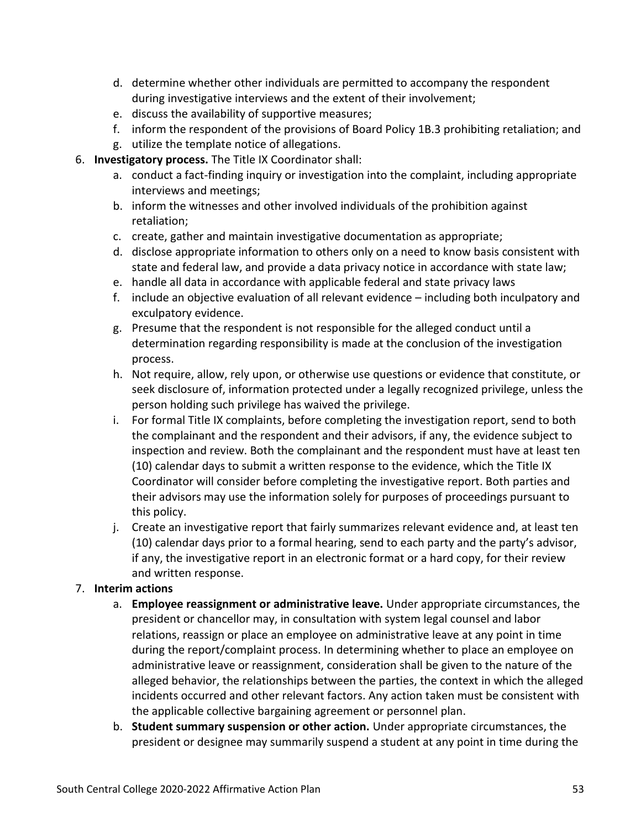- d. determine whether other individuals are permitted to accompany the respondent during investigative interviews and the extent of their involvement;
- e. discuss the availability of supportive measures;
- f. inform the respondent of the provisions of Board Policy 1B.3 prohibiting retaliation; and
- g. utilize the template notice of allegations.
- 6. **Investigatory process.** The Title IX Coordinator shall:
	- a. conduct a fact-finding inquiry or investigation into the complaint, including appropriate interviews and meetings;
	- b. inform the witnesses and other involved individuals of the prohibition against retaliation;
	- c. create, gather and maintain investigative documentation as appropriate;
	- d. disclose appropriate information to others only on a need to know basis consistent with state and federal law, and provide a data privacy notice in accordance with state law;
	- e. handle all data in accordance with applicable federal and state privacy laws
	- f. include an objective evaluation of all relevant evidence including both inculpatory and exculpatory evidence.
	- g. Presume that the respondent is not responsible for the alleged conduct until a determination regarding responsibility is made at the conclusion of the investigation process.
	- h. Not require, allow, rely upon, or otherwise use questions or evidence that constitute, or seek disclosure of, information protected under a legally recognized privilege, unless the person holding such privilege has waived the privilege.
	- i. For formal Title IX complaints, before completing the investigation report, send to both the complainant and the respondent and their advisors, if any, the evidence subject to inspection and review. Both the complainant and the respondent must have at least ten (10) calendar days to submit a written response to the evidence, which the Title IX Coordinator will consider before completing the investigative report. Both parties and their advisors may use the information solely for purposes of proceedings pursuant to this policy.
	- j. Create an investigative report that fairly summarizes relevant evidence and, at least ten (10) calendar days prior to a formal hearing, send to each party and the party's advisor, if any, the investigative report in an electronic format or a hard copy, for their review and written response.

# 7. **Interim actions**

- a. **Employee reassignment or administrative leave.** Under appropriate circumstances, the president or chancellor may, in consultation with system legal counsel and labor relations, reassign or place an employee on administrative leave at any point in time during the report/complaint process. In determining whether to place an employee on administrative leave or reassignment, consideration shall be given to the nature of the alleged behavior, the relationships between the parties, the context in which the alleged incidents occurred and other relevant factors. Any action taken must be consistent with the applicable collective bargaining agreement or personnel plan.
- b. **Student summary suspension or other action.** Under appropriate circumstances, the president or designee may summarily suspend a student at any point in time during the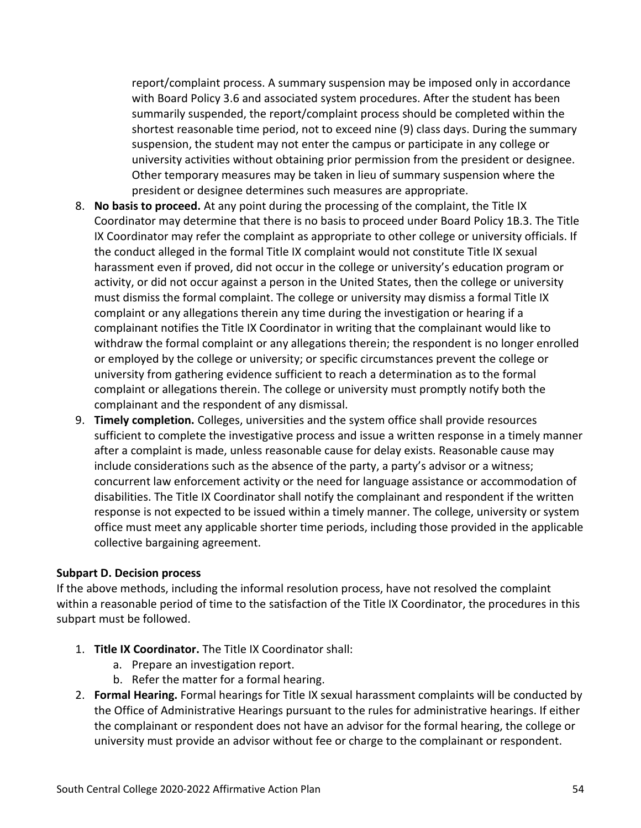report/complaint process. A summary suspension may be imposed only in accordance with Board Policy 3.6 and associated system procedures. After the student has been summarily suspended, the report/complaint process should be completed within the shortest reasonable time period, not to exceed nine (9) class days. During the summary suspension, the student may not enter the campus or participate in any college or university activities without obtaining prior permission from the president or designee. Other temporary measures may be taken in lieu of summary suspension where the president or designee determines such measures are appropriate.

- 8. **No basis to proceed.** At any point during the processing of the complaint, the Title IX Coordinator may determine that there is no basis to proceed under Board Policy 1B.3. The Title IX Coordinator may refer the complaint as appropriate to other college or university officials. If the conduct alleged in the formal Title IX complaint would not constitute Title IX sexual harassment even if proved, did not occur in the college or university's education program or activity, or did not occur against a person in the United States, then the college or university must dismiss the formal complaint. The college or university may dismiss a formal Title IX complaint or any allegations therein any time during the investigation or hearing if a complainant notifies the Title IX Coordinator in writing that the complainant would like to withdraw the formal complaint or any allegations therein; the respondent is no longer enrolled or employed by the college or university; or specific circumstances prevent the college or university from gathering evidence sufficient to reach a determination as to the formal complaint or allegations therein. The college or university must promptly notify both the complainant and the respondent of any dismissal.
- 9. **Timely completion.** Colleges, universities and the system office shall provide resources sufficient to complete the investigative process and issue a written response in a timely manner after a complaint is made, unless reasonable cause for delay exists. Reasonable cause may include considerations such as the absence of the party, a party's advisor or a witness; concurrent law enforcement activity or the need for language assistance or accommodation of disabilities. The Title IX Coordinator shall notify the complainant and respondent if the written response is not expected to be issued within a timely manner. The college, university or system office must meet any applicable shorter time periods, including those provided in the applicable collective bargaining agreement.

#### **Subpart D. Decision process**

If the above methods, including the informal resolution process, have not resolved the complaint within a reasonable period of time to the satisfaction of the Title IX Coordinator, the procedures in this subpart must be followed.

- 1. **Title IX Coordinator.** The Title IX Coordinator shall:
	- a. Prepare an investigation report.
	- b. Refer the matter for a formal hearing.
- 2. **Formal Hearing.** Formal hearings for Title IX sexual harassment complaints will be conducted by the Office of Administrative Hearings pursuant to the rules for administrative hearings. If either the complainant or respondent does not have an advisor for the formal hearing, the college or university must provide an advisor without fee or charge to the complainant or respondent.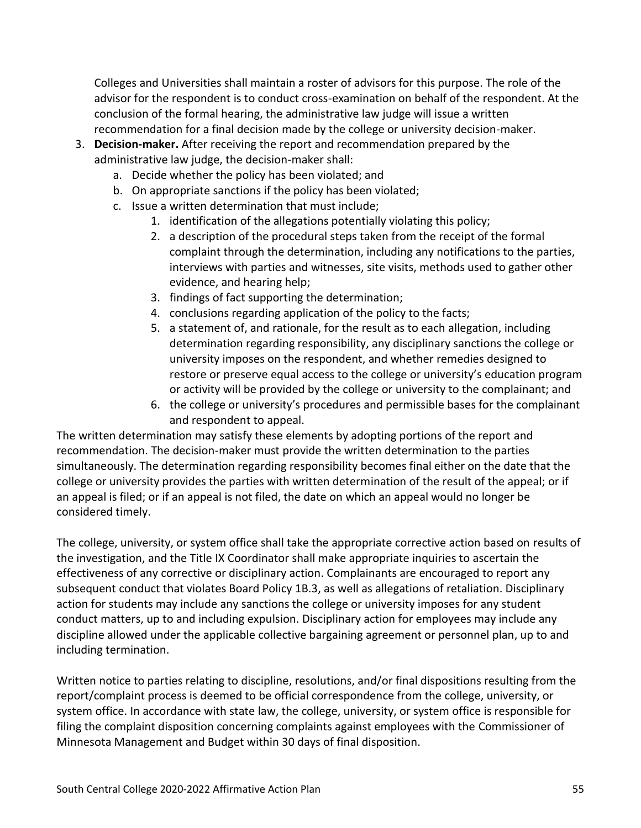Colleges and Universities shall maintain a roster of advisors for this purpose. The role of the advisor for the respondent is to conduct cross-examination on behalf of the respondent. At the conclusion of the formal hearing, the administrative law judge will issue a written recommendation for a final decision made by the college or university decision-maker.

- 3. **Decision-maker.** After receiving the report and recommendation prepared by the administrative law judge, the decision-maker shall:
	- a. Decide whether the policy has been violated; and
	- b. On appropriate sanctions if the policy has been violated;
	- c. Issue a written determination that must include;
		- 1. identification of the allegations potentially violating this policy;
		- 2. a description of the procedural steps taken from the receipt of the formal complaint through the determination, including any notifications to the parties, interviews with parties and witnesses, site visits, methods used to gather other evidence, and hearing help;
		- 3. findings of fact supporting the determination;
		- 4. conclusions regarding application of the policy to the facts;
		- 5. a statement of, and rationale, for the result as to each allegation, including determination regarding responsibility, any disciplinary sanctions the college or university imposes on the respondent, and whether remedies designed to restore or preserve equal access to the college or university's education program or activity will be provided by the college or university to the complainant; and
		- 6. the college or university's procedures and permissible bases for the complainant and respondent to appeal.

The written determination may satisfy these elements by adopting portions of the report and recommendation. The decision-maker must provide the written determination to the parties simultaneously. The determination regarding responsibility becomes final either on the date that the college or university provides the parties with written determination of the result of the appeal; or if an appeal is filed; or if an appeal is not filed, the date on which an appeal would no longer be considered timely.

The college, university, or system office shall take the appropriate corrective action based on results of the investigation, and the Title IX Coordinator shall make appropriate inquiries to ascertain the effectiveness of any corrective or disciplinary action. Complainants are encouraged to report any subsequent conduct that violates Board Policy 1B.3, as well as allegations of retaliation. Disciplinary action for students may include any sanctions the college or university imposes for any student conduct matters, up to and including expulsion. Disciplinary action for employees may include any discipline allowed under the applicable collective bargaining agreement or personnel plan, up to and including termination.

Written notice to parties relating to discipline, resolutions, and/or final dispositions resulting from the report/complaint process is deemed to be official correspondence from the college, university, or system office. In accordance with state law, the college, university, or system office is responsible for filing the complaint disposition concerning complaints against employees with the Commissioner of Minnesota Management and Budget within 30 days of final disposition.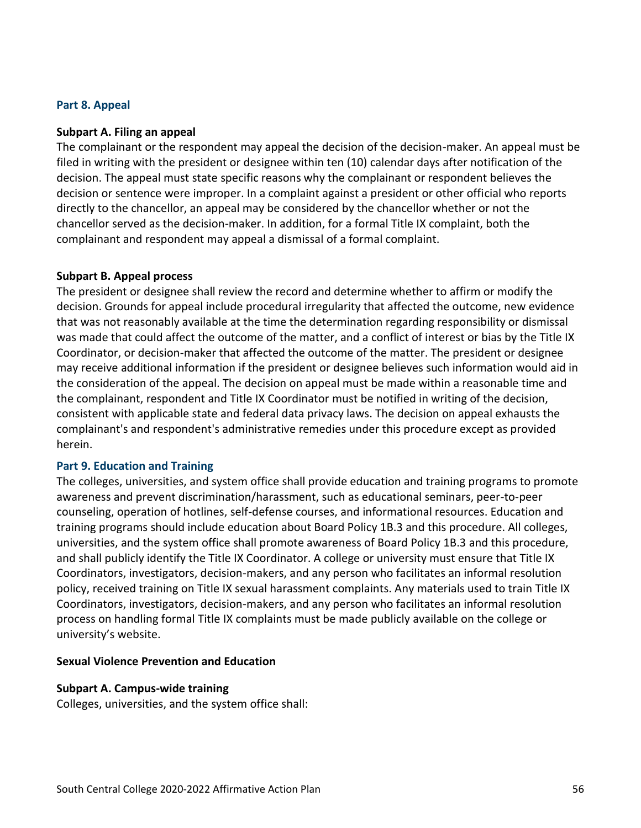#### **Part 8. Appeal**

#### **Subpart A. Filing an appeal**

The complainant or the respondent may appeal the decision of the decision-maker. An appeal must be filed in writing with the president or designee within ten (10) calendar days after notification of the decision. The appeal must state specific reasons why the complainant or respondent believes the decision or sentence were improper. In a complaint against a president or other official who reports directly to the chancellor, an appeal may be considered by the chancellor whether or not the chancellor served as the decision-maker. In addition, for a formal Title IX complaint, both the complainant and respondent may appeal a dismissal of a formal complaint.

#### **Subpart B. Appeal process**

The president or designee shall review the record and determine whether to affirm or modify the decision. Grounds for appeal include procedural irregularity that affected the outcome, new evidence that was not reasonably available at the time the determination regarding responsibility or dismissal was made that could affect the outcome of the matter, and a conflict of interest or bias by the Title IX Coordinator, or decision-maker that affected the outcome of the matter. The president or designee may receive additional information if the president or designee believes such information would aid in the consideration of the appeal. The decision on appeal must be made within a reasonable time and the complainant, respondent and Title IX Coordinator must be notified in writing of the decision, consistent with applicable state and federal data privacy laws. The decision on appeal exhausts the complainant's and respondent's administrative remedies under this procedure except as provided herein.

# **Part 9. Education and Training**

The colleges, universities, and system office shall provide education and training programs to promote awareness and prevent discrimination/harassment, such as educational seminars, peer-to-peer counseling, operation of hotlines, self-defense courses, and informational resources. Education and training programs should include education about Board Policy 1B.3 and this procedure. All colleges, universities, and the system office shall promote awareness of Board Policy 1B.3 and this procedure, and shall publicly identify the Title IX Coordinator. A college or university must ensure that Title IX Coordinators, investigators, decision-makers, and any person who facilitates an informal resolution policy, received training on Title IX sexual harassment complaints. Any materials used to train Title IX Coordinators, investigators, decision-makers, and any person who facilitates an informal resolution process on handling formal Title IX complaints must be made publicly available on the college or university's website.

#### **Sexual Violence Prevention and Education**

# **Subpart A. Campus-wide training**

Colleges, universities, and the system office shall: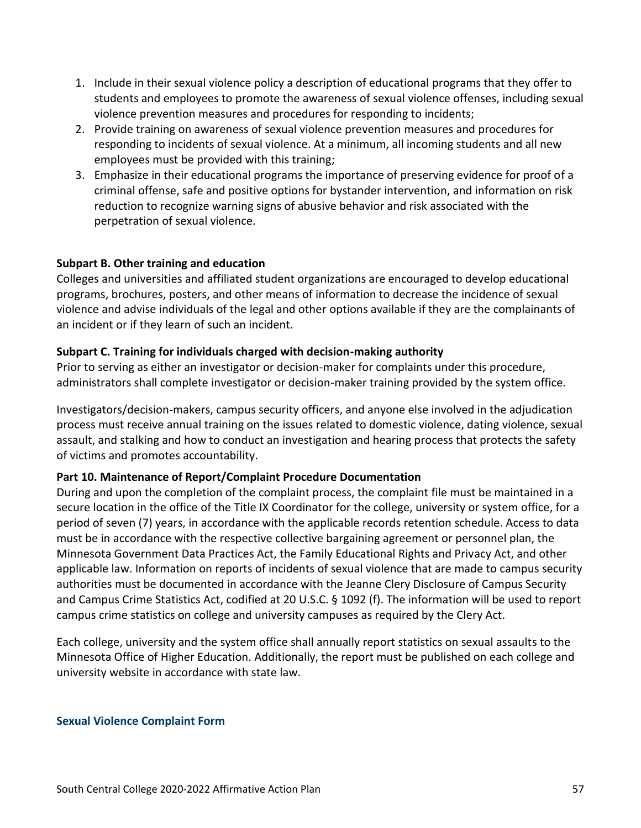- 1. Include in their sexual violence policy a description of educational programs that they offer to students and employees to promote the awareness of sexual violence offenses, including sexual violence prevention measures and procedures for responding to incidents;
- 2. Provide training on awareness of sexual violence prevention measures and procedures for responding to incidents of sexual violence. At a minimum, all incoming students and all new employees must be provided with this training;
- 3. Emphasize in their educational programs the importance of preserving evidence for proof of a criminal offense, safe and positive options for bystander intervention, and information on risk reduction to recognize warning signs of abusive behavior and risk associated with the perpetration of sexual violence.

# **Subpart B. Other training and education**

Colleges and universities and affiliated student organizations are encouraged to develop educational programs, brochures, posters, and other means of information to decrease the incidence of sexual violence and advise individuals of the legal and other options available if they are the complainants of an incident or if they learn of such an incident.

# **Subpart C. Training for individuals charged with decision-making authority**

Prior to serving as either an investigator or decision-maker for complaints under this procedure, administrators shall complete investigator or decision-maker training provided by the system office.

Investigators/decision-makers, campus security officers, and anyone else involved in the adjudication process must receive annual training on the issues related to domestic violence, dating violence, sexual assault, and stalking and how to conduct an investigation and hearing process that protects the safety of victims and promotes accountability.

# **Part 10. Maintenance of Report/Complaint Procedure Documentation**

During and upon the completion of the complaint process, the complaint file must be maintained in a secure location in the office of the Title IX Coordinator for the college, university or system office, for a period of seven (7) years, in accordance with the applicable records retention schedule. Access to data must be in accordance with the respective collective bargaining agreement or personnel plan, the Minnesota Government Data Practices Act, the Family Educational Rights and Privacy Act, and other applicable law. Information on reports of incidents of sexual violence that are made to campus security authorities must be documented in accordance with the Jeanne Clery Disclosure of Campus Security and Campus Crime Statistics Act, codified at 20 U.S.C. § 1092 (f). The information will be used to report campus crime statistics on college and university campuses as required by the Clery Act.

Each college, university and the system office shall annually report statistics on sexual assaults to the Minnesota Office of Higher Education. Additionally, the report must be published on each college and university website in accordance with state law.

# **Sexual Violence Complaint Form**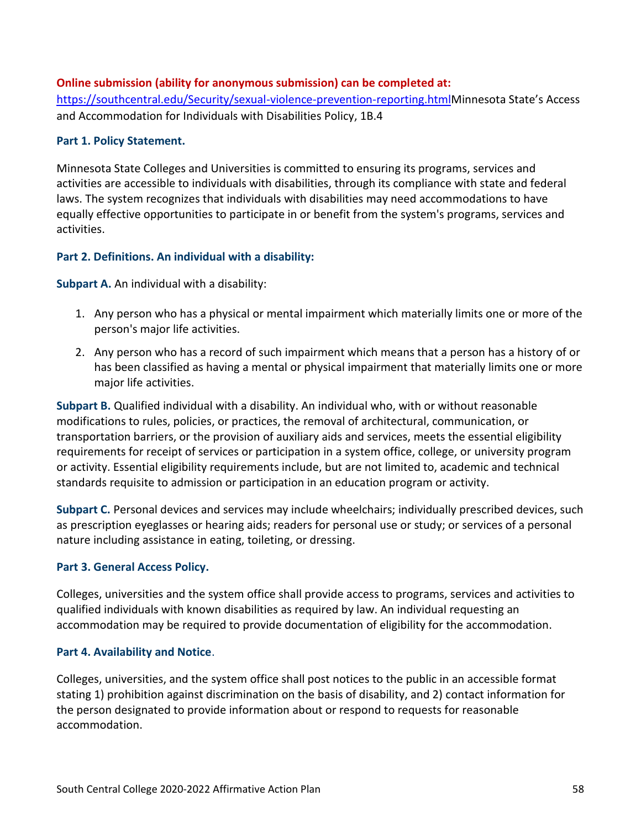# **Online submission (ability for anonymous submission) can be completed at:**

<https://southcentral.edu/Security/sexual-violence-prevention-reporting.html>Minnesota State's Access and Accommodation for Individuals with Disabilities Policy, 1B.4

# **Part 1. Policy Statement.**

Minnesota State Colleges and Universities is committed to ensuring its programs, services and activities are accessible to individuals with disabilities, through its compliance with state and federal laws. The system recognizes that individuals with disabilities may need accommodations to have equally effective opportunities to participate in or benefit from the system's programs, services and activities.

# **Part 2. Definitions. An individual with a disability:**

**Subpart A.** An individual with a disability:

- 1. Any person who has a physical or mental impairment which materially limits one or more of the person's major life activities.
- 2. Any person who has a record of such impairment which means that a person has a history of or has been classified as having a mental or physical impairment that materially limits one or more major life activities.

**Subpart B.** Qualified individual with a disability. An individual who, with or without reasonable modifications to rules, policies, or practices, the removal of architectural, communication, or transportation barriers, or the provision of auxiliary aids and services, meets the essential eligibility requirements for receipt of services or participation in a system office, college, or university program or activity. Essential eligibility requirements include, but are not limited to, academic and technical standards requisite to admission or participation in an education program or activity.

**Subpart C.** Personal devices and services may include wheelchairs; individually prescribed devices, such as prescription eyeglasses or hearing aids; readers for personal use or study; or services of a personal nature including assistance in eating, toileting, or dressing.

# **Part 3. General Access Policy.**

Colleges, universities and the system office shall provide access to programs, services and activities to qualified individuals with known disabilities as required by law. An individual requesting an accommodation may be required to provide documentation of eligibility for the accommodation.

# **Part 4. Availability and Notice**.

Colleges, universities, and the system office shall post notices to the public in an accessible format stating 1) prohibition against discrimination on the basis of disability, and 2) contact information for the person designated to provide information about or respond to requests for reasonable accommodation.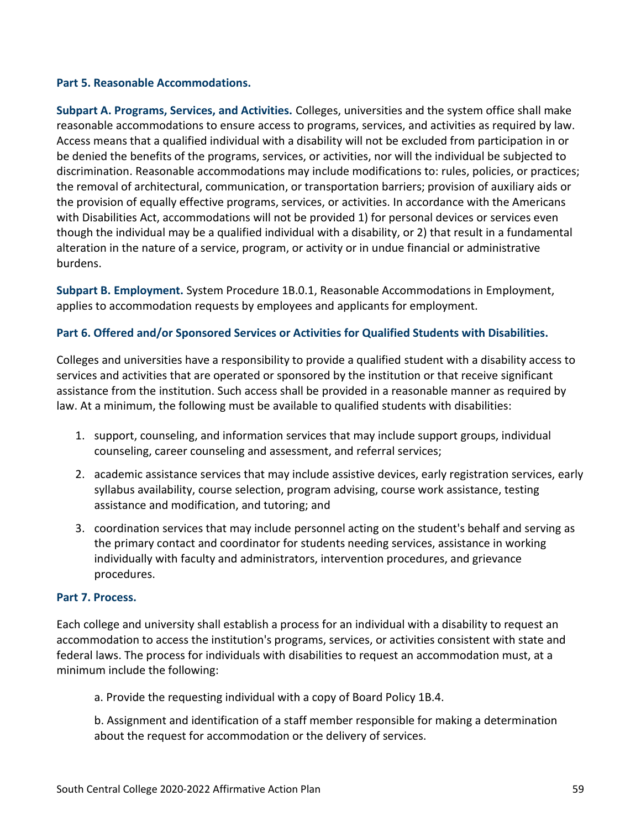#### **Part 5. Reasonable Accommodations.**

**Subpart A. Programs, Services, and Activities.** Colleges, universities and the system office shall make reasonable accommodations to ensure access to programs, services, and activities as required by law. Access means that a qualified individual with a disability will not be excluded from participation in or be denied the benefits of the programs, services, or activities, nor will the individual be subjected to discrimination. Reasonable accommodations may include modifications to: rules, policies, or practices; the removal of architectural, communication, or transportation barriers; provision of auxiliary aids or the provision of equally effective programs, services, or activities. In accordance with the Americans with Disabilities Act, accommodations will not be provided 1) for personal devices or services even though the individual may be a qualified individual with a disability, or 2) that result in a fundamental alteration in the nature of a service, program, or activity or in undue financial or administrative burdens.

**Subpart B. Employment.** System Procedure 1B.0.1, Reasonable Accommodations in Employment, applies to accommodation requests by employees and applicants for employment.

# **Part 6. Offered and/or Sponsored Services or Activities for Qualified Students with Disabilities.**

Colleges and universities have a responsibility to provide a qualified student with a disability access to services and activities that are operated or sponsored by the institution or that receive significant assistance from the institution. Such access shall be provided in a reasonable manner as required by law. At a minimum, the following must be available to qualified students with disabilities:

- 1. support, counseling, and information services that may include support groups, individual counseling, career counseling and assessment, and referral services;
- 2. academic assistance services that may include assistive devices, early registration services, early syllabus availability, course selection, program advising, course work assistance, testing assistance and modification, and tutoring; and
- 3. coordination services that may include personnel acting on the student's behalf and serving as the primary contact and coordinator for students needing services, assistance in working individually with faculty and administrators, intervention procedures, and grievance procedures.

# **Part 7. Process.**

Each college and university shall establish a process for an individual with a disability to request an accommodation to access the institution's programs, services, or activities consistent with state and federal laws. The process for individuals with disabilities to request an accommodation must, at a minimum include the following:

a. Provide the requesting individual with a copy of Board Policy 1B.4.

b. Assignment and identification of a staff member responsible for making a determination about the request for accommodation or the delivery of services.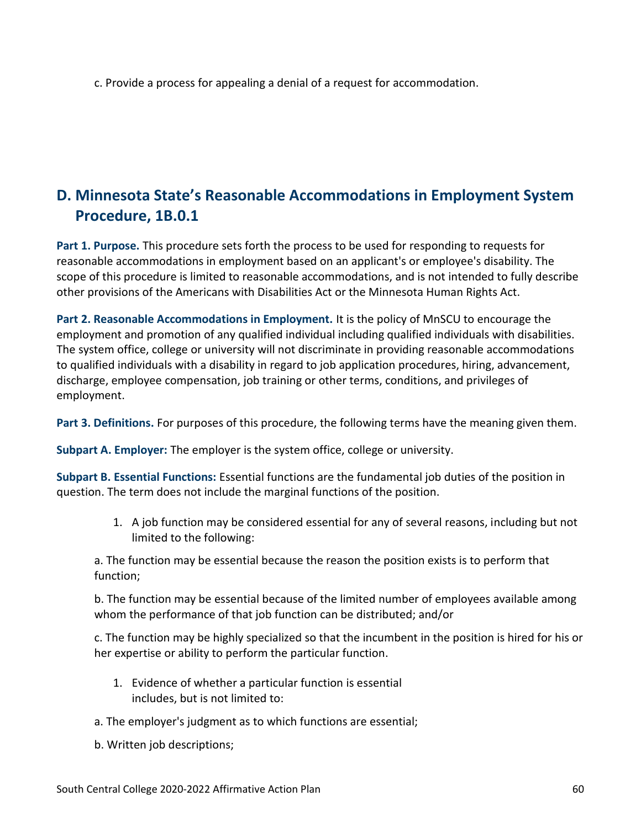c. Provide a process for appealing a denial of a request for accommodation.

# **D. Minnesota State's Reasonable Accommodations in Employment System Procedure, 1B.0.1**

**Part 1. Purpose.** This procedure sets forth the process to be used for responding to requests for reasonable accommodations in employment based on an applicant's or employee's disability. The scope of this procedure is limited to reasonable accommodations, and is not intended to fully describe other provisions of the Americans with Disabilities Act or the Minnesota Human Rights Act.

**Part 2. Reasonable Accommodations in Employment.** It is the policy of MnSCU to encourage the employment and promotion of any qualified individual including qualified individuals with disabilities. The system office, college or university will not discriminate in providing reasonable accommodations to qualified individuals with a disability in regard to job application procedures, hiring, advancement, discharge, employee compensation, job training or other terms, conditions, and privileges of employment.

**Part 3. Definitions.** For purposes of this procedure, the following terms have the meaning given them.

**Subpart A. Employer:** The employer is the system office, college or university.

**Subpart B. Essential Functions:** Essential functions are the fundamental job duties of the position in question. The term does not include the marginal functions of the position.

> 1. A job function may be considered essential for any of several reasons, including but not limited to the following:

a. The function may be essential because the reason the position exists is to perform that function;

b. The function may be essential because of the limited number of employees available among whom the performance of that job function can be distributed; and/or

c. The function may be highly specialized so that the incumbent in the position is hired for his or her expertise or ability to perform the particular function.

- 1. Evidence of whether a particular function is essential includes, but is not limited to:
- a. The employer's judgment as to which functions are essential;
- b. Written job descriptions;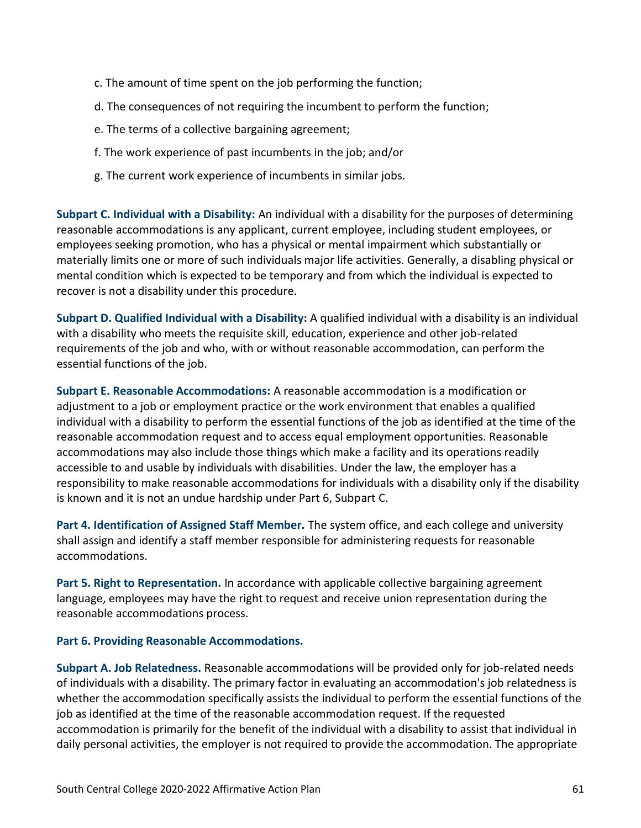- c. The amount of time spent on the job performing the function;
- d. The consequences of not requiring the incumbent to perform the function;
- e. The terms of a collective bargaining agreement;
- f. The work experience of past incumbents in the job; and/or
- g. The current work experience of incumbents in similar jobs.

**Subpart C. Individual with a Disability:** An individual with a disability for the purposes of determining reasonable accommodations is any applicant, current employee, including student employees, or employees seeking promotion, who has a physical or mental impairment which substantially or materially limits one or more of such individuals major life activities. Generally, a disabling physical or mental condition which is expected to be temporary and from which the individual is expected to recover is not a disability under this procedure.

**Subpart D. Qualified Individual with a Disability:** A qualified individual with a disability is an individual with a disability who meets the requisite skill, education, experience and other job-related requirements of the job and who, with or without reasonable accommodation, can perform the essential functions of the job.

**Subpart E. Reasonable Accommodations:** A reasonable accommodation is a modification or adjustment to a job or employment practice or the work environment that enables a qualified individual with a disability to perform the essential functions of the job as identified at the time of the reasonable accommodation request and to access equal employment opportunities. Reasonable accommodations may also include those things which make a facility and its operations readily accessible to and usable by individuals with disabilities. Under the law, the employer has a responsibility to make reasonable accommodations for individuals with a disability only if the disability is known and it is not an undue hardship under Part 6, Subpart C.

**Part 4. Identification of Assigned Staff Member.** The system office, and each college and university shall assign and identify a staff member responsible for administering requests for reasonable accommodations.

**Part 5. Right to Representation.** In accordance with applicable collective bargaining agreement language, employees may have the right to request and receive union representation during the reasonable accommodations process.

# **Part 6. Providing Reasonable Accommodations.**

**Subpart A. Job Relatedness.** Reasonable accommodations will be provided only for job-related needs of individuals with a disability. The primary factor in evaluating an accommodation's job relatedness is whether the accommodation specifically assists the individual to perform the essential functions of the job as identified at the time of the reasonable accommodation request. If the requested accommodation is primarily for the benefit of the individual with a disability to assist that individual in daily personal activities, the employer is not required to provide the accommodation. The appropriate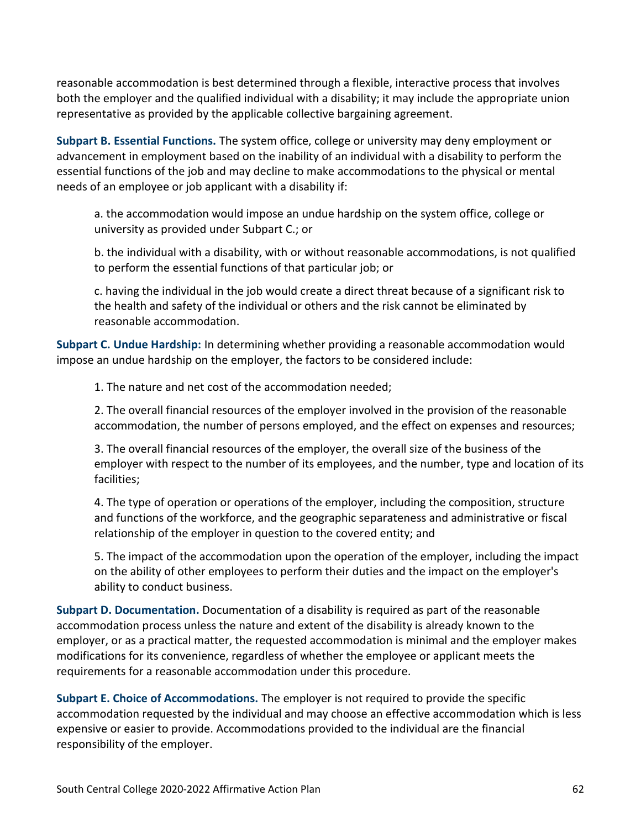reasonable accommodation is best determined through a flexible, interactive process that involves both the employer and the qualified individual with a disability; it may include the appropriate union representative as provided by the applicable collective bargaining agreement.

**Subpart B. Essential Functions.** The system office, college or university may deny employment or advancement in employment based on the inability of an individual with a disability to perform the essential functions of the job and may decline to make accommodations to the physical or mental needs of an employee or job applicant with a disability if:

a. the accommodation would impose an undue hardship on the system office, college or university as provided under Subpart C.; or

b. the individual with a disability, with or without reasonable accommodations, is not qualified to perform the essential functions of that particular job; or

c. having the individual in the job would create a direct threat because of a significant risk to the health and safety of the individual or others and the risk cannot be eliminated by reasonable accommodation.

**Subpart C. Undue Hardship:** In determining whether providing a reasonable accommodation would impose an undue hardship on the employer, the factors to be considered include:

1. The nature and net cost of the accommodation needed;

2. The overall financial resources of the employer involved in the provision of the reasonable accommodation, the number of persons employed, and the effect on expenses and resources;

3. The overall financial resources of the employer, the overall size of the business of the employer with respect to the number of its employees, and the number, type and location of its facilities;

4. The type of operation or operations of the employer, including the composition, structure and functions of the workforce, and the geographic separateness and administrative or fiscal relationship of the employer in question to the covered entity; and

5. The impact of the accommodation upon the operation of the employer, including the impact on the ability of other employees to perform their duties and the impact on the employer's ability to conduct business.

**Subpart D. Documentation.** Documentation of a disability is required as part of the reasonable accommodation process unless the nature and extent of the disability is already known to the employer, or as a practical matter, the requested accommodation is minimal and the employer makes modifications for its convenience, regardless of whether the employee or applicant meets the requirements for a reasonable accommodation under this procedure.

**Subpart E. Choice of Accommodations.** The employer is not required to provide the specific accommodation requested by the individual and may choose an effective accommodation which is less expensive or easier to provide. Accommodations provided to the individual are the financial responsibility of the employer.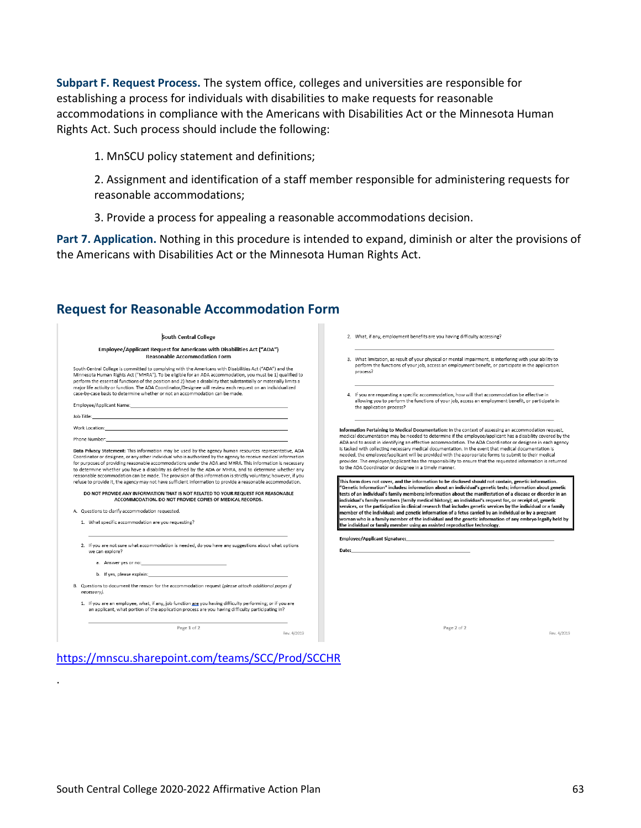**Subpart F. Request Process.** The system office, colleges and universities are responsible for establishing a process for individuals with disabilities to make requests for reasonable accommodations in compliance with the Americans with Disabilities Act or the Minnesota Human Rights Act. Such process should include the following:

1. MnSCU policy statement and definitions;

2. Assignment and identification of a staff member responsible for administering requests for reasonable accommodations;

3. Provide a process for appealing a reasonable accommodations decision.

**Part 7. Application.** Nothing in this procedure is intended to expand, diminish or alter the provisions of the Americans with Disabilities Act or the Minnesota Human Rights Act.

 $\mathcal{L}_{\mathcal{A}}$ 

# **Request for Reasonable Accommodation Form**

| South Central College                                                                                                                                                                                                                                                                                                                                                                                                                                                                                                                                                                                                                                                                                                                                                                                                                                                                                                | 2. What, if any, employment benefits are you having difficulty accessing?                                                                                                                                                                                                                                                                                                                                                                                                                                                                                                                                                                                                                                                       |
|----------------------------------------------------------------------------------------------------------------------------------------------------------------------------------------------------------------------------------------------------------------------------------------------------------------------------------------------------------------------------------------------------------------------------------------------------------------------------------------------------------------------------------------------------------------------------------------------------------------------------------------------------------------------------------------------------------------------------------------------------------------------------------------------------------------------------------------------------------------------------------------------------------------------|---------------------------------------------------------------------------------------------------------------------------------------------------------------------------------------------------------------------------------------------------------------------------------------------------------------------------------------------------------------------------------------------------------------------------------------------------------------------------------------------------------------------------------------------------------------------------------------------------------------------------------------------------------------------------------------------------------------------------------|
| Employee/Applicant Request for Americans with Disabilities Act ("ADA")<br><b>Reasonable Accommodation Form</b><br>South Central College is committed to complying with the Americans with Disabilities Act ("ADA") and the<br>Minnesota Human Rights Act ("MHRA"). To be eligible for an ADA accommodation, you must be 1) qualified to<br>perform the essential functions of the position and 2) have a disability that substantially or materially limits a                                                                                                                                                                                                                                                                                                                                                                                                                                                        | 3. What limitation, as result of your physical or mental impairment, is interfering with your ability to<br>perform the functions of your job, access an employment benefit, or participate in the application<br>process?                                                                                                                                                                                                                                                                                                                                                                                                                                                                                                      |
| major life activity or function. The ADA Coordinator/Designee will review each request on an individualized<br>case-by-case basis to determine whether or not an accommodation can be made.                                                                                                                                                                                                                                                                                                                                                                                                                                                                                                                                                                                                                                                                                                                          | 4. If you are requesting a specific accommodation, how will that accommodation be effective in<br>allowing you to perform the functions of your job, access an employment benefit, or participate in<br>the application process?                                                                                                                                                                                                                                                                                                                                                                                                                                                                                                |
|                                                                                                                                                                                                                                                                                                                                                                                                                                                                                                                                                                                                                                                                                                                                                                                                                                                                                                                      |                                                                                                                                                                                                                                                                                                                                                                                                                                                                                                                                                                                                                                                                                                                                 |
| Work Location: Website the contract of the contract of the contract of the contract of the contract of the contract of the contract of the contract of the contract of the contract of the contract of the contract of the con<br>Phone Number: North and the contract of the contract of the contract of the contract of the contract of the contract of the contract of the contract of the contract of the contract of the contract of the contract of the co<br>Data Privacy Statement: This information may be used by the agency human resources representative, ADA<br>Coordinator or designee, or any other individual who is authorized by the agency to receive medical information<br>for purposes of providing reasonable accommodations under the ADA and MHRA. This information is necessary<br>to determine whether you have a disability as defined by the ADA or MHRA, and to determine whether any | Information Pertaining to Medical Documentation: In the context of assessing an accommodation request,<br>medical documentation may be needed to determine if the employee/applicant has a disability covered by the<br>ADA and to assist in identifying an effective accommodation. The ADA Coordinator or designee in each agency<br>is tasked with collecting necessary medical documentation. In the event that medical documentation is<br>needed, the employee/applicant will be provided with the appropriate forms to submit to their medical<br>provider. The employee/applicant has the responsibility to ensure that the requested information is returned<br>to the ADA Coordinator or designee in a timely manner. |
| reasonable accommodation can be made. The provision of this information is strictly voluntary; however, if you                                                                                                                                                                                                                                                                                                                                                                                                                                                                                                                                                                                                                                                                                                                                                                                                       |                                                                                                                                                                                                                                                                                                                                                                                                                                                                                                                                                                                                                                                                                                                                 |
| refuse to provide it, the agency may not have sufficient information to provide a reasonable accommodation.<br>DO NOT PROVIDE ANY INFORMATION THAT IS NOT RELATED TO YOUR REQUEST FOR REASONABLE<br>ACCOMMODATION. DO NOT PROVIDE COPIES OF MEDICAL RECORDS.<br>A. Questions to clarify accommodation requested.<br>1. What specific accommodation are you requesting?                                                                                                                                                                                                                                                                                                                                                                                                                                                                                                                                               | This form does not cover, and the information to be disclosed should not contain, genetic information.<br>individual's family members (family medical history); an individual's request for, or receipt of, genetic<br>member of the individual; and genetic information of a fetus carried by an individual or by a pregnant<br>the individual or family member using an assisted reproductive technology.                                                                                                                                                                                                                                                                                                                     |
| 2. If you are not sure what accommodation is needed, do you have any suggestions about what options<br>we can explore?                                                                                                                                                                                                                                                                                                                                                                                                                                                                                                                                                                                                                                                                                                                                                                                               | "Genetic Information" includes: information about an individual's genetic tests; information about genetic<br>tests of an individual's family members; information about the manifestation of a disease or disorder in an<br>services, or the participation in clinical research that includes genetic services by the individual or a family<br>woman who is a family member of the individual and the genetic information of any embryo legally held by<br>Date: the contract of the contract of the contract of the contract of the contract of the contract of the contract of the contract of the contract of the contract of the contract of the contract of the contract of the cont                                     |
| a. Answer yes or no: 100 million and the matter of the matter of the matter of the matter of the matter of the                                                                                                                                                                                                                                                                                                                                                                                                                                                                                                                                                                                                                                                                                                                                                                                                       |                                                                                                                                                                                                                                                                                                                                                                                                                                                                                                                                                                                                                                                                                                                                 |
| b. If yes, please explain: and the state of the state of the state of the state of the state of the state of the state of the state of the state of the state of the state of the state of the state of the state of the state                                                                                                                                                                                                                                                                                                                                                                                                                                                                                                                                                                                                                                                                                       |                                                                                                                                                                                                                                                                                                                                                                                                                                                                                                                                                                                                                                                                                                                                 |
| B. Questions to document the reason for the accommodation request (please attach additional pages if<br>necessarv).                                                                                                                                                                                                                                                                                                                                                                                                                                                                                                                                                                                                                                                                                                                                                                                                  |                                                                                                                                                                                                                                                                                                                                                                                                                                                                                                                                                                                                                                                                                                                                 |
| 1. If you are an employee, what, if any, job function are you having difficulty performing; or if you are<br>an applicant, what portion of the application process are you having difficulty participating in?                                                                                                                                                                                                                                                                                                                                                                                                                                                                                                                                                                                                                                                                                                       |                                                                                                                                                                                                                                                                                                                                                                                                                                                                                                                                                                                                                                                                                                                                 |

.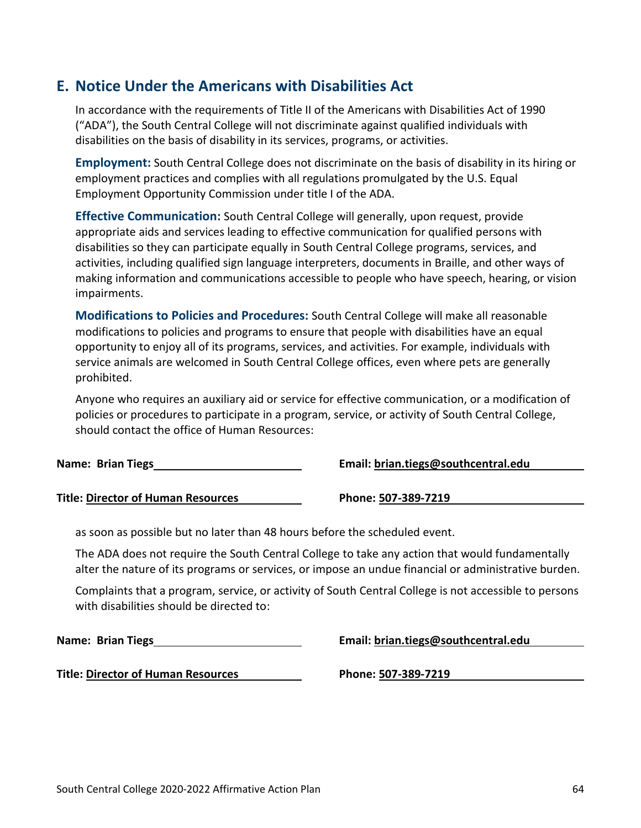# **E. Notice Under the Americans with Disabilities Act**

In accordance with the requirements of Title II of the Americans with Disabilities Act of 1990 ("ADA"), the South Central College will not discriminate against qualified individuals with disabilities on the basis of disability in its services, programs, or activities.

**Employment:** South Central College does not discriminate on the basis of disability in its hiring or employment practices and complies with all regulations promulgated by the U.S. Equal Employment Opportunity Commission under title I of the ADA.

**Effective Communication:** South Central College will generally, upon request, provide appropriate aids and services leading to effective communication for qualified persons with disabilities so they can participate equally in South Central College programs, services, and activities, including qualified sign language interpreters, documents in Braille, and other ways of making information and communications accessible to people who have speech, hearing, or vision impairments.

**Modifications to Policies and Procedures:** South Central College will make all reasonable modifications to policies and programs to ensure that people with disabilities have an equal opportunity to enjoy all of its programs, services, and activities. For example, individuals with service animals are welcomed in South Central College offices, even where pets are generally prohibited.

Anyone who requires an auxiliary aid or service for effective communication, or a modification of policies or procedures to participate in a program, service, or activity of South Central College, should contact the office of Human Resources:

**Name: Brian Tiegs**

**Title: Director of Human Resources**

as soon as possible but no later than 48 hours before the scheduled event.

The ADA does not require the South Central College to take any action that would fundamentally alter the nature of its programs or services, or impose an undue financial or administrative burden.

Complaints that a program, service, or activity of South Central College is not accessible to persons with disabilities should be directed to:

**Name: Brian Tiegs**

**Title: Director of Human Resources**

**Email: brian.tiegs@southcentral.edu**

**Phone: 507-389-7219**

**Email: brian.tiegs@southcentral.edu**

**Phone: 507-389-7219**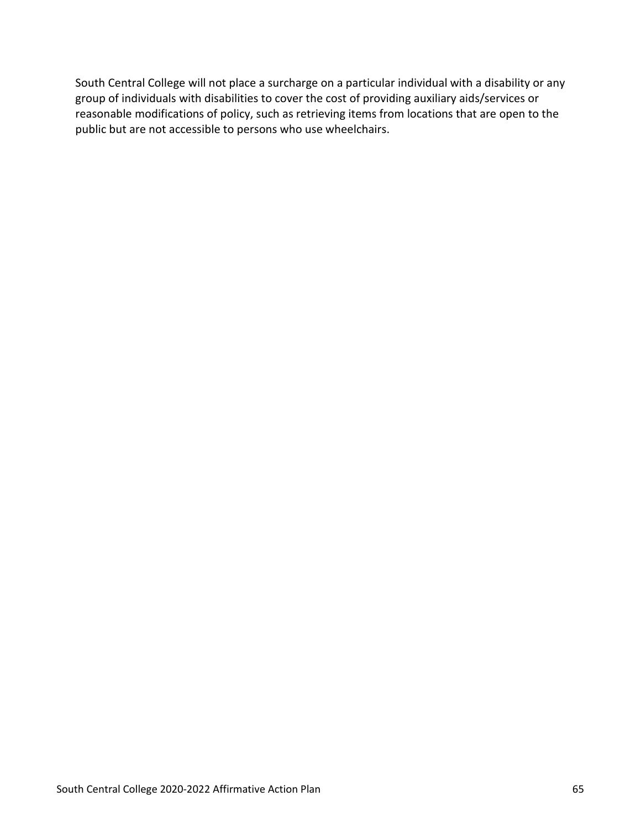$\mathbf{S}$  will not pace surhage on  $\mathbf{p}$ t findvu reasonbl modifcatns ofplicy, suharetivng msfrolcatins hreopnt h

public tareful tarenocsible top the tareful tareful tareful tareful tareful tareful tareful tareful tareful tareful tareful tareful tareful tareful tareful tareful tareful tareful tareful tareful tareful tareful tareful ta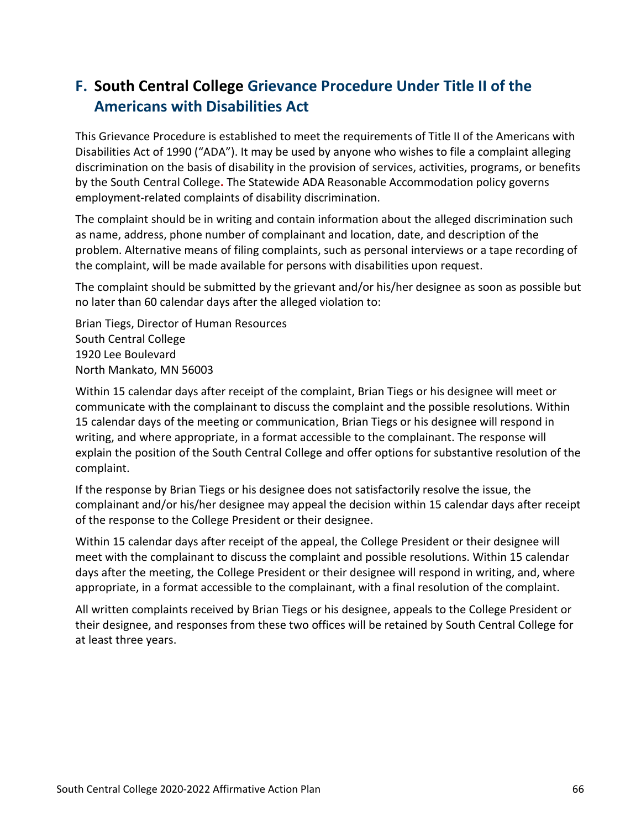# **F. South Central College Grievance Procedure Under Title II of the Americans with Disabilities Act**

This Grievance Procedure is established to meet the requirements of Title II of the Americans with Disabilities Act of 1990 ("ADA"). It may be used by anyone who wishes to file a complaint alleging discrimination on the basis of disability in the provision of services, activities, programs, or benefits by the South Central College**.** The Statewide ADA Reasonable Accommodation policy governs employment-related complaints of disability discrimination.

The complaint should be in writing and contain information about the alleged discrimination such as name, address, phone number of complainant and location, date, and description of the problem. Alternative means of filing complaints, such as personal interviews or a tape recording of the complaint, will be made available for persons with disabilities upon request.

The complaint should be submitted by the grievant and/or his/her designee as soon as possible but no later than 60 calendar days after the alleged violation to:

Brian Tiegs, Director of Human Resources South Central College 1920 Lee Boulevard North Mankato, MN 56003

Within 15 calendar days after receipt of the complaint, Brian Tiegs or his designee will meet or communicate with the complainant to discuss the complaint and the possible resolutions. Within 15 calendar days of the meeting or communication, Brian Tiegs or his designee will respond in writing, and where appropriate, in a format accessible to the complainant. The response will explain the position of the South Central College and offer options for substantive resolution of the complaint.

If the response by Brian Tiegs or his designee does not satisfactorily resolve the issue, the complainant and/or his/her designee may appeal the decision within 15 calendar days after receipt of the response to the College President or their designee.

Within 15 calendar days after receipt of the appeal, the College President or their designee will meet with the complainant to discuss the complaint and possible resolutions. Within 15 calendar days after the meeting, the College President or their designee will respond in writing, and, where appropriate, in a format accessible to the complainant, with a final resolution of the complaint.

All written complaints received by Brian Tiegs or his designee, appeals to the College President or their designee, and responses from these two offices will be retained by South Central College for at least three years.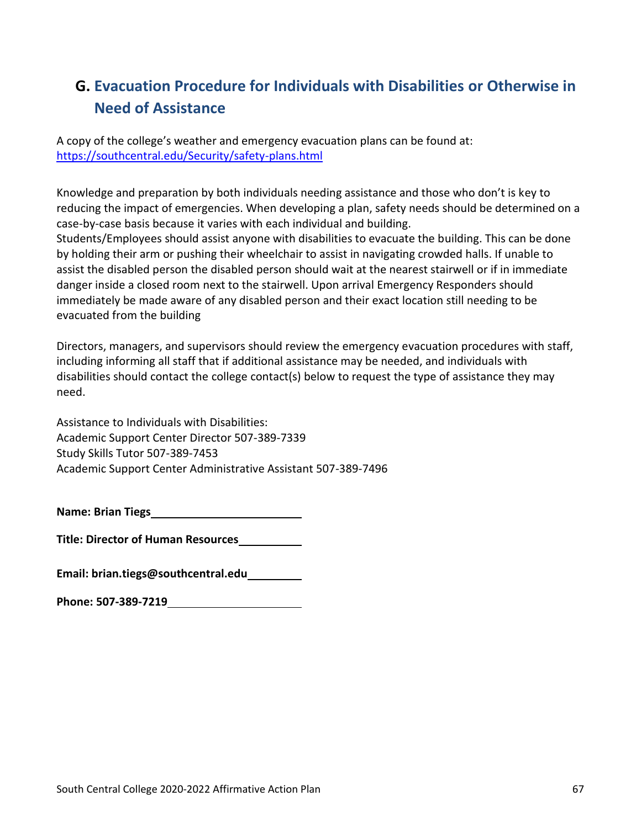# **G. Evacuation Procedure for Individuals with Disabilities or Otherwise in Need of Assistance**

A copy of the college's weather and emergency evacuation plans can be found at: <https://southcentral.edu/Security/safety-plans.html>

Knowledge and preparation by both individuals needing assistance and those who don't is key to reducing the impact of emergencies. When developing a plan, safety needs should be determined on a case-by-case basis because it varies with each individual and building.

Students/Employees should assist anyone with disabilities to evacuate the building. This can be done by holding their arm or pushing their wheelchair to assist in navigating crowded halls. If unable to assist the disabled person the disabled person should wait at the nearest stairwell or if in immediate danger inside a closed room next to the stairwell. Upon arrival Emergency Responders should immediately be made aware of any disabled person and their exact location still needing to be evacuated from the building

Directors, managers, and supervisors should review the emergency evacuation procedures with staff, including informing all staff that if additional assistance may be needed, and individuals with disabilities should contact the college contact(s) below to request the type of assistance they may need.

Assistance to Individuals with Disabilities: Academic Support Center Director 507-389-7339 Study Skills Tutor 507-389-7453 Academic Support Center Administrative Assistant 507-389-7496

**Name: Brian Tiegs**

**Title: Director of Human Resources**

**Email: brian.tiegs@southcentral.edu**

**Phone: 507-389-7219**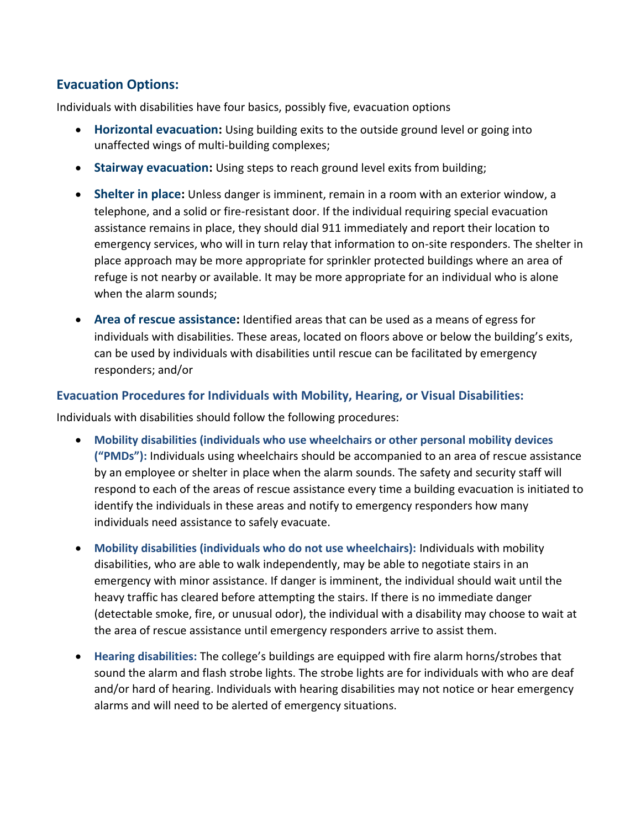# **Evacuation Options:**

Individuals with disabilities have four basics, possibly five, evacuation options

- **Horizontal evacuation:** Using building exits to the outside ground level or going into unaffected wings of multi-building complexes;
- **Stairway evacuation:** Using steps to reach ground level exits from building;
- **Shelter in place:** Unless danger is imminent, remain in a room with an exterior window, a telephone, and a solid or fire-resistant door. If the individual requiring special evacuation assistance remains in place, they should dial 911 immediately and report their location to emergency services, who will in turn relay that information to on-site responders. The shelter in place approach may be more appropriate for sprinkler protected buildings where an area of refuge is not nearby or available. It may be more appropriate for an individual who is alone when the alarm sounds;
- **Area of rescue assistance:** Identified areas that can be used as a means of egress for individuals with disabilities. These areas, located on floors above or below the building's exits, can be used by individuals with disabilities until rescue can be facilitated by emergency responders; and/or

# **Evacuation Procedures for Individuals with Mobility, Hearing, or Visual Disabilities:**

Individuals with disabilities should follow the following procedures:

- **Mobility disabilities (individuals who use wheelchairs or other personal mobility devices ("PMDs"):** Individuals using wheelchairs should be accompanied to an area of rescue assistance by an employee or shelter in place when the alarm sounds. The safety and security staff will respond to each of the areas of rescue assistance every time a building evacuation is initiated to identify the individuals in these areas and notify to emergency responders how many individuals need assistance to safely evacuate.
- **Mobility disabilities (individuals who do not use wheelchairs):** Individuals with mobility disabilities, who are able to walk independently, may be able to negotiate stairs in an emergency with minor assistance. If danger is imminent, the individual should wait until the heavy traffic has cleared before attempting the stairs. If there is no immediate danger (detectable smoke, fire, or unusual odor), the individual with a disability may choose to wait at the area of rescue assistance until emergency responders arrive to assist them.
- **Hearing disabilities:** The college's buildings are equipped with fire alarm horns/strobes that sound the alarm and flash strobe lights. The strobe lights are for individuals with who are deaf and/or hard of hearing. Individuals with hearing disabilities may not notice or hear emergency alarms and will need to be alerted of emergency situations.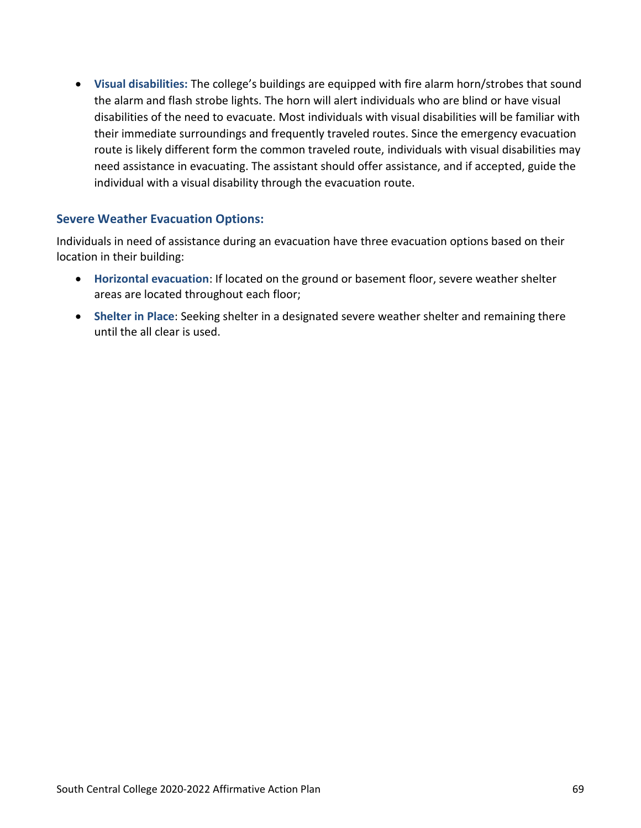• **Visual disabilities:** The college's buildings are equipped with fire alarm horn/strobes that sound the alarm and flash strobe lights. The horn will alert individuals who are blind or have visual disabilities of the need to evacuate. Most individuals with visual disabilities will be familiar with their immediate surroundings and frequently traveled routes. Since the emergency evacuation route is likely different form the common traveled route, individuals with visual disabilities may need assistance in evacuating. The assistant should offer assistance, and if accepted, guide the individual with a visual disability through the evacuation route.

# **Severe Weather Evacuation Options:**

Individuals in need of assistance during an evacuation have three evacuation options based on their location in their building:

- **Horizontal evacuation**: If located on the ground or basement floor, severe weather shelter areas are located throughout each floor;
- **Shelter in Place**: Seeking shelter in a designated severe weather shelter and remaining there until the all clear is used.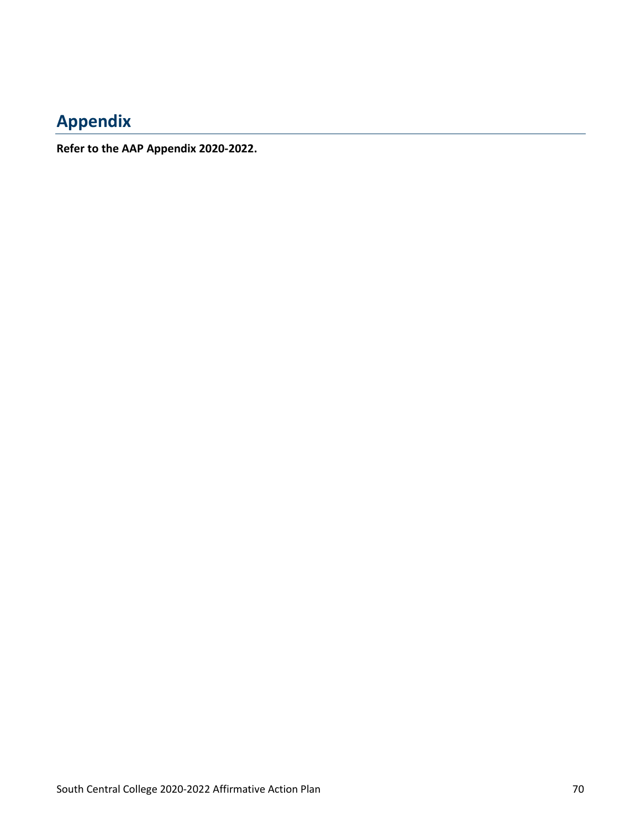## **Appendix**

**Refer to the AAP Appendix 2020-2022.**